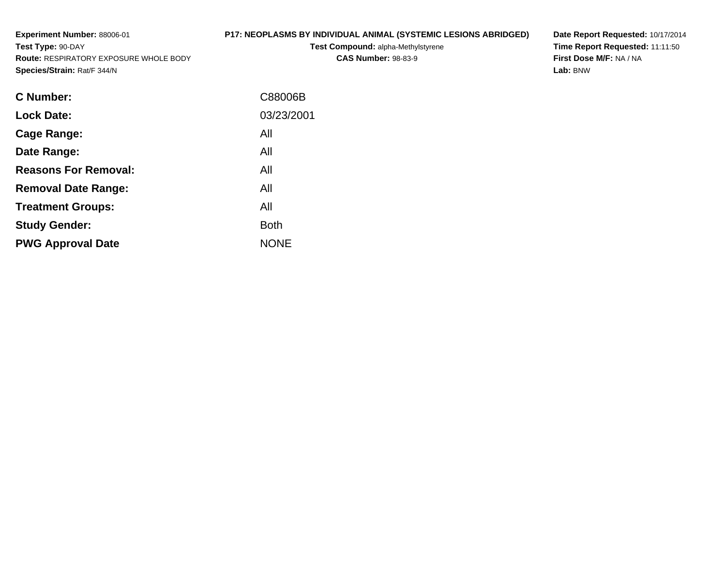**Experiment Number:** 88006-01**Test Type:** 90-DAY **Route:** RESPIRATORY EXPOSURE WHOLE BODY**Species/Strain:** Rat/F 344/N**P17: NEOPLASMS BY INDIVIDUAL ANIMAL (SYSTEMIC LESIONS ABRIDGED)Test Compound:** alpha-Methylstyrene**CAS Number:** 98-83-9

**Date Report Requested:** 10/17/2014 **Time Report Requested:** 11:11:50**First Dose M/F:** NA / NA**Lab:** BNW

| <b>C</b> Number:            | C88006B     |
|-----------------------------|-------------|
| <b>Lock Date:</b>           | 03/23/2001  |
| Cage Range:                 | All         |
| Date Range:                 | All         |
| <b>Reasons For Removal:</b> | All         |
| <b>Removal Date Range:</b>  | All         |
| <b>Treatment Groups:</b>    | All         |
| <b>Study Gender:</b>        | <b>Both</b> |
| <b>PWG Approval Date</b>    | <b>NONE</b> |
|                             |             |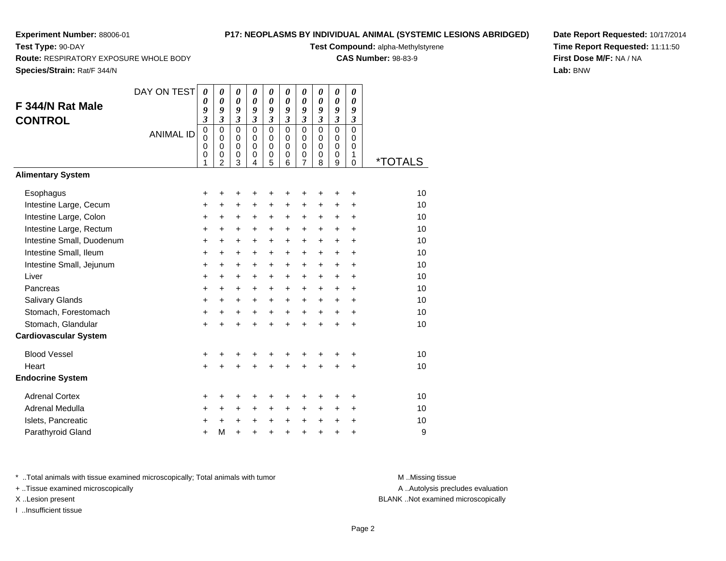**Test Type:** 90-DAY

## **P17: NEOPLASMS BY INDIVIDUAL ANIMAL (SYSTEMIC LESIONS ABRIDGED)**

**Test Compound:** alpha-Methylstyrene

**CAS Number:** 98-83-9

**Species/Strain:** Rat/F 344/N

**Route:** RESPIRATORY EXPOSURE WHOLE BODY

**Date Report Requested:** 10/17/2014**Time Report Requested:** 11:11:50**First Dose M/F:** NA / NA**Lab:** BNW

| F 344/N Rat Male<br><b>CONTROL</b> | DAY ON TEST      | $\boldsymbol{\theta}$<br>0<br>9<br>$\mathfrak{z}$ | $\boldsymbol{\theta}$<br>$\boldsymbol{\theta}$<br>9<br>$\mathfrak{z}$   | $\boldsymbol{\theta}$<br>$\boldsymbol{\theta}$<br>9<br>$\mathfrak{z}$ | 0<br>0<br>9<br>$\mathfrak{z}$                                     | 0<br>0<br>9<br>$\mathfrak{z}$                | 0<br>0<br>9<br>$\mathfrak{z}$                       | 0<br>0<br>9<br>3                                       | 0<br>0<br>9<br>$\mathfrak{z}$                 | $\boldsymbol{\theta}$<br>$\boldsymbol{\theta}$<br>9<br>$\mathfrak{z}$ | 0<br>0<br>9<br>$\boldsymbol{\beta}$              |                       |
|------------------------------------|------------------|---------------------------------------------------|-------------------------------------------------------------------------|-----------------------------------------------------------------------|-------------------------------------------------------------------|----------------------------------------------|-----------------------------------------------------|--------------------------------------------------------|-----------------------------------------------|-----------------------------------------------------------------------|--------------------------------------------------|-----------------------|
|                                    | <b>ANIMAL ID</b> | $\mathbf 0$<br>$\mathbf 0$<br>$\pmb{0}$<br>0<br>1 | $\Omega$<br>$\mathbf 0$<br>$\mathbf 0$<br>$\mathbf 0$<br>$\overline{2}$ | $\mathbf 0$<br>$\mathbf 0$<br>$\pmb{0}$<br>$\mathbf 0$<br>3           | $\Omega$<br>$\Omega$<br>$\Omega$<br>$\mathbf 0$<br>$\overline{4}$ | $\overline{0}$<br>0<br>$\mathbf 0$<br>0<br>5 | $\mathbf 0$<br>$\mathbf 0$<br>$\mathbf 0$<br>0<br>6 | $\mathbf 0$<br>0<br>$\mathsf 0$<br>0<br>$\overline{7}$ | $\mathbf 0$<br>$\Omega$<br>$\Omega$<br>0<br>8 | $\overline{0}$<br>$\mathbf 0$<br>$\mathbf 0$<br>$\mathbf 0$<br>9      | $\mathbf 0$<br>0<br>$\mathbf 0$<br>1<br>$\Omega$ | <i><b>*TOTALS</b></i> |
| <b>Alimentary System</b>           |                  |                                                   |                                                                         |                                                                       |                                                                   |                                              |                                                     |                                                        |                                               |                                                                       |                                                  |                       |
| Esophagus                          |                  | +                                                 | +                                                                       | +                                                                     | +                                                                 | +                                            | +                                                   | +                                                      | +                                             | +                                                                     | +                                                | 10                    |
| Intestine Large, Cecum             |                  | $\ddot{}$                                         | $\ddot{}$                                                               | $\ddot{}$                                                             | $\ddot{}$                                                         | $\ddot{}$                                    | +                                                   | +                                                      | $\ddot{}$                                     | $\ddot{}$                                                             | $\ddot{}$                                        | 10                    |
| Intestine Large, Colon             |                  | +                                                 | +                                                                       | +                                                                     | +                                                                 | $\ddot{}$                                    | $\pm$                                               | +                                                      | +                                             | $\ddot{}$                                                             | $\ddot{}$                                        | 10                    |
| Intestine Large, Rectum            |                  | $\ddot{}$                                         | $\ddot{}$                                                               | +                                                                     | +                                                                 | +                                            | $\ddot{}$                                           | +                                                      | +                                             | $\ddot{}$                                                             | $\ddot{}$                                        | 10                    |
| Intestine Small, Duodenum          |                  | $\ddot{}$                                         | $\ddot{}$                                                               | $\ddot{}$                                                             | $\ddot{}$                                                         | $\ddot{}$                                    | $\ddot{}$                                           | $\ddot{}$                                              | $\ddot{}$                                     | $\ddot{}$                                                             | $\ddot{}$                                        | 10                    |
| Intestine Small, Ileum             |                  | $\ddot{}$                                         | $\ddot{}$                                                               | $\ddot{}$                                                             | $\ddot{}$                                                         | $\ddot{}$                                    | $\ddot{}$                                           | $\ddot{}$                                              | $\ddot{}$                                     | $\ddot{}$                                                             | $\ddot{}$                                        | 10                    |
| Intestine Small, Jejunum           |                  | $\ddot{}$                                         | $\ddot{}$                                                               | $\ddot{}$                                                             | $\ddot{}$                                                         | $\ddot{}$                                    | $\ddot{}$                                           | $\ddot{}$                                              | $\ddot{}$                                     | $\ddot{}$                                                             | $\ddot{}$                                        | 10                    |
| Liver                              |                  | +                                                 | $\ddot{}$                                                               | $\ddot{}$                                                             | $\ddot{}$                                                         | $\ddot{}$                                    | $\ddot{}$                                           | $+$                                                    | $\ddot{}$                                     | $\ddot{}$                                                             | $\ddot{}$                                        | 10                    |
| Pancreas                           |                  | $\ddot{}$                                         | $\ddot{}$                                                               | $\ddot{}$                                                             | $\ddot{}$                                                         | $\ddot{}$                                    | $+$                                                 | $\ddot{}$                                              | $\ddot{}$                                     | $\ddot{}$                                                             | $\ddot{}$                                        | 10                    |
| <b>Salivary Glands</b>             |                  | +                                                 | $\ddot{}$                                                               | $\ddot{}$                                                             | +                                                                 | $\ddot{}$                                    | $\ddot{}$                                           | $\ddot{}$                                              | $\ddot{}$                                     | $\ddot{}$                                                             | $\ddot{}$                                        | 10                    |
| Stomach, Forestomach               |                  | $\ddot{}$                                         | $\ddot{}$                                                               | $\ddot{}$                                                             | $\ddot{}$                                                         | $\ddot{}$                                    | $\ddot{}$                                           | $\ddot{}$                                              | $\ddot{}$                                     | $\ddot{}$                                                             | $\ddot{}$                                        | 10                    |
| Stomach, Glandular                 |                  | $\ddot{}$                                         | $\ddot{}$                                                               | $\ddot{}$                                                             | $\ddot{}$                                                         | $\ddot{}$                                    | $\ddot{}$                                           | $\ddot{}$                                              | $\ddot{}$                                     | $\ddot{}$                                                             | $\ddot{}$                                        | 10                    |
| <b>Cardiovascular System</b>       |                  |                                                   |                                                                         |                                                                       |                                                                   |                                              |                                                     |                                                        |                                               |                                                                       |                                                  |                       |
| <b>Blood Vessel</b>                |                  | +                                                 | +                                                                       | +                                                                     | +                                                                 | +                                            | +                                                   | +                                                      | +                                             |                                                                       | +                                                | 10                    |
| Heart                              |                  | $\ddot{}$                                         |                                                                         | $\ddot{}$                                                             | Ŧ.                                                                | $\ddot{}$                                    | $\ddot{}$                                           | $\ddot{}$                                              | $\ddot{}$                                     | $\ddot{}$                                                             | $\ddot{}$                                        | 10                    |
| <b>Endocrine System</b>            |                  |                                                   |                                                                         |                                                                       |                                                                   |                                              |                                                     |                                                        |                                               |                                                                       |                                                  |                       |
| <b>Adrenal Cortex</b>              |                  | +                                                 | +                                                                       | +                                                                     | +                                                                 | +                                            | +                                                   | +                                                      | +                                             | +                                                                     | +                                                | 10                    |
| Adrenal Medulla                    |                  | +                                                 | $\ddot{}$                                                               | $\ddot{}$                                                             | +                                                                 | $\ddot{}$                                    | $+$                                                 | $\ddot{}$                                              | +                                             | $\ddot{}$                                                             | $\ddot{}$                                        | 10                    |
| Islets, Pancreatic                 |                  | +                                                 |                                                                         | $\ddot{}$                                                             | +                                                                 | $\ddot{}$                                    | $\ddot{}$                                           | $\ddot{}$                                              | $\ddot{}$                                     | $\ddot{}$                                                             | $\ddot{}$                                        | 10                    |
| Parathyroid Gland                  |                  | $\ddot{}$                                         | M                                                                       | $\ddot{}$                                                             | $\ddot{}$                                                         | $\ddot{}$                                    | +                                                   | $\ddot{}$                                              | $\ddot{}$                                     | +                                                                     | +                                                | 9                     |

\* ..Total animals with tissue examined microscopically; Total animals with tumor **M** . Missing tissue M ..Missing tissue

+ ..Tissue examined microscopically

I ..Insufficient tissue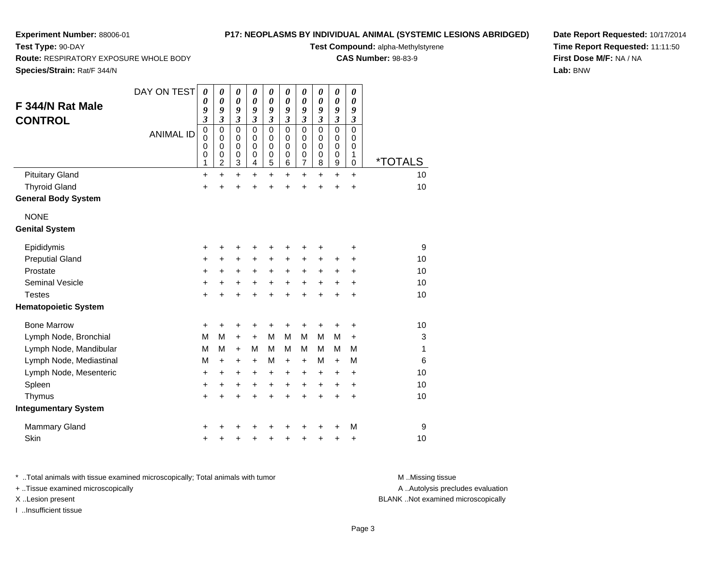**Route:** RESPIRATORY EXPOSURE WHOLE BODY

## **P17: NEOPLASMS BY INDIVIDUAL ANIMAL (SYSTEMIC LESIONS ABRIDGED)**

**Test Compound:** alpha-Methylstyrene

**CAS Number:** 98-83-9

**Species/Strain:** Rat/F 344/N

**Test Type:** 90-DAY

| F 344/N Rat Male<br><b>CONTROL</b>   | DAY ON TEST<br><b>ANIMAL ID</b> | 0<br>0<br>9<br>$\overline{\mathbf{3}}$<br>$\mathbf 0$<br>0<br>$\mathbf 0$<br>0<br>1 | 0<br>0<br>9<br>$\overline{\mathbf{3}}$<br>$\mathbf 0$<br>0<br>$\mathbf 0$<br>0<br>$\overline{c}$ | 0<br>0<br>9<br>$\overline{\mathbf{3}}$<br>0<br>0<br>$\mathbf 0$<br>0<br>3 | $\boldsymbol{\theta}$<br>$\boldsymbol{\theta}$<br>9<br>$\overline{\mathbf{3}}$<br>$\mathbf 0$<br>0<br>$\mathbf 0$<br>0<br>$\overline{4}$ | 0<br>$\theta$<br>9<br>$\overline{\mathbf{3}}$<br>$\mathbf 0$<br>0<br>0<br>0<br>5 | 0<br>0<br>9<br>$\mathfrak{z}$<br>$\mathbf 0$<br>0<br>$\mathbf 0$<br>0<br>6 | 0<br>0<br>9<br>$\overline{\mathbf{3}}$<br>$\mathbf 0$<br>0<br>$\mathbf 0$<br>$\boldsymbol{0}$<br>7 | 0<br>0<br>9<br>$\mathfrak{z}$<br>$\mathbf 0$<br>0<br>$\pmb{0}$<br>$\pmb{0}$<br>8 | $\boldsymbol{\theta}$<br>$\boldsymbol{\theta}$<br>9<br>$\mathfrak{z}$<br>$\Omega$<br>0<br>$\pmb{0}$<br>$\mathbf 0$<br>9 | 0<br>$\boldsymbol{\theta}$<br>9<br>$\mathfrak{z}$<br>$\Omega$<br>0<br>$\mathbf 0$<br>1<br>$\mathbf 0$ | <i><b>*TOTALS</b></i> |
|--------------------------------------|---------------------------------|-------------------------------------------------------------------------------------|--------------------------------------------------------------------------------------------------|---------------------------------------------------------------------------|------------------------------------------------------------------------------------------------------------------------------------------|----------------------------------------------------------------------------------|----------------------------------------------------------------------------|----------------------------------------------------------------------------------------------------|----------------------------------------------------------------------------------|-------------------------------------------------------------------------------------------------------------------------|-------------------------------------------------------------------------------------------------------|-----------------------|
| <b>Pituitary Gland</b>               |                                 | $\ddot{}$                                                                           | $\ddot{}$                                                                                        | $\ddot{}$                                                                 | $\ddot{}$                                                                                                                                | $\ddot{}$                                                                        | $\ddot{}$                                                                  | $\ddot{}$                                                                                          | $\ddot{}$                                                                        | $\ddot{}$                                                                                                               | $\ddot{}$                                                                                             | 10                    |
| <b>Thyroid Gland</b>                 |                                 | +                                                                                   |                                                                                                  | +                                                                         | $\ddot{}$                                                                                                                                | $\ddot{}$                                                                        | $\ddot{}$                                                                  | +                                                                                                  | +                                                                                | $\ddot{}$                                                                                                               | $\ddot{}$                                                                                             | 10                    |
| <b>General Body System</b>           |                                 |                                                                                     |                                                                                                  |                                                                           |                                                                                                                                          |                                                                                  |                                                                            |                                                                                                    |                                                                                  |                                                                                                                         |                                                                                                       |                       |
| <b>NONE</b><br><b>Genital System</b> |                                 |                                                                                     |                                                                                                  |                                                                           |                                                                                                                                          |                                                                                  |                                                                            |                                                                                                    |                                                                                  |                                                                                                                         |                                                                                                       |                       |
| Epididymis                           |                                 | $\ddot{}$                                                                           | ٠                                                                                                | +                                                                         | +                                                                                                                                        | +                                                                                | +                                                                          | +                                                                                                  | +                                                                                |                                                                                                                         | +                                                                                                     | 9                     |
| <b>Preputial Gland</b>               |                                 | $\ddot{}$                                                                           | $\ddot{}$                                                                                        | $\ddot{}$                                                                 | $\ddot{}$                                                                                                                                | $\ddot{}$                                                                        | $\ddot{}$                                                                  | $\ddot{}$                                                                                          | $\ddot{}$                                                                        | +                                                                                                                       | $\ddot{}$                                                                                             | 10                    |
| Prostate                             |                                 | $\ddot{}$                                                                           | $\ddot{}$                                                                                        | $\ddot{}$                                                                 | $\ddot{}$                                                                                                                                | $\ddot{}$                                                                        | $\ddot{}$                                                                  | +                                                                                                  | $\ddot{}$                                                                        | +                                                                                                                       | $\ddot{}$                                                                                             | 10                    |
| <b>Seminal Vesicle</b>               |                                 | $\ddot{}$                                                                           | $\ddot{}$                                                                                        | +                                                                         | +                                                                                                                                        | +                                                                                | $\ddot{}$                                                                  | +                                                                                                  | $\ddot{}$                                                                        | +                                                                                                                       | $\ddot{}$                                                                                             | 10                    |
| <b>Testes</b>                        |                                 | +                                                                                   |                                                                                                  | $\ddot{}$                                                                 | $\ddot{}$                                                                                                                                | $\ddot{}$                                                                        | $\ddot{}$                                                                  | $\ddot{}$                                                                                          | $\ddot{}$                                                                        | $\ddot{}$                                                                                                               | $\ddot{}$                                                                                             | 10                    |
| <b>Hematopoietic System</b>          |                                 |                                                                                     |                                                                                                  |                                                                           |                                                                                                                                          |                                                                                  |                                                                            |                                                                                                    |                                                                                  |                                                                                                                         |                                                                                                       |                       |
| <b>Bone Marrow</b>                   |                                 | +                                                                                   | ٠                                                                                                | +                                                                         | +                                                                                                                                        | +                                                                                | +                                                                          | +                                                                                                  | +                                                                                | +                                                                                                                       | +                                                                                                     | 10                    |
| Lymph Node, Bronchial                |                                 | M                                                                                   | М                                                                                                | $\ddot{}$                                                                 | +                                                                                                                                        | M                                                                                | M                                                                          | M                                                                                                  | M                                                                                | M                                                                                                                       | $\ddot{}$                                                                                             | 3                     |
| Lymph Node, Mandibular               |                                 | M                                                                                   | M                                                                                                | +                                                                         | M                                                                                                                                        | М                                                                                | M                                                                          | M                                                                                                  | м                                                                                | м                                                                                                                       | M                                                                                                     | 1                     |
| Lymph Node, Mediastinal              |                                 | M                                                                                   | $\ddot{}$                                                                                        | +                                                                         | $\ddot{}$                                                                                                                                | M                                                                                | $\ddot{}$                                                                  | $+$                                                                                                | M                                                                                | $+$                                                                                                                     | M                                                                                                     | 6                     |
| Lymph Node, Mesenteric               |                                 | $\ddot{}$                                                                           | $\ddot{}$                                                                                        | +                                                                         | $\ddot{}$                                                                                                                                | $\ddot{}$                                                                        | $\ddot{}$                                                                  | +                                                                                                  | +                                                                                | $\ddot{}$                                                                                                               | $\ddot{}$                                                                                             | 10                    |
| Spleen                               |                                 | $\ddot{}$                                                                           | $\ddot{}$                                                                                        | +                                                                         | $\ddot{}$                                                                                                                                | $\ddot{}$                                                                        | $\ddot{}$                                                                  | +                                                                                                  | $\ddot{}$                                                                        | $\ddot{}$                                                                                                               | $\ddot{}$                                                                                             | 10                    |
| Thymus                               |                                 | $\ddot{}$                                                                           | $\ddot{}$                                                                                        | $\ddot{}$                                                                 | $\ddot{}$                                                                                                                                | $\ddot{}$                                                                        | $\ddot{}$                                                                  | $\ddot{}$                                                                                          | $\ddot{}$                                                                        | $\ddot{}$                                                                                                               | $\ddot{}$                                                                                             | 10                    |
| <b>Integumentary System</b>          |                                 |                                                                                     |                                                                                                  |                                                                           |                                                                                                                                          |                                                                                  |                                                                            |                                                                                                    |                                                                                  |                                                                                                                         |                                                                                                       |                       |
| <b>Mammary Gland</b>                 |                                 |                                                                                     |                                                                                                  |                                                                           |                                                                                                                                          |                                                                                  |                                                                            |                                                                                                    | +                                                                                |                                                                                                                         | M                                                                                                     | 9                     |
| Skin                                 |                                 | +                                                                                   |                                                                                                  | +                                                                         | +                                                                                                                                        | +                                                                                | +                                                                          | +                                                                                                  | +                                                                                | +                                                                                                                       | +                                                                                                     | 10                    |

**Date Report Requested:** 10/17/2014**Time Report Requested:** 11:11:50**First Dose M/F:** NA / NA**Lab:** BNW

\* ..Total animals with tissue examined microscopically; Total animals with tumor **M** . Missing tissue M ..Missing tissue

+ ..Tissue examined microscopically

I ..Insufficient tissue

A ..Autolysis precludes evaluation

X ..Lesion present BLANK ..Not examined microscopically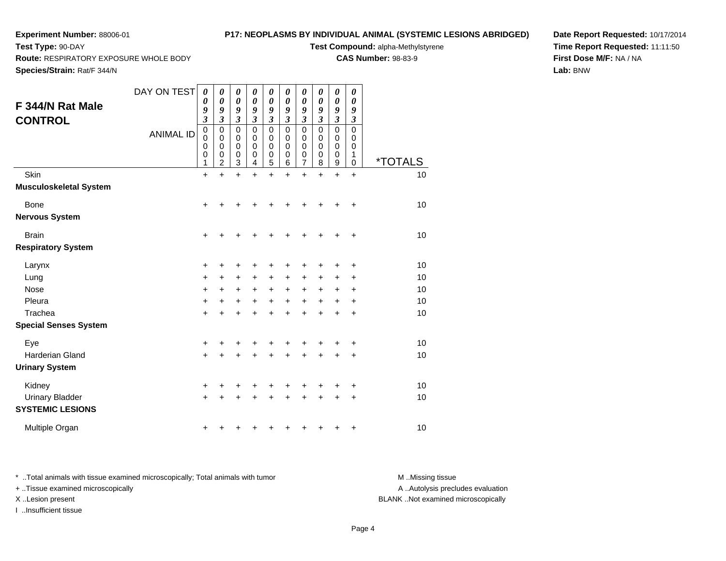**Route:** RESPIRATORY EXPOSURE WHOLE BODY

## **P17: NEOPLASMS BY INDIVIDUAL ANIMAL (SYSTEMIC LESIONS ABRIDGED)**

**Test Compound:** alpha-Methylstyrene

**CAS Number:** 98-83-9

**Species/Strain:** Rat/F 344/N

**Test Type:** 90-DAY

**Date Report Requested:** 10/17/2014**Time Report Requested:** 11:11:50**First Dose M/F:** NA / NA**Lab:** BNW

| F 344/N Rat Male<br><b>CONTROL</b>                          | DAY ON TEST<br><b>ANIMAL ID</b> | 0<br>0<br>9<br>3<br>$\begin{smallmatrix}0\0\0\end{smallmatrix}$<br>0<br>$\boldsymbol{0}$<br>1 | 0<br>0<br>9<br>$\overline{\mathbf{3}}$<br>0<br>0<br>0<br>0<br>$\overline{c}$ | 0<br>0<br>9<br>3<br>0<br>0<br>0<br>0<br>3 | 0<br>0<br>9<br>3<br>$\mathbf 0$<br>$\mathbf 0$<br>0<br>0<br>4 | 0<br>$\boldsymbol{\theta}$<br>9<br>3<br>$\mathbf 0$<br>$\pmb{0}$<br>$\mathbf 0$<br>$\mathbf 0$<br>5 | 0<br>0<br>9<br>3<br>$\mathbf 0$<br>$\mathbf 0$<br>0<br>0<br>6 | 0<br>0<br>9<br>3<br>0<br>$\mathbf 0$<br>0<br>0<br>7 | 0<br>0<br>9<br>3<br>$\mathbf 0$<br>0<br>0<br>0<br>8 | 0<br>$\boldsymbol{\theta}$<br>9<br>3<br>$\mathbf 0$<br>0<br>$\mathbf 0$<br>0<br>9 | 0<br>0<br>9<br>$\boldsymbol{\beta}$<br>0<br>0<br>0<br>1<br>$\mathbf 0$ | <i><b>*TOTALS</b></i>      |
|-------------------------------------------------------------|---------------------------------|-----------------------------------------------------------------------------------------------|------------------------------------------------------------------------------|-------------------------------------------|---------------------------------------------------------------|-----------------------------------------------------------------------------------------------------|---------------------------------------------------------------|-----------------------------------------------------|-----------------------------------------------------|-----------------------------------------------------------------------------------|------------------------------------------------------------------------|----------------------------|
| Skin<br><b>Musculoskeletal System</b>                       |                                 | $\ddot{}$                                                                                     | $\ddot{}$                                                                    | $\ddot{}$                                 | $\ddot{}$                                                     | $\ddot{}$                                                                                           | $\ddot{}$                                                     | $\ddot{}$                                           | $\ddot{}$                                           | $\ddot{}$                                                                         | $\ddot{}$                                                              | 10                         |
| Bone<br><b>Nervous System</b>                               |                                 | $\ddot{}$                                                                                     |                                                                              |                                           |                                                               |                                                                                                     |                                                               |                                                     | +                                                   | +                                                                                 | +                                                                      | 10                         |
| <b>Brain</b><br><b>Respiratory System</b>                   |                                 | $\ddot{}$                                                                                     | +                                                                            | +                                         | +                                                             |                                                                                                     | ٠                                                             | ٠                                                   | +                                                   | +                                                                                 | +                                                                      | 10                         |
| Larynx<br>Lung<br>Nose<br>Pleura<br>Trachea                 |                                 | +<br>$\ddot{}$<br>+<br>$\ddot{}$<br>$\ddot{}$                                                 | +<br>+<br>+<br>$\ddot{}$                                                     | +<br>$\ddot{}$<br>+<br>+<br>+             | $\ddot{}$<br>+<br>+                                           | +<br>$\ddot{}$<br>$+$                                                                               | $\ddot{}$<br>+<br>$\ddot{}$                                   | +<br>+<br>$\ddot{}$<br>$\ddot{}$<br>$\ddot{}$       | +<br>+<br>+<br>$\ddot{}$<br>$\ddot{}$               | +<br>+<br>+<br>$\ddot{}$<br>+                                                     | +<br>+<br>+<br>+<br>+                                                  | 10<br>10<br>10<br>10<br>10 |
| <b>Special Senses System</b>                                |                                 |                                                                                               |                                                                              |                                           |                                                               |                                                                                                     |                                                               |                                                     |                                                     |                                                                                   |                                                                        |                            |
| Eye<br>Harderian Gland<br><b>Urinary System</b>             |                                 | +<br>$\ddot{}$                                                                                | +                                                                            | +<br>÷                                    | +                                                             | +                                                                                                   | +                                                             | +<br>+                                              | +<br>$\ddot{}$                                      | $\ddot{}$                                                                         | +<br>$\ddot{}$                                                         | 10<br>10                   |
| Kidney<br><b>Urinary Bladder</b><br><b>SYSTEMIC LESIONS</b> |                                 | +<br>$\ddot{}$                                                                                | +                                                                            | +                                         |                                                               |                                                                                                     |                                                               | +<br>$\ddot{}$                                      | +<br>$\ddot{}$                                      | +<br>+                                                                            | +<br>+                                                                 | 10<br>10                   |
| Multiple Organ                                              |                                 | +                                                                                             |                                                                              |                                           |                                                               |                                                                                                     |                                                               |                                                     | +                                                   | +                                                                                 | +                                                                      | 10                         |

\* ..Total animals with tissue examined microscopically; Total animals with tumor **M** . Missing tissue M ..Missing tissue + ..Tissue examined microscopically

I ..Insufficient tissue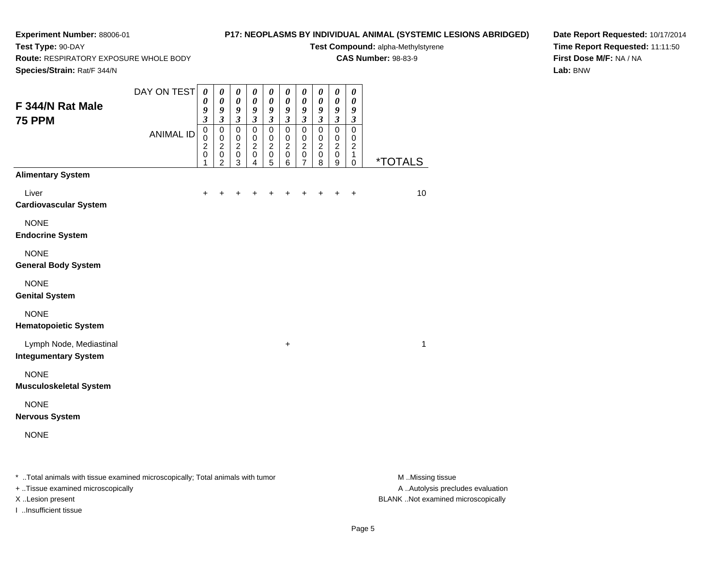# **P17: NEOPLASMS BY INDIVIDUAL ANIMAL (SYSTEMIC LESIONS ABRIDGED)**

**Test Compound:** alpha-Methylstyrene**CAS Number:** 98-83-9

**Route:** RESPIRATORY EXPOSURE WHOLE BODY

**Species/Strain:** Rat/F 344/N

**Test Type:** 90-DAY

**Date Report Requested:** 10/17/2014**Time Report Requested:** 11:11:50**First Dose M/F:** NA / NA**Lab:** BNW

| <b>Species/Strain:</b> Rat/F 344/N                     |                  |                                                                                |                                                                                      |                                                                |                                                                                      |                                                          |                                                           |                                                                                        |                                                                  |                                                                  |                                                            |                       |
|--------------------------------------------------------|------------------|--------------------------------------------------------------------------------|--------------------------------------------------------------------------------------|----------------------------------------------------------------|--------------------------------------------------------------------------------------|----------------------------------------------------------|-----------------------------------------------------------|----------------------------------------------------------------------------------------|------------------------------------------------------------------|------------------------------------------------------------------|------------------------------------------------------------|-----------------------|
| F 344/N Rat Male<br><b>75 PPM</b>                      | DAY ON TEST      | $\boldsymbol{\theta}$<br>$\boldsymbol{\theta}$<br>9<br>$\overline{\mathbf{3}}$ | $\boldsymbol{\theta}$<br>$\boldsymbol{\theta}$<br>$\boldsymbol{9}$<br>$\mathfrak{z}$ | 0<br>$\boldsymbol{\theta}$<br>9<br>$\boldsymbol{\mathfrak{z}}$ | $\boldsymbol{\theta}$<br>$\boldsymbol{\theta}$<br>$\boldsymbol{9}$<br>$\mathfrak{z}$ | 0<br>$\boldsymbol{\theta}$<br>9<br>$\mathfrak{z}$        | 0<br>$\pmb{\theta}$<br>$\boldsymbol{9}$<br>$\mathfrak{z}$ | $\pmb{\theta}$<br>$\boldsymbol{\theta}$<br>$\boldsymbol{g}$<br>$\overline{\mathbf{3}}$ | 0<br>$\boldsymbol{\theta}$<br>9<br>$\mathfrak{z}$                | 0<br>$\boldsymbol{\theta}$<br>$\boldsymbol{9}$<br>$\mathfrak{z}$ | 0<br>0<br>9<br>$\boldsymbol{\mathfrak{z}}$                 |                       |
|                                                        | <b>ANIMAL ID</b> | $\mathbf 0$<br>$\mathbf 0$<br>$\boldsymbol{2}$<br>$\mathbf 0$<br>$\mathbf{1}$  | $\pmb{0}$<br>$\mathbf 0$<br>$\overline{2}$<br>$\pmb{0}$<br>$\overline{2}$            | $\overline{0}$<br>$\pmb{0}$<br>$\frac{2}{0}$<br>$\overline{3}$ | $\mathsf 0$<br>$\pmb{0}$<br>$\overline{c}$<br>$\pmb{0}$<br>4                         | $\overline{\text{o}}$<br>$\pmb{0}$<br>$\frac{2}{0}$<br>5 | $\mathbf 0$<br>$\mathbf 0$<br>$\frac{2}{0}$<br>$\,6$      | $\pmb{0}$<br>$\pmb{0}$<br>$\frac{2}{0}$<br>$\overline{7}$                              | $\mathbf 0$<br>$\pmb{0}$<br>$\boldsymbol{2}$<br>$\mathsf 0$<br>8 | $\mathsf 0$<br>$\mathbf 0$<br>$\overline{c}$<br>$\pmb{0}$<br>9   | $\overline{0}$<br>0<br>$\overline{c}$<br>$\mathbf{1}$<br>0 | <i><b>*TOTALS</b></i> |
| <b>Alimentary System</b>                               |                  |                                                                                |                                                                                      |                                                                |                                                                                      |                                                          |                                                           |                                                                                        |                                                                  |                                                                  |                                                            |                       |
| Liver<br><b>Cardiovascular System</b>                  |                  | +                                                                              |                                                                                      |                                                                |                                                                                      |                                                          |                                                           |                                                                                        |                                                                  | +                                                                | $\ddot{}$                                                  | 10                    |
| <b>NONE</b><br><b>Endocrine System</b>                 |                  |                                                                                |                                                                                      |                                                                |                                                                                      |                                                          |                                                           |                                                                                        |                                                                  |                                                                  |                                                            |                       |
| <b>NONE</b><br><b>General Body System</b>              |                  |                                                                                |                                                                                      |                                                                |                                                                                      |                                                          |                                                           |                                                                                        |                                                                  |                                                                  |                                                            |                       |
| <b>NONE</b><br><b>Genital System</b>                   |                  |                                                                                |                                                                                      |                                                                |                                                                                      |                                                          |                                                           |                                                                                        |                                                                  |                                                                  |                                                            |                       |
| <b>NONE</b><br><b>Hematopoietic System</b>             |                  |                                                                                |                                                                                      |                                                                |                                                                                      |                                                          |                                                           |                                                                                        |                                                                  |                                                                  |                                                            |                       |
| Lymph Node, Mediastinal<br><b>Integumentary System</b> |                  |                                                                                |                                                                                      |                                                                |                                                                                      |                                                          | $\ddot{}$                                                 |                                                                                        |                                                                  |                                                                  |                                                            | 1                     |
| <b>NONE</b><br><b>Musculoskeletal System</b>           |                  |                                                                                |                                                                                      |                                                                |                                                                                      |                                                          |                                                           |                                                                                        |                                                                  |                                                                  |                                                            |                       |
| <b>NONE</b><br><b>Nervous System</b>                   |                  |                                                                                |                                                                                      |                                                                |                                                                                      |                                                          |                                                           |                                                                                        |                                                                  |                                                                  |                                                            |                       |
| <b>NONE</b>                                            |                  |                                                                                |                                                                                      |                                                                |                                                                                      |                                                          |                                                           |                                                                                        |                                                                  |                                                                  |                                                            |                       |

\* ..Total animals with tissue examined microscopically; Total animals with tumor **M** . Missing tissue M ..Missing tissue

+ ..Tissue examined microscopically

I ..Insufficient tissue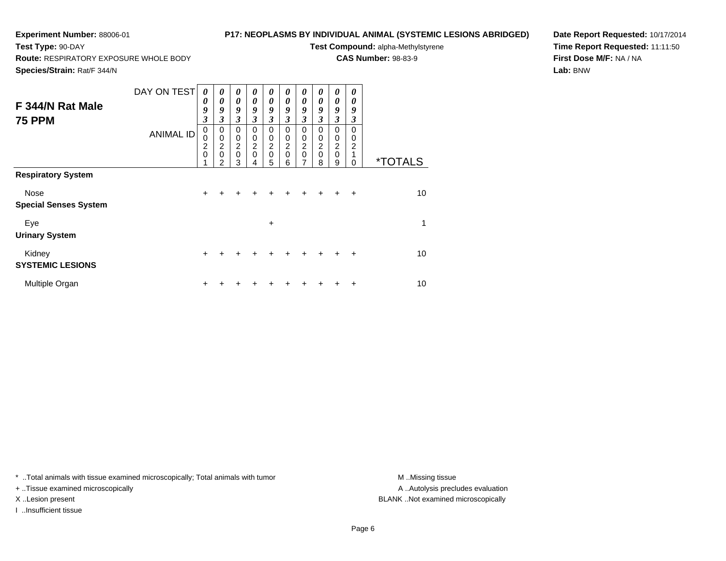## **P17: NEOPLASMS BY INDIVIDUAL ANIMAL (SYSTEMIC LESIONS ABRIDGED)**

**Test Compound:** alpha-Methylstyrene**CAS Number:** 98-83-9

**Route:** RESPIRATORY EXPOSURE WHOLE BODY

**Species/Strain:** Rat/F 344/N

**Test Type:** 90-DAY

**Date Report Requested:** 10/17/2014**Time Report Requested:** 11:11:50**First Dose M/F:** NA / NA**Lab:** BNW

| F 344/N Rat Male<br><b>75 PPM</b>    | DAY ON TEST<br><b>ANIMAL ID</b> | 0<br>0<br>9<br>$\boldsymbol{\beta}$<br>0<br>$\mathbf 0$<br>$\frac{2}{0}$ | 0<br>$\boldsymbol{\theta}$<br>9<br>$\boldsymbol{\beta}$<br>0<br>0<br>$\overline{2}$<br>$\mathbf 0$<br>2 | 0<br>$\boldsymbol{\theta}$<br>9<br>3<br>0<br>$\boldsymbol{0}$<br>$\overline{2}$<br>$\mathbf 0$<br>3 | 0<br>0<br>9<br>$\boldsymbol{\beta}$<br>0<br>0<br>$\overline{c}$<br>0<br>4 | 0<br>0<br>9<br>3<br>0<br>$\pmb{0}$<br>$\frac{2}{0}$<br>5 | 0<br>0<br>9<br>3<br>0<br>0<br>$\boldsymbol{2}$<br>$\mathbf 0$<br>6 | 0<br>$\boldsymbol{\theta}$<br>9<br>3<br>0<br>0<br>$\overline{c}$<br>$\mathbf 0$<br>7 | 0<br>0<br>9<br>3<br>$\Omega$<br>0<br>$\overline{2}$<br>$\mathbf 0$<br>8 | 0<br>0<br>9<br>$\mathfrak{z}$<br>0<br>0<br>$\overline{2}$<br>$\mathbf 0$<br>9 | 0<br>0<br>9<br>3<br>0<br>0<br>$\overline{2}$<br>1<br>0 | <i><b>*TOTALS</b></i> |
|--------------------------------------|---------------------------------|--------------------------------------------------------------------------|---------------------------------------------------------------------------------------------------------|-----------------------------------------------------------------------------------------------------|---------------------------------------------------------------------------|----------------------------------------------------------|--------------------------------------------------------------------|--------------------------------------------------------------------------------------|-------------------------------------------------------------------------|-------------------------------------------------------------------------------|--------------------------------------------------------|-----------------------|
| <b>Respiratory System</b>            |                                 |                                                                          |                                                                                                         |                                                                                                     |                                                                           |                                                          |                                                                    |                                                                                      |                                                                         |                                                                               |                                                        |                       |
| Nose<br><b>Special Senses System</b> |                                 | $\ddot{}$                                                                | +                                                                                                       |                                                                                                     |                                                                           |                                                          |                                                                    |                                                                                      |                                                                         |                                                                               | ÷                                                      | 10                    |
| Eye                                  |                                 |                                                                          |                                                                                                         |                                                                                                     |                                                                           | ٠                                                        |                                                                    |                                                                                      |                                                                         |                                                                               |                                                        | 1                     |
| <b>Urinary System</b>                |                                 |                                                                          |                                                                                                         |                                                                                                     |                                                                           |                                                          |                                                                    |                                                                                      |                                                                         |                                                                               |                                                        |                       |
| Kidney<br><b>SYSTEMIC LESIONS</b>    |                                 | $\ddot{}$                                                                |                                                                                                         |                                                                                                     |                                                                           |                                                          |                                                                    |                                                                                      |                                                                         |                                                                               | $\ddot{}$                                              | 10                    |
| Multiple Organ                       |                                 | +                                                                        |                                                                                                         |                                                                                                     |                                                                           |                                                          |                                                                    |                                                                                      |                                                                         |                                                                               | ÷                                                      | 10                    |

\* ..Total animals with tissue examined microscopically; Total animals with tumor **M** . Missing tissue M ..Missing tissue

+ ..Tissue examined microscopically

I ..Insufficient tissue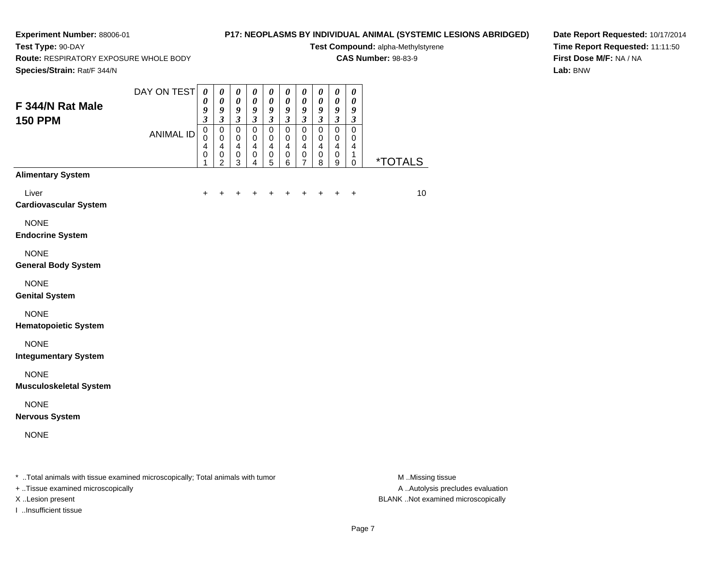# **P17: NEOPLASMS BY INDIVIDUAL ANIMAL (SYSTEMIC LESIONS ABRIDGED)**

**Test Compound:** alpha-Methylstyrene**CAS Number:** 98-83-9

**Route:** RESPIRATORY EXPOSURE WHOLE BODY

**Species/Strain:** Rat/F 344/N

**Test Type:** 90-DAY

**Date Report Requested:** 10/17/2014**Time Report Requested:** 11:11:50**First Dose M/F:** NA / NA**Lab:** BNW

| Species/Strain: Rat/F 344/N                                                            |                  |                                                                |                                                                          |                                                                |                                                                |                                                                      |                                                                       |                                                                       |                                                                      |                                                                         |                                                                             |                       |            |
|----------------------------------------------------------------------------------------|------------------|----------------------------------------------------------------|--------------------------------------------------------------------------|----------------------------------------------------------------|----------------------------------------------------------------|----------------------------------------------------------------------|-----------------------------------------------------------------------|-----------------------------------------------------------------------|----------------------------------------------------------------------|-------------------------------------------------------------------------|-----------------------------------------------------------------------------|-----------------------|------------|
| F 344/N Rat Male<br><b>150 PPM</b>                                                     | DAY ON TEST      | $\boldsymbol{\theta}$<br>0<br>9<br>$\boldsymbol{\mathfrak{z}}$ | $\pmb{\theta}$<br>$\boldsymbol{\theta}$<br>9<br>$\mathfrak{z}$           | $\pmb{\theta}$<br>$\boldsymbol{\theta}$<br>9<br>$\mathfrak{z}$ | $\pmb{\theta}$<br>$\boldsymbol{\theta}$<br>9<br>$\mathfrak{z}$ | $\pmb{\theta}$<br>$\boldsymbol{\theta}$<br>9<br>$\boldsymbol{\beta}$ | $\boldsymbol{\theta}$<br>$\boldsymbol{\theta}$<br>9<br>$\mathfrak{z}$ | $\boldsymbol{\theta}$<br>$\boldsymbol{\theta}$<br>9<br>$\mathfrak{Z}$ | $\boldsymbol{\theta}$<br>$\pmb{\theta}$<br>9<br>$\boldsymbol{\beta}$ | $\pmb{\theta}$<br>$\boldsymbol{\theta}$<br>9<br>$\mathfrak{z}$          | $\boldsymbol{\theta}$<br>$\boldsymbol{\theta}$<br>9<br>$\boldsymbol{\beta}$ |                       |            |
|                                                                                        | <b>ANIMAL ID</b> | $\pmb{0}$<br>$\mathbf 0$<br>4<br>$\mathbf 0$<br>1              | $\pmb{0}$<br>0<br>$\overline{\mathbf{4}}$<br>$\pmb{0}$<br>$\overline{2}$ | $\pmb{0}$<br>0<br>$\overline{\mathbf{4}}$<br>$\pmb{0}$<br>3    | $\pmb{0}$<br>0<br>4<br>$\mathbf 0$<br>4                        | $\mathbf 0$<br>0<br>$\overline{\mathbf{4}}$<br>$\pmb{0}$<br>5        | $\pmb{0}$<br>0<br>$\overline{4}$<br>$\pmb{0}$<br>6                    | $\pmb{0}$<br>0<br>$\overline{4}$<br>$\pmb{0}$<br>$\overline{7}$       | $\pmb{0}$<br>0<br>$\overline{\mathbf{4}}$<br>$\mathsf 0$<br>8        | $\pmb{0}$<br>$\mathbf 0$<br>$\overline{\mathbf{4}}$<br>$\mathbf 0$<br>9 | $\pmb{0}$<br>0<br>$\overline{\mathbf{4}}$<br>1<br>$\mathbf 0$               | <i><b>*TOTALS</b></i> |            |
| <b>Alimentary System</b>                                                               |                  |                                                                |                                                                          |                                                                |                                                                |                                                                      |                                                                       |                                                                       |                                                                      |                                                                         |                                                                             |                       |            |
| Liver<br><b>Cardiovascular System</b>                                                  |                  | +                                                              |                                                                          |                                                                |                                                                |                                                                      |                                                                       |                                                                       |                                                                      |                                                                         | +                                                                           |                       | 10         |
| <b>NONE</b><br><b>Endocrine System</b>                                                 |                  |                                                                |                                                                          |                                                                |                                                                |                                                                      |                                                                       |                                                                       |                                                                      |                                                                         |                                                                             |                       |            |
| <b>NONE</b><br><b>General Body System</b>                                              |                  |                                                                |                                                                          |                                                                |                                                                |                                                                      |                                                                       |                                                                       |                                                                      |                                                                         |                                                                             |                       |            |
| <b>NONE</b><br><b>Genital System</b>                                                   |                  |                                                                |                                                                          |                                                                |                                                                |                                                                      |                                                                       |                                                                       |                                                                      |                                                                         |                                                                             |                       |            |
| <b>NONE</b><br><b>Hematopoietic System</b>                                             |                  |                                                                |                                                                          |                                                                |                                                                |                                                                      |                                                                       |                                                                       |                                                                      |                                                                         |                                                                             |                       |            |
| <b>NONE</b><br><b>Integumentary System</b>                                             |                  |                                                                |                                                                          |                                                                |                                                                |                                                                      |                                                                       |                                                                       |                                                                      |                                                                         |                                                                             |                       |            |
| <b>NONE</b><br><b>Musculoskeletal System</b>                                           |                  |                                                                |                                                                          |                                                                |                                                                |                                                                      |                                                                       |                                                                       |                                                                      |                                                                         |                                                                             |                       |            |
| <b>NONE</b><br><b>Nervous System</b>                                                   |                  |                                                                |                                                                          |                                                                |                                                                |                                                                      |                                                                       |                                                                       |                                                                      |                                                                         |                                                                             |                       |            |
| <b>NONE</b>                                                                            |                  |                                                                |                                                                          |                                                                |                                                                |                                                                      |                                                                       |                                                                       |                                                                      |                                                                         |                                                                             |                       |            |
| Tatal and major collection is accounted in consequent allow Tatal and major collection |                  |                                                                |                                                                          |                                                                |                                                                |                                                                      |                                                                       |                                                                       |                                                                      |                                                                         |                                                                             |                       | $A \cup B$ |

..Total animals with tissue examined microscopically; Total animals with tumor M ..Missing tissue M ..Missing tissue

+ ..Tissue examined microscopically

I ..Insufficient tissue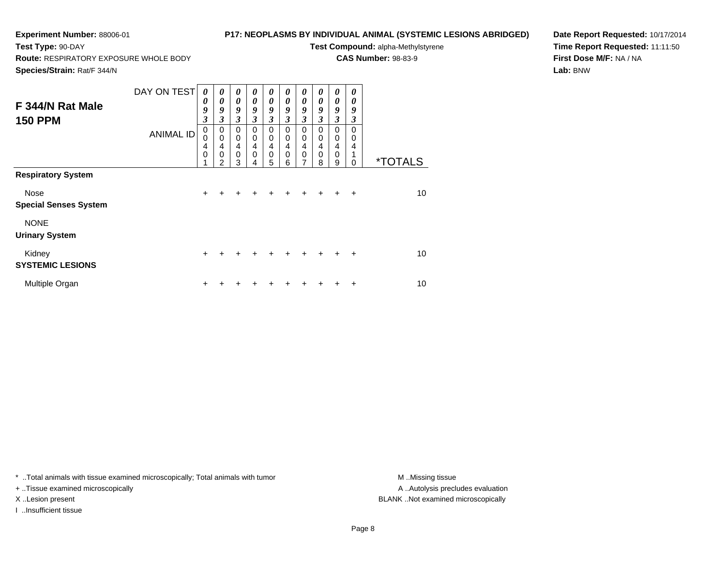## **P17: NEOPLASMS BY INDIVIDUAL ANIMAL (SYSTEMIC LESIONS ABRIDGED)**

**Test Compound:** alpha-Methylstyrene**CAS Number:** 98-83-9

**Route:** RESPIRATORY EXPOSURE WHOLE BODY

**Species/Strain:** Rat/F 344/N

**Test Type:** 90-DAY

**Date Report Requested:** 10/17/2014**Time Report Requested:** 11:11:50**First Dose M/F:** NA / NA**Lab:** BNW

| F 344/N Rat Male<br><b>150 PPM</b>          | DAY ON TEST<br><b>ANIMAL ID</b> | 0<br>0<br>9<br>$\boldsymbol{\beta}$<br>$\pmb{0}$<br>0<br>4<br>$\mathbf 0$<br>1 | $\boldsymbol{\theta}$<br>0<br>9<br>3<br>$\mathbf 0$<br>$\mathbf 0$<br>4<br>$\mathbf 0$<br>$\mathfrak{p}$ | $\boldsymbol{\theta}$<br>$\boldsymbol{\theta}$<br>9<br>3<br>$\mathbf 0$<br>$\mathbf 0$<br>$\overline{\mathbf{4}}$<br>$\mathbf 0$<br>3 | 0<br>0<br>9<br>$\mathfrak{z}$<br>0<br>0<br>$\overline{4}$<br>$\mathbf 0$<br>4 | 0<br>0<br>9<br>3<br>0<br>0<br>4<br>$\mathbf 0$<br>5 | 0<br>0<br>9<br>3<br>0<br>0<br>4<br>$\mathbf 0$<br>6 | 0<br>$\boldsymbol{\theta}$<br>9<br>3<br>0<br>$\mathbf 0$<br>4<br>$\mathbf 0$<br>7 | 0<br>0<br>9<br>3<br>$\Omega$<br>$\mathbf 0$<br>$\overline{4}$<br>$\mathbf 0$<br>8 | 0<br>$\boldsymbol{\theta}$<br>9<br>3<br>0<br>0<br>$\overline{4}$<br>$\mathbf 0$<br>9 | 0<br>0<br>9<br>3<br>$\Omega$<br>$\Omega$<br>4<br>1<br>0 | <i><b>*TOTALS</b></i> |
|---------------------------------------------|---------------------------------|--------------------------------------------------------------------------------|----------------------------------------------------------------------------------------------------------|---------------------------------------------------------------------------------------------------------------------------------------|-------------------------------------------------------------------------------|-----------------------------------------------------|-----------------------------------------------------|-----------------------------------------------------------------------------------|-----------------------------------------------------------------------------------|--------------------------------------------------------------------------------------|---------------------------------------------------------|-----------------------|
| <b>Respiratory System</b>                   |                                 |                                                                                |                                                                                                          |                                                                                                                                       |                                                                               |                                                     |                                                     |                                                                                   |                                                                                   |                                                                                      |                                                         |                       |
| <b>Nose</b><br><b>Special Senses System</b> |                                 | $+$                                                                            | $\div$                                                                                                   | $\div$                                                                                                                                | +                                                                             |                                                     | $\div$                                              | $\ddot{}$                                                                         | $+$                                                                               | $+$                                                                                  | $\ddot{}$                                               | 10                    |
| <b>NONE</b><br><b>Urinary System</b>        |                                 |                                                                                |                                                                                                          |                                                                                                                                       |                                                                               |                                                     |                                                     |                                                                                   |                                                                                   |                                                                                      |                                                         |                       |
| Kidney<br><b>SYSTEMIC LESIONS</b>           |                                 | $+$                                                                            |                                                                                                          |                                                                                                                                       |                                                                               |                                                     |                                                     |                                                                                   |                                                                                   |                                                                                      | $\ddot{}$                                               | 10                    |
| Multiple Organ                              |                                 | ٠                                                                              |                                                                                                          |                                                                                                                                       |                                                                               |                                                     |                                                     |                                                                                   |                                                                                   |                                                                                      | ÷                                                       | 10                    |

\* ..Total animals with tissue examined microscopically; Total animals with tumor **M** . Missing tissue M ..Missing tissue

+ ..Tissue examined microscopically

I ..Insufficient tissue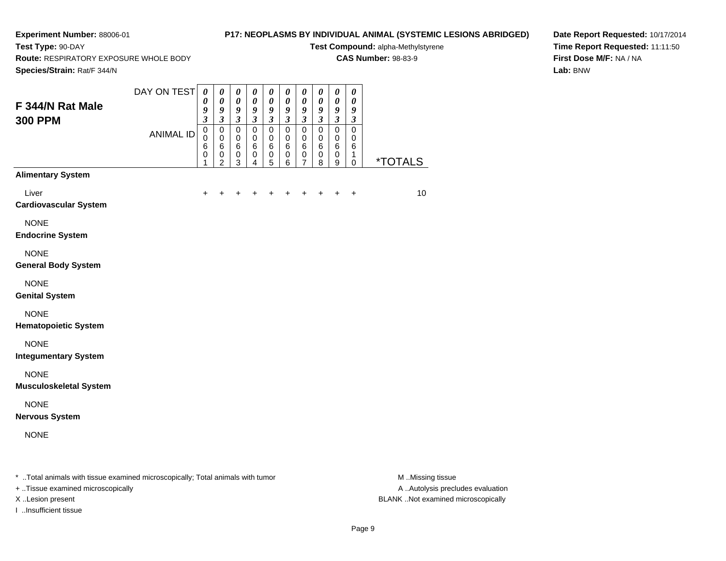**Test Type:** 90-DAY

# **P17: NEOPLASMS BY INDIVIDUAL ANIMAL (SYSTEMIC LESIONS ABRIDGED)**

**Test Compound:** alpha-Methylstyrene**CAS Number:** 98-83-9

**Route:** RESPIRATORY EXPOSURE WHOLE BODY

**Date Report Requested:** 10/17/2014**Time Report Requested:** 11:11:50**First Dose M/F:** NA / NA**Lab:** BNW

| Species/Strain: Rat/F 344/N                                                                                                 |                                 |                                                                                                                                                  |                                                                                                               |                                                                                                                        |                                                                                                        |                                                                                                                           |                                                                                                                                    |                                                                                                          |                                                                                                                                        |                                                                                                                |                                                                                                                      |                       |
|-----------------------------------------------------------------------------------------------------------------------------|---------------------------------|--------------------------------------------------------------------------------------------------------------------------------------------------|---------------------------------------------------------------------------------------------------------------|------------------------------------------------------------------------------------------------------------------------|--------------------------------------------------------------------------------------------------------|---------------------------------------------------------------------------------------------------------------------------|------------------------------------------------------------------------------------------------------------------------------------|----------------------------------------------------------------------------------------------------------|----------------------------------------------------------------------------------------------------------------------------------------|----------------------------------------------------------------------------------------------------------------|----------------------------------------------------------------------------------------------------------------------|-----------------------|
| F 344/N Rat Male<br><b>300 PPM</b>                                                                                          | DAY ON TEST<br><b>ANIMAL ID</b> | $\boldsymbol{\theta}$<br>$\boldsymbol{\theta}$<br>$\boldsymbol{g}$<br>$\mathfrak{z}$<br>$\mathbf 0$<br>$\pmb{0}$<br>$6\phantom{1}6$<br>$\pmb{0}$ | $\boldsymbol{\theta}$<br>$\boldsymbol{\theta}$<br>9<br>$\mathfrak{z}$<br>$\mathbf 0$<br>$\mathbf 0$<br>6<br>0 | $\boldsymbol{\theta}$<br>$\boldsymbol{\theta}$<br>9<br>$\overline{\mathbf{3}}$<br>$\mathbf 0$<br>$\mathbf 0$<br>6<br>0 | $\pmb{\theta}$<br>$\boldsymbol{\theta}$<br>9<br>$\mathfrak{z}$<br>$\mathbf 0$<br>$\mathbf 0$<br>6<br>0 | $\boldsymbol{\theta}$<br>$\pmb{\theta}$<br>$\boldsymbol{g}$<br>$\mathfrak{z}$<br>$\mathbf 0$<br>$\mathbf 0$<br>$\,6$<br>0 | $\boldsymbol{\theta}$<br>$\boldsymbol{\theta}$<br>$\boldsymbol{g}$<br>$\mathfrak{z}$<br>$\mathbf 0$<br>$\mathbf 0$<br>$\,6\,$<br>0 | $\boldsymbol{\theta}$<br>$\pmb{\theta}$<br>9<br>$\mathfrak{z}$<br>$\mathbf 0$<br>$\pmb{0}$<br>$\,6$<br>0 | $\pmb{\theta}$<br>$\pmb{\theta}$<br>$\boldsymbol{g}$<br>$\mathfrak{z}$<br>$\mathbf 0$<br>$\mathbf 0$<br>$6\phantom{1}6$<br>$\mathbf 0$ | $\pmb{\theta}$<br>$\pmb{\theta}$<br>$\boldsymbol{g}$<br>$\mathfrak{z}$<br>$\mathbf 0$<br>$\mathbf 0$<br>6<br>0 | $\pmb{\theta}$<br>$\boldsymbol{\theta}$<br>9<br>$\mathfrak{z}$<br>$\mathbf 0$<br>$\mathbf 0$<br>$6\phantom{1}6$<br>1 |                       |
| <b>Alimentary System</b>                                                                                                    |                                 | $\mathbf{1}$                                                                                                                                     | $\overline{2}$                                                                                                | 3                                                                                                                      | 4                                                                                                      | 5                                                                                                                         | $\,6$                                                                                                                              | 7                                                                                                        | 8                                                                                                                                      | 9                                                                                                              | 0                                                                                                                    | <i><b>*TOTALS</b></i> |
| Liver<br><b>Cardiovascular System</b>                                                                                       |                                 | +                                                                                                                                                |                                                                                                               |                                                                                                                        |                                                                                                        |                                                                                                                           | +                                                                                                                                  |                                                                                                          | +                                                                                                                                      |                                                                                                                | $\ddot{}$                                                                                                            | 10                    |
| <b>NONE</b><br><b>Endocrine System</b>                                                                                      |                                 |                                                                                                                                                  |                                                                                                               |                                                                                                                        |                                                                                                        |                                                                                                                           |                                                                                                                                    |                                                                                                          |                                                                                                                                        |                                                                                                                |                                                                                                                      |                       |
| <b>NONE</b><br><b>General Body System</b>                                                                                   |                                 |                                                                                                                                                  |                                                                                                               |                                                                                                                        |                                                                                                        |                                                                                                                           |                                                                                                                                    |                                                                                                          |                                                                                                                                        |                                                                                                                |                                                                                                                      |                       |
| <b>NONE</b><br><b>Genital System</b>                                                                                        |                                 |                                                                                                                                                  |                                                                                                               |                                                                                                                        |                                                                                                        |                                                                                                                           |                                                                                                                                    |                                                                                                          |                                                                                                                                        |                                                                                                                |                                                                                                                      |                       |
| <b>NONE</b><br><b>Hematopoietic System</b>                                                                                  |                                 |                                                                                                                                                  |                                                                                                               |                                                                                                                        |                                                                                                        |                                                                                                                           |                                                                                                                                    |                                                                                                          |                                                                                                                                        |                                                                                                                |                                                                                                                      |                       |
| <b>NONE</b><br><b>Integumentary System</b>                                                                                  |                                 |                                                                                                                                                  |                                                                                                               |                                                                                                                        |                                                                                                        |                                                                                                                           |                                                                                                                                    |                                                                                                          |                                                                                                                                        |                                                                                                                |                                                                                                                      |                       |
| <b>NONE</b><br><b>Musculoskeletal System</b>                                                                                |                                 |                                                                                                                                                  |                                                                                                               |                                                                                                                        |                                                                                                        |                                                                                                                           |                                                                                                                                    |                                                                                                          |                                                                                                                                        |                                                                                                                |                                                                                                                      |                       |
| <b>NONE</b><br><b>Nervous System</b>                                                                                        |                                 |                                                                                                                                                  |                                                                                                               |                                                                                                                        |                                                                                                        |                                                                                                                           |                                                                                                                                    |                                                                                                          |                                                                                                                                        |                                                                                                                |                                                                                                                      |                       |
| <b>NONE</b>                                                                                                                 |                                 |                                                                                                                                                  |                                                                                                               |                                                                                                                        |                                                                                                        |                                                                                                                           |                                                                                                                                    |                                                                                                          |                                                                                                                                        |                                                                                                                |                                                                                                                      |                       |
| $\pm$ . The following the contract of the contract of the contract of the state of the contract of the contract of $\alpha$ |                                 |                                                                                                                                                  |                                                                                                               |                                                                                                                        |                                                                                                        |                                                                                                                           |                                                                                                                                    |                                                                                                          |                                                                                                                                        |                                                                                                                |                                                                                                                      | <b>BA BALLY</b>       |

..Total animals with tissue examined microscopically; Total animals with tumor M ..Missing tissue M ..Missing tissue

+ ..Tissue examined microscopically

I ..Insufficient tissue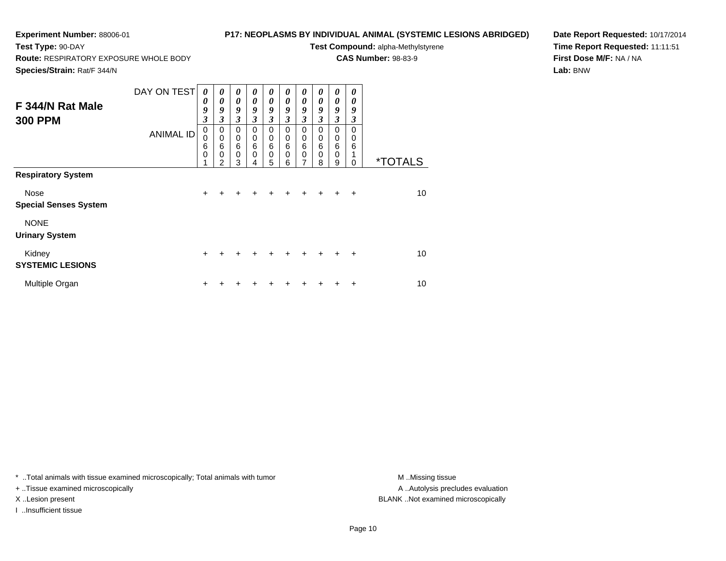## **P17: NEOPLASMS BY INDIVIDUAL ANIMAL (SYSTEMIC LESIONS ABRIDGED)**

**Test Compound:** alpha-Methylstyrene**CAS Number:** 98-83-9

**Route:** RESPIRATORY EXPOSURE WHOLE BODY

**Species/Strain:** Rat/F 344/N

**Test Type:** 90-DAY

**Date Report Requested:** 10/17/2014**Time Report Requested:** 11:11:51**First Dose M/F:** NA / NA**Lab:** BNW

| F 344/N Rat Male<br><b>300 PPM</b>                                       | DAY ON TEST<br><b>ANIMAL ID</b> | 0<br>0<br>9<br>$\boldsymbol{\beta}$<br>$\pmb{0}$<br>0<br>6<br>$\mathbf 0$<br>1 | $\boldsymbol{\theta}$<br>0<br>9<br>3<br>$\mathbf 0$<br>$\mathbf 0$<br>6<br>$\mathbf 0$<br>$\mathfrak{p}$ | $\boldsymbol{\theta}$<br>$\boldsymbol{\theta}$<br>9<br>3<br>0<br>$\mathbf 0$<br>$\,6$<br>$\mathbf 0$<br>3 | 0<br>0<br>9<br>$\mathfrak{z}$<br>0<br>0<br>6<br>0<br>4 | 0<br>0<br>9<br>3<br>0<br>0<br>6<br>0<br>5 | 0<br>$\boldsymbol{\theta}$<br>9<br>3<br>0<br>$\mathbf 0$<br>6<br>$\Omega$<br>6 | 0<br>$\boldsymbol{\theta}$<br>9<br>3<br>0<br>$\mathbf 0$<br>$6\phantom{1}6$<br>$\mathbf 0$<br>7 | 0<br>0<br>9<br>3<br>$\Omega$<br>$\mathbf 0$<br>6<br>$\Omega$<br>8 | 0<br>$\boldsymbol{\theta}$<br>9<br>3<br>0<br>0<br>$6\phantom{1}6$<br>$\mathbf 0$<br>9 | 0<br>0<br>9<br>3<br>$\Omega$<br>$\Omega$<br>6<br>1<br>0 | <i><b>*TOTALS</b></i> |
|--------------------------------------------------------------------------|---------------------------------|--------------------------------------------------------------------------------|----------------------------------------------------------------------------------------------------------|-----------------------------------------------------------------------------------------------------------|--------------------------------------------------------|-------------------------------------------|--------------------------------------------------------------------------------|-------------------------------------------------------------------------------------------------|-------------------------------------------------------------------|---------------------------------------------------------------------------------------|---------------------------------------------------------|-----------------------|
| <b>Respiratory System</b><br><b>Nose</b><br><b>Special Senses System</b> |                                 | $+$                                                                            | $\div$                                                                                                   | +                                                                                                         |                                                        |                                           | $\div$                                                                         | $\ddot{}$                                                                                       | $+$                                                               | $+$                                                                                   | $\ddot{}$                                               | 10                    |
| <b>NONE</b><br><b>Urinary System</b>                                     |                                 |                                                                                |                                                                                                          |                                                                                                           |                                                        |                                           |                                                                                |                                                                                                 |                                                                   |                                                                                       |                                                         |                       |
| Kidney<br><b>SYSTEMIC LESIONS</b>                                        |                                 | $+$                                                                            |                                                                                                          |                                                                                                           |                                                        |                                           |                                                                                |                                                                                                 |                                                                   |                                                                                       | $\ddot{}$                                               | 10                    |
| Multiple Organ                                                           |                                 | ٠                                                                              |                                                                                                          |                                                                                                           |                                                        |                                           |                                                                                |                                                                                                 |                                                                   |                                                                                       | ÷                                                       | 10                    |

\* ..Total animals with tissue examined microscopically; Total animals with tumor **M** . Missing tissue M ..Missing tissue

+ ..Tissue examined microscopically

I ..Insufficient tissue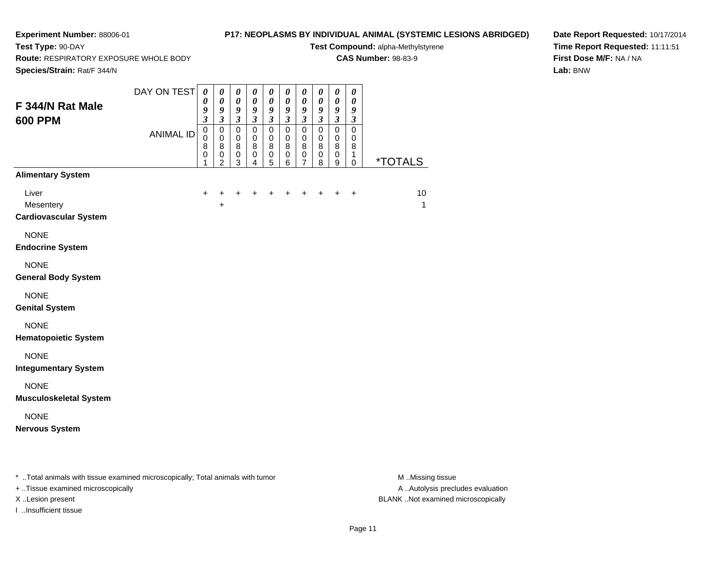# **P17: NEOPLASMS BY INDIVIDUAL ANIMAL (SYSTEMIC LESIONS ABRIDGED)**

**Test Compound:** alpha-Methylstyrene**CAS Number:** 98-83-9

**Route:** RESPIRATORY EXPOSURE WHOLE BODY

**Species/Strain:** Rat/F 344/N

**Test Type:** 90-DAY

**Date Report Requested:** 10/17/2014**Time Report Requested:** 11:11:51**First Dose M/F:** NA / NA**Lab:** BNW

| F 344/N Rat Male<br><b>600 PPM</b>                                             | DAY ON TEST<br><b>ANIMAL ID</b> | $\boldsymbol{\theta}$<br>0<br>9<br>$\overline{\mathbf{3}}$<br>$\mathbf 0$<br>$\pmb{0}$<br>8<br>$\mathsf 0$<br>1 | $\pmb{\theta}$<br>$\boldsymbol{\theta}$<br>9<br>$\mathfrak{z}$<br>$\pmb{0}$<br>$\pmb{0}$<br>8<br>$\mathbf 0$<br>$\overline{2}$ | $\pmb{\theta}$<br>$\pmb{\theta}$<br>9<br>$\tilde{3}$<br>$\pmb{0}$<br>$\pmb{0}$<br>8<br>$\mathbf 0$<br>3 | $\boldsymbol{\theta}$<br>$\boldsymbol{\theta}$<br>9<br>$\mathfrak{z}$<br>$\mathbf 0$<br>$\mathbf 0$<br>8<br>$\pmb{0}$<br>4 | $\boldsymbol{\theta}$<br>$\boldsymbol{\theta}$<br>9<br>$\mathfrak{z}$<br>$\pmb{0}$<br>$\pmb{0}$<br>8<br>$\pmb{0}$<br>5 | $\pmb{\theta}$<br>$\boldsymbol{\theta}$<br>9<br>$\overline{\mathbf{3}}$<br>$\pmb{0}$<br>$\pmb{0}$<br>8<br>0<br>6 | 0<br>$\boldsymbol{\theta}$<br>9<br>$\overline{\mathbf{3}}$<br>0<br>0<br>8<br>$\mathsf 0$<br>7 | $\boldsymbol{\theta}$<br>0<br>9<br>$\overline{\mathbf{3}}$<br>$\pmb{0}$<br>0<br>8<br>$\pmb{0}$<br>8 | $\boldsymbol{\theta}$<br>$\boldsymbol{\theta}$<br>9<br>$\mathfrak{z}$<br>$\pmb{0}$<br>$\pmb{0}$<br>8<br>$\pmb{0}$<br>9 | $\boldsymbol{\theta}$<br>$\boldsymbol{\theta}$<br>9<br>$\boldsymbol{\mathfrak{z}}$<br>$\mathsf 0$<br>$\mathbf 0$<br>8<br>1<br>$\mathbf 0$ | <u>*TOTALS</u> |
|--------------------------------------------------------------------------------|---------------------------------|-----------------------------------------------------------------------------------------------------------------|--------------------------------------------------------------------------------------------------------------------------------|---------------------------------------------------------------------------------------------------------|----------------------------------------------------------------------------------------------------------------------------|------------------------------------------------------------------------------------------------------------------------|------------------------------------------------------------------------------------------------------------------|-----------------------------------------------------------------------------------------------|-----------------------------------------------------------------------------------------------------|------------------------------------------------------------------------------------------------------------------------|-------------------------------------------------------------------------------------------------------------------------------------------|----------------|
| <b>Alimentary System</b><br>Liver<br>Mesentery<br><b>Cardiovascular System</b> |                                 | $\ddot{}$                                                                                                       | +<br>+                                                                                                                         | $\ddot{}$                                                                                               |                                                                                                                            |                                                                                                                        |                                                                                                                  |                                                                                               |                                                                                                     | +                                                                                                                      | $\ddot{}$                                                                                                                                 | 10<br>1        |
| <b>NONE</b><br><b>Endocrine System</b>                                         |                                 |                                                                                                                 |                                                                                                                                |                                                                                                         |                                                                                                                            |                                                                                                                        |                                                                                                                  |                                                                                               |                                                                                                     |                                                                                                                        |                                                                                                                                           |                |
| <b>NONE</b><br><b>General Body System</b>                                      |                                 |                                                                                                                 |                                                                                                                                |                                                                                                         |                                                                                                                            |                                                                                                                        |                                                                                                                  |                                                                                               |                                                                                                     |                                                                                                                        |                                                                                                                                           |                |
| <b>NONE</b><br><b>Genital System</b>                                           |                                 |                                                                                                                 |                                                                                                                                |                                                                                                         |                                                                                                                            |                                                                                                                        |                                                                                                                  |                                                                                               |                                                                                                     |                                                                                                                        |                                                                                                                                           |                |
| <b>NONE</b><br><b>Hematopoietic System</b>                                     |                                 |                                                                                                                 |                                                                                                                                |                                                                                                         |                                                                                                                            |                                                                                                                        |                                                                                                                  |                                                                                               |                                                                                                     |                                                                                                                        |                                                                                                                                           |                |
| <b>NONE</b><br><b>Integumentary System</b>                                     |                                 |                                                                                                                 |                                                                                                                                |                                                                                                         |                                                                                                                            |                                                                                                                        |                                                                                                                  |                                                                                               |                                                                                                     |                                                                                                                        |                                                                                                                                           |                |
| <b>NONE</b><br><b>Musculoskeletal System</b>                                   |                                 |                                                                                                                 |                                                                                                                                |                                                                                                         |                                                                                                                            |                                                                                                                        |                                                                                                                  |                                                                                               |                                                                                                     |                                                                                                                        |                                                                                                                                           |                |
| <b>NONE</b><br><b>Nervous System</b>                                           |                                 |                                                                                                                 |                                                                                                                                |                                                                                                         |                                                                                                                            |                                                                                                                        |                                                                                                                  |                                                                                               |                                                                                                     |                                                                                                                        |                                                                                                                                           |                |

\* ..Total animals with tissue examined microscopically; Total animals with tumor **M** . Missing tissue M ..Missing tissue

+ ..Tissue examined microscopically

I ..Insufficient tissue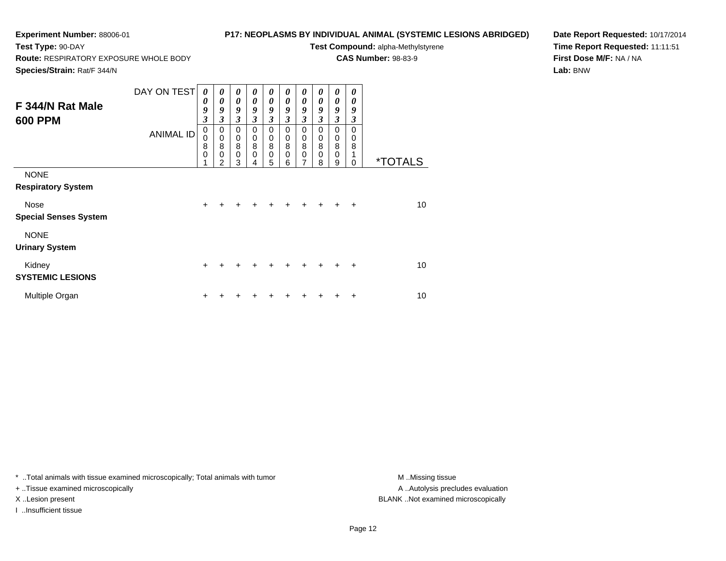**Route:** RESPIRATORY EXPOSURE WHOLE BODY

# **P17: NEOPLASMS BY INDIVIDUAL ANIMAL (SYSTEMIC LESIONS ABRIDGED)**

**Test Compound:** alpha-Methylstyrene

**CAS Number:** 98-83-9

**Species/Strain:** Rat/F 344/N

**Test Type:** 90-DAY

**Date Report Requested:** 10/17/2014**Time Report Requested:** 11:11:51**First Dose M/F:** NA / NA**Lab:** BNW

| F 344/N Rat Male<br><b>600 PPM</b>                                                      | DAY ON TEST<br><b>ANIMAL ID</b> | 0<br>0<br>9<br>$\overline{\mathbf{3}}$<br>0<br>0<br>8<br>0 | $\boldsymbol{\theta}$<br>0<br>9<br>3<br>0<br>$\pmb{0}$<br>8<br>$\mathbf 0$ | $\boldsymbol{\theta}$<br>$\boldsymbol{\theta}$<br>9<br>$\mathfrak{z}$<br>$\mathbf 0$<br>$\pmb{0}$<br>$\overline{8}$<br>$\pmb{0}$ | $\boldsymbol{\theta}$<br>$\boldsymbol{\theta}$<br>9<br>$\mathfrak{z}$<br>0<br>0<br>8<br>$\mathbf 0$ | 0<br>$\boldsymbol{\theta}$<br>9<br>$\mathfrak{z}$<br>$\mathbf 0$<br>$\pmb{0}$<br>$\overline{8}$<br>$\pmb{0}$ | 0<br>0<br>9<br>3<br>$\Omega$<br>0<br>8<br>$\Omega$ | 0<br>$\boldsymbol{\theta}$<br>9<br>3<br>0<br>0<br>8<br>$\mathbf 0$ | 0<br>$\boldsymbol{\theta}$<br>9<br>$\mathfrak{z}$<br>0<br>0<br>8 | 0<br>0<br>9<br>$\mathfrak{z}$<br>0<br>$_{\rm 0}^{\rm 0}$ | 0<br>0<br>9<br>3<br>$\Omega$<br>0<br>8 |                       |
|-----------------------------------------------------------------------------------------|---------------------------------|------------------------------------------------------------|----------------------------------------------------------------------------|----------------------------------------------------------------------------------------------------------------------------------|-----------------------------------------------------------------------------------------------------|--------------------------------------------------------------------------------------------------------------|----------------------------------------------------|--------------------------------------------------------------------|------------------------------------------------------------------|----------------------------------------------------------|----------------------------------------|-----------------------|
|                                                                                         |                                 |                                                            | $\mathfrak{p}$                                                             | 3                                                                                                                                | 4                                                                                                   | 5                                                                                                            | 6                                                  | 7                                                                  | 0<br>8                                                           | 0<br>9                                                   | $\Omega$                               | <i><b>*TOTALS</b></i> |
| <b>NONE</b><br><b>Respiratory System</b><br><b>Nose</b><br><b>Special Senses System</b> |                                 | $+$                                                        | $\div$                                                                     | $\div$                                                                                                                           |                                                                                                     |                                                                                                              | $\ddot{}$                                          | $\ddot{}$                                                          | $\ddot{}$                                                        | $\ddot{}$                                                | $\ddot{}$                              | 10                    |
| <b>NONE</b><br><b>Urinary System</b>                                                    |                                 |                                                            |                                                                            |                                                                                                                                  |                                                                                                     |                                                                                                              |                                                    |                                                                    |                                                                  |                                                          |                                        |                       |
| Kidney<br><b>SYSTEMIC LESIONS</b>                                                       |                                 | $\ddot{}$                                                  |                                                                            | +                                                                                                                                |                                                                                                     |                                                                                                              | $\div$                                             | $\ddot{}$                                                          | ÷                                                                |                                                          | $\ddot{}$                              | 10                    |
| Multiple Organ                                                                          |                                 | ٠                                                          |                                                                            |                                                                                                                                  |                                                                                                     |                                                                                                              |                                                    |                                                                    |                                                                  |                                                          | +                                      | 10                    |

\* ..Total animals with tissue examined microscopically; Total animals with tumor **M** . Missing tissue M ..Missing tissue

+ ..Tissue examined microscopically

I ..Insufficient tissue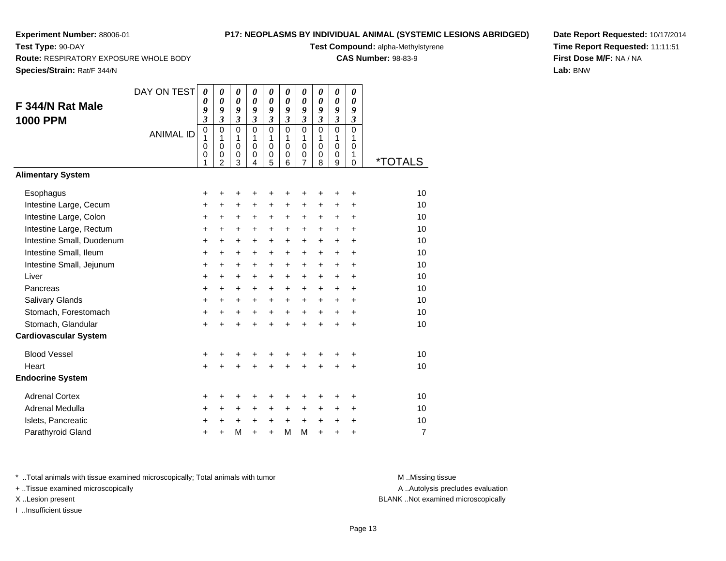**Test Type:** 90-DAY

## **P17: NEOPLASMS BY INDIVIDUAL ANIMAL (SYSTEMIC LESIONS ABRIDGED)**

**Test Compound:** alpha-Methylstyrene

**CAS Number:** 98-83-9

**Species/Strain:** Rat/F 344/N

**Route:** RESPIRATORY EXPOSURE WHOLE BODY

**Date Report Requested:** 10/17/2014**Time Report Requested:** 11:11:51**First Dose M/F:** NA / NA**Lab:** BNW

| F 344/N Rat Male<br><b>1000 PPM</b> | DAY ON TEST      | $\boldsymbol{\theta}$<br>0<br>9<br>$\mathfrak{z}$ | $\boldsymbol{\theta}$<br>$\boldsymbol{\theta}$<br>$\boldsymbol{g}$<br>$\mathfrak{z}$ | $\pmb{\theta}$<br>$\boldsymbol{\theta}$<br>9<br>$\mathfrak{z}$ | $\boldsymbol{\theta}$<br>$\boldsymbol{\theta}$<br>9<br>$\mathfrak{z}$ | $\boldsymbol{\theta}$<br>$\boldsymbol{\theta}$<br>9<br>$\mathfrak{z}$ | $\boldsymbol{\theta}$<br>0<br>9<br>$\mathfrak{z}$ | $\boldsymbol{\theta}$<br>$\boldsymbol{\theta}$<br>9<br>3 | $\boldsymbol{\theta}$<br>$\boldsymbol{\theta}$<br>$\boldsymbol{g}$<br>$\mathfrak{z}$ | $\boldsymbol{\theta}$<br>$\boldsymbol{\theta}$<br>9<br>$\mathfrak{z}$ | 0<br>0<br>9<br>$\boldsymbol{\mathfrak{z}}$ |                       |
|-------------------------------------|------------------|---------------------------------------------------|--------------------------------------------------------------------------------------|----------------------------------------------------------------|-----------------------------------------------------------------------|-----------------------------------------------------------------------|---------------------------------------------------|----------------------------------------------------------|--------------------------------------------------------------------------------------|-----------------------------------------------------------------------|--------------------------------------------|-----------------------|
|                                     | <b>ANIMAL ID</b> | $\mathbf 0$<br>1<br>$\pmb{0}$<br>$\mathbf 0$<br>1 | $\Omega$<br>1<br>$\pmb{0}$<br>$\mathbf 0$<br>$\overline{2}$                          | $\Omega$<br>1<br>$\pmb{0}$<br>$\mathbf 0$<br>3                 | $\Omega$<br>1<br>$\mathbf 0$<br>0<br>$\overline{4}$                   | $\Omega$<br>1<br>$\mathbf 0$<br>$\boldsymbol{0}$<br>5                 | $\Omega$<br>1<br>$\mathbf 0$<br>0<br>6            | $\mathbf 0$<br>1<br>$\mathsf 0$<br>0<br>$\overline{7}$   | $\Omega$<br>1<br>$\mathbf 0$<br>0<br>8                                               | $\Omega$<br>1<br>$\mathbf 0$<br>$\mathbf 0$<br>9                      | $\mathbf 0$<br>1<br>0<br>1<br>$\mathbf 0$  | <i><b>*TOTALS</b></i> |
| <b>Alimentary System</b>            |                  |                                                   |                                                                                      |                                                                |                                                                       |                                                                       |                                                   |                                                          |                                                                                      |                                                                       |                                            |                       |
| Esophagus                           |                  | +                                                 | +                                                                                    | +                                                              | +                                                                     | +                                                                     | ٠                                                 | +                                                        | ٠                                                                                    | ÷                                                                     | ٠                                          | 10                    |
| Intestine Large, Cecum              |                  | +                                                 | +                                                                                    | $\ddot{}$                                                      | $\ddot{}$                                                             | +                                                                     | $\ddot{}$                                         | $\pm$                                                    | $\ddot{}$                                                                            | $\ddot{}$                                                             | $\ddot{}$                                  | 10                    |
| Intestine Large, Colon              |                  | $\ddot{}$                                         | $\ddot{}$                                                                            | $\ddot{}$                                                      | $\ddot{}$                                                             | $\ddot{}$                                                             | $\ddot{}$                                         | $\pm$                                                    | $\ddot{}$                                                                            | $\ddot{}$                                                             | +                                          | 10                    |
| Intestine Large, Rectum             |                  | $\ddot{}$                                         | $\ddot{}$                                                                            | $\ddot{}$                                                      | $\ddot{}$                                                             | $\ddot{}$                                                             | $\ddot{}$                                         | $\pm$                                                    | $\ddot{}$                                                                            | $\ddot{}$                                                             | $\ddot{}$                                  | 10                    |
| Intestine Small, Duodenum           |                  | +                                                 | $\ddot{}$                                                                            | $\ddot{}$                                                      | $\ddot{}$                                                             | $\ddot{}$                                                             | $\ddot{}$                                         | $\ddot{}$                                                | $\ddot{}$                                                                            | $\ddot{}$                                                             | $\ddot{}$                                  | 10                    |
| Intestine Small, Ileum              |                  | +                                                 | $\ddot{}$                                                                            | $\ddot{}$                                                      | +                                                                     | $\ddot{}$                                                             | $\ddot{}$                                         | $\ddot{}$                                                | $\ddot{}$                                                                            | $\ddot{}$                                                             | $\ddot{}$                                  | 10                    |
| Intestine Small, Jejunum            |                  | $\ddot{}$                                         | $\ddot{}$                                                                            | $\ddot{}$                                                      | $\ddot{}$                                                             | $\ddot{}$                                                             | $\ddot{}$                                         | +                                                        | $\ddot{}$                                                                            | $\ddot{}$                                                             | $\ddot{}$                                  | 10                    |
| Liver                               |                  | +                                                 | $\ddot{}$                                                                            | +                                                              | +                                                                     | +                                                                     | $\ddot{}$                                         | $\ddot{}$                                                | $\ddot{}$                                                                            | $\ddot{}$                                                             | +                                          | 10                    |
| Pancreas                            |                  | $\ddot{}$                                         | $\ddot{}$                                                                            | $\ddot{}$                                                      | $\ddot{}$                                                             | $\ddot{}$                                                             | $+$                                               | $\ddot{}$                                                | $+$                                                                                  | $+$                                                                   | $\ddot{}$                                  | 10                    |
| Salivary Glands                     |                  | $\ddot{}$                                         | $\ddot{}$                                                                            | +                                                              | +                                                                     | $\ddot{}$                                                             | $\ddot{}$                                         | $\ddot{}$                                                | $\ddot{}$                                                                            | $\ddot{}$                                                             | $\ddot{}$                                  | 10                    |
| Stomach, Forestomach                |                  | +                                                 | +                                                                                    | $\ddot{}$                                                      | $\ddot{}$                                                             | $\ddot{}$                                                             | $+$                                               | $+$                                                      | $\ddot{}$                                                                            | $\ddot{}$                                                             | $\ddot{}$                                  | 10                    |
| Stomach, Glandular                  |                  | $\ddot{}$                                         |                                                                                      | $\ddot{}$                                                      | $\ddot{}$                                                             | $\ddot{}$                                                             | $\ddot{}$                                         | $\ddot{}$                                                | $\ddot{}$                                                                            | $\ddot{}$                                                             | $\ddot{}$                                  | 10                    |
| <b>Cardiovascular System</b>        |                  |                                                   |                                                                                      |                                                                |                                                                       |                                                                       |                                                   |                                                          |                                                                                      |                                                                       |                                            |                       |
| <b>Blood Vessel</b>                 |                  | +                                                 |                                                                                      | +                                                              | +                                                                     | +                                                                     | +                                                 | +                                                        | +                                                                                    |                                                                       | +                                          | 10                    |
| Heart                               |                  | $\ddot{}$                                         |                                                                                      | $\ddot{}$                                                      | $\ddot{}$                                                             | $\ddot{}$                                                             | $\ddot{}$                                         | $\ddot{}$                                                | $\ddot{}$                                                                            | $\ddot{}$                                                             | $\ddot{}$                                  | 10                    |
| <b>Endocrine System</b>             |                  |                                                   |                                                                                      |                                                                |                                                                       |                                                                       |                                                   |                                                          |                                                                                      |                                                                       |                                            |                       |
| <b>Adrenal Cortex</b>               |                  | +                                                 |                                                                                      | +                                                              | +                                                                     | +                                                                     |                                                   | +                                                        |                                                                                      |                                                                       | +                                          | 10                    |
| Adrenal Medulla                     |                  | +                                                 | $\ddot{}$                                                                            | +                                                              | +                                                                     | +                                                                     | $\ddot{}$                                         | $\ddot{}$                                                | $\ddot{}$                                                                            | $\ddot{}$                                                             | $\ddot{}$                                  | 10                    |
| Islets, Pancreatic                  |                  | +                                                 | $\ddot{}$                                                                            | $\ddot{}$                                                      | +                                                                     | $\ddot{}$                                                             | $\ddot{}$                                         | $+$                                                      | $\ddot{}$                                                                            | $\ddot{}$                                                             | $\ddot{}$                                  | 10                    |
| Parathyroid Gland                   |                  | $\ddot{}$                                         |                                                                                      | M                                                              | $\ddot{}$                                                             | $\ddot{}$                                                             | M                                                 | M                                                        | $\ddot{}$                                                                            | $\ddot{}$                                                             | $\ddot{}$                                  | $\overline{7}$        |

\* ..Total animals with tissue examined microscopically; Total animals with tumor **M** . Missing tissue M ..Missing tissue

+ ..Tissue examined microscopically

I ..Insufficient tissue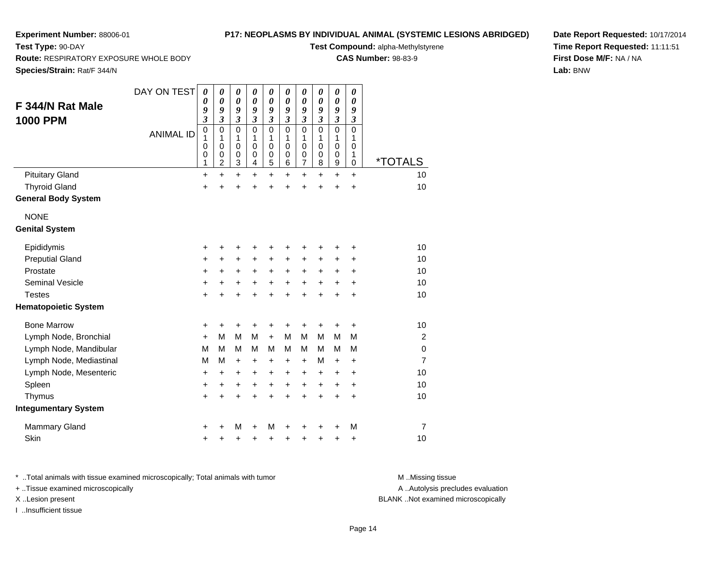**Route:** RESPIRATORY EXPOSURE WHOLE BODY

## **P17: NEOPLASMS BY INDIVIDUAL ANIMAL (SYSTEMIC LESIONS ABRIDGED)**

**Test Compound:** alpha-Methylstyrene

**CAS Number:** 98-83-9

**Species/Strain:** Rat/F 344/N

**Test Type:** 90-DAY

**Date Report Requested:** 10/17/2014**Time Report Requested:** 11:11:51**First Dose M/F:** NA / NA**Lab:** BNW

| F 344/N Rat Male<br><b>1000 PPM</b> | DAY ON TEST<br><b>ANIMAL ID</b> | 0<br>0<br>9<br>$\boldsymbol{\mathfrak{z}}$<br>$\pmb{0}$<br>1<br>0<br>0<br>1 | 0<br>0<br>9<br>$\mathfrak{z}$<br>$\mathbf 0$<br>1<br>$\mathbf 0$<br>$\mathbf 0$<br>$\overline{c}$ | $\boldsymbol{\theta}$<br>0<br>9<br>3<br>$\mathbf 0$<br>1<br>$\mathbf 0$<br>0<br>3 | $\boldsymbol{\theta}$<br>$\boldsymbol{\theta}$<br>9<br>$\mathfrak{z}$<br>$\mathbf{0}$<br>1<br>$\Omega$<br>0<br>4 | $\boldsymbol{\theta}$<br>0<br>9<br>$\boldsymbol{\beta}$<br>$\mathbf 0$<br>1<br>$\mathbf 0$<br>$\boldsymbol{0}$<br>5 | $\boldsymbol{\theta}$<br>$\boldsymbol{\theta}$<br>9<br>3<br>$\mathbf 0$<br>1<br>$\mathbf 0$<br>0<br>6 | $\pmb{\theta}$<br>0<br>9<br>$\boldsymbol{\beta}$<br>0<br>1<br>$\mathbf 0$<br>0<br>$\overline{7}$ | 0<br>0<br>9<br>3<br>0<br>1<br>$\Omega$<br>0<br>8 | $\pmb{\theta}$<br>0<br>9<br>$\boldsymbol{\beta}$<br>0<br>1<br>$\mathbf 0$<br>0<br>9 | $\pmb{\theta}$<br>0<br>9<br>$\boldsymbol{\beta}$<br>$\mathbf 0$<br>1<br>$\mathbf 0$<br>1<br>$\mathbf 0$ | <i><b>*TOTALS</b></i> |
|-------------------------------------|---------------------------------|-----------------------------------------------------------------------------|---------------------------------------------------------------------------------------------------|-----------------------------------------------------------------------------------|------------------------------------------------------------------------------------------------------------------|---------------------------------------------------------------------------------------------------------------------|-------------------------------------------------------------------------------------------------------|--------------------------------------------------------------------------------------------------|--------------------------------------------------|-------------------------------------------------------------------------------------|---------------------------------------------------------------------------------------------------------|-----------------------|
| <b>Pituitary Gland</b>              |                                 | +                                                                           | $\ddot{}$                                                                                         | $\ddot{}$                                                                         | $\ddot{}$                                                                                                        | $\ddot{}$                                                                                                           | $\ddot{}$                                                                                             | $\ddot{}$                                                                                        | $\ddot{}$                                        | $\ddot{}$                                                                           | $\ddot{}$                                                                                               | 10                    |
| <b>Thyroid Gland</b>                |                                 | +                                                                           | +                                                                                                 | +                                                                                 | +                                                                                                                | +                                                                                                                   | +                                                                                                     | +                                                                                                | +                                                | +                                                                                   | +                                                                                                       | 10                    |
| <b>General Body System</b>          |                                 |                                                                             |                                                                                                   |                                                                                   |                                                                                                                  |                                                                                                                     |                                                                                                       |                                                                                                  |                                                  |                                                                                     |                                                                                                         |                       |
| <b>NONE</b>                         |                                 |                                                                             |                                                                                                   |                                                                                   |                                                                                                                  |                                                                                                                     |                                                                                                       |                                                                                                  |                                                  |                                                                                     |                                                                                                         |                       |
| <b>Genital System</b>               |                                 |                                                                             |                                                                                                   |                                                                                   |                                                                                                                  |                                                                                                                     |                                                                                                       |                                                                                                  |                                                  |                                                                                     |                                                                                                         |                       |
| Epididymis                          |                                 | +                                                                           | +                                                                                                 | +                                                                                 | +                                                                                                                | +                                                                                                                   |                                                                                                       | +                                                                                                |                                                  | +                                                                                   | +                                                                                                       | 10                    |
| <b>Preputial Gland</b>              |                                 | +                                                                           | $\ddot{}$                                                                                         | +                                                                                 | +                                                                                                                | +                                                                                                                   | $\pm$                                                                                                 | $\ddot{}$                                                                                        | ÷                                                | +                                                                                   | ٠                                                                                                       | 10                    |
| Prostate                            |                                 | +                                                                           | $\ddot{}$                                                                                         | $\ddot{}$                                                                         | $\ddot{}$                                                                                                        | $\ddot{}$                                                                                                           | $\ddot{}$                                                                                             | $+$                                                                                              | $\ddot{}$                                        | +                                                                                   | +                                                                                                       | 10                    |
| Seminal Vesicle                     |                                 | $\ddot{}$                                                                   | +                                                                                                 | +                                                                                 | +                                                                                                                | $\ddot{}$                                                                                                           | +                                                                                                     | $\ddot{}$                                                                                        | +                                                | +                                                                                   | +                                                                                                       | 10                    |
| <b>Testes</b>                       |                                 | $\ddot{}$                                                                   | $\ddot{}$                                                                                         | $\ddot{}$                                                                         | $\ddot{}$                                                                                                        | $\ddot{}$                                                                                                           | $\ddot{}$                                                                                             | $\ddot{}$                                                                                        | $\ddot{}$                                        | $\ddot{}$                                                                           | $\ddot{}$                                                                                               | 10                    |
| <b>Hematopoietic System</b>         |                                 |                                                                             |                                                                                                   |                                                                                   |                                                                                                                  |                                                                                                                     |                                                                                                       |                                                                                                  |                                                  |                                                                                     |                                                                                                         |                       |
| <b>Bone Marrow</b>                  |                                 | +                                                                           | +                                                                                                 | +                                                                                 | +                                                                                                                | +                                                                                                                   | +                                                                                                     | +                                                                                                | +                                                | +                                                                                   | +                                                                                                       | 10                    |
| Lymph Node, Bronchial               |                                 | $\ddot{}$                                                                   | M                                                                                                 | M                                                                                 | M                                                                                                                | $\ddot{}$                                                                                                           | м                                                                                                     | M                                                                                                | M                                                | M                                                                                   | M                                                                                                       | 2                     |
| Lymph Node, Mandibular              |                                 | M                                                                           | м                                                                                                 | M                                                                                 | м                                                                                                                | м                                                                                                                   | м                                                                                                     | М                                                                                                | м                                                | м                                                                                   | М                                                                                                       | $\mathbf 0$           |
| Lymph Node, Mediastinal             |                                 | M                                                                           | M                                                                                                 | $\ddot{}$                                                                         | +                                                                                                                | +                                                                                                                   | +                                                                                                     | +                                                                                                | M                                                | +                                                                                   | +                                                                                                       | $\overline{7}$        |
| Lymph Node, Mesenteric              |                                 | +                                                                           | $\ddot{}$                                                                                         | $\ddot{}$                                                                         | $\ddot{}$                                                                                                        | $\ddot{}$                                                                                                           | $\ddot{}$                                                                                             | $\ddot{}$                                                                                        | $\ddot{}$                                        | $\ddot{}$                                                                           | $\ddot{}$                                                                                               | 10                    |
| Spleen                              |                                 | +                                                                           | $\ddot{}$                                                                                         | $\ddot{}$                                                                         | $\ddot{}$                                                                                                        | $\ddot{}$                                                                                                           | $+$                                                                                                   | $\ddot{}$                                                                                        | $\ddot{}$                                        | $\ddot{}$                                                                           | $\ddot{}$                                                                                               | 10                    |
| Thymus                              |                                 | $\ddot{}$                                                                   | +                                                                                                 | $\ddot{}$                                                                         | +                                                                                                                | $\ddot{}$                                                                                                           | +                                                                                                     | $\ddot{}$                                                                                        | +                                                | $\ddot{}$                                                                           | +                                                                                                       | 10                    |
| <b>Integumentary System</b>         |                                 |                                                                             |                                                                                                   |                                                                                   |                                                                                                                  |                                                                                                                     |                                                                                                       |                                                                                                  |                                                  |                                                                                     |                                                                                                         |                       |
| <b>Mammary Gland</b>                |                                 | +                                                                           |                                                                                                   | M                                                                                 | ٠                                                                                                                | М                                                                                                                   |                                                                                                       |                                                                                                  |                                                  | +                                                                                   | M                                                                                                       | $\overline{7}$        |
| <b>Skin</b>                         |                                 | $\ddot{}$                                                                   |                                                                                                   | +                                                                                 | +                                                                                                                | +                                                                                                                   | +                                                                                                     | +                                                                                                | ٠                                                | +                                                                                   | +                                                                                                       | 10                    |

\* ..Total animals with tissue examined microscopically; Total animals with tumor **M** . Missing tissue M ..Missing tissue

+ ..Tissue examined microscopically

I ..Insufficient tissue

A ..Autolysis precludes evaluation

X ..Lesion present BLANK ..Not examined microscopically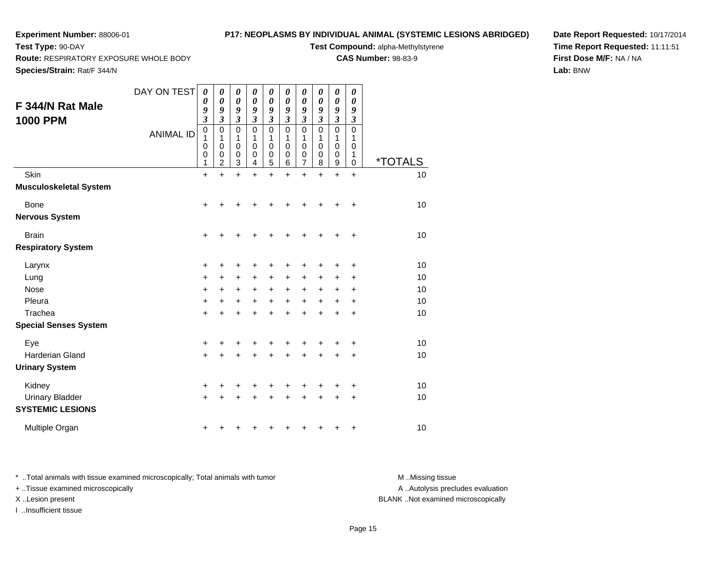**Route:** RESPIRATORY EXPOSURE WHOLE BODY

## **P17: NEOPLASMS BY INDIVIDUAL ANIMAL (SYSTEMIC LESIONS ABRIDGED)**

**Test Compound:** alpha-Methylstyrene

**CAS Number:** 98-83-9

**Species/Strain:** Rat/F 344/N

**Test Type:** 90-DAY

**Date Report Requested:** 10/17/2014**Time Report Requested:** 11:11:51**First Dose M/F:** NA / NA**Lab:** BNW

| F 344/N Rat Male<br><b>1000 PPM</b>                         | DAY ON TEST<br><b>ANIMAL ID</b> | 0<br>0<br>9<br>$\mathfrak{z}$<br>$\mathbf 0$<br>1<br>0<br>0<br>1 | 0<br>0<br>9<br>3<br>0<br>1<br>0<br>0<br>$\overline{2}$ | 0<br>$\boldsymbol{\theta}$<br>9<br>3<br>0<br>1<br>0<br>0<br>3 | 0<br>$\boldsymbol{\theta}$<br>9<br>3<br>0<br>1<br>0<br>0<br>4 | 0<br>0<br>9<br>$\mathfrak{z}$<br>0<br>1<br>0<br>0<br>5 | 0<br>0<br>9<br>$\mathfrak{z}$<br>$\mathbf 0$<br>1<br>0<br>0<br>6 | 0<br>0<br>9<br>$\overline{\mathbf{3}}$<br>0<br>1<br>0<br>0<br>7 | 0<br>0<br>9<br>$\overline{\mathbf{3}}$<br>$\mathbf 0$<br>1<br>0<br>0<br>8 | 0<br>0<br>9<br>$\overline{\mathbf{3}}$<br>0<br>1<br>0<br>0<br>9 | 0<br>$\boldsymbol{\theta}$<br>9<br>$\boldsymbol{\mathfrak{z}}$<br>0<br>1<br>0<br>1<br>$\mathbf 0$ | <i><b>*TOTALS</b></i>      |
|-------------------------------------------------------------|---------------------------------|------------------------------------------------------------------|--------------------------------------------------------|---------------------------------------------------------------|---------------------------------------------------------------|--------------------------------------------------------|------------------------------------------------------------------|-----------------------------------------------------------------|---------------------------------------------------------------------------|-----------------------------------------------------------------|---------------------------------------------------------------------------------------------------|----------------------------|
| Skin<br><b>Musculoskeletal System</b>                       |                                 | $\ddot{}$                                                        | $\ddot{}$                                              | +                                                             | $\ddot{}$                                                     | $\ddot{}$                                              | $\ddot{}$                                                        | $\ddot{}$                                                       | $\ddot{}$                                                                 | $\ddot{}$                                                       | $\ddot{}$                                                                                         | 10                         |
| <b>Bone</b><br><b>Nervous System</b>                        |                                 | +                                                                | +                                                      | +                                                             |                                                               |                                                        |                                                                  | +                                                               | +                                                                         | +                                                               | +                                                                                                 | 10                         |
| <b>Brain</b><br><b>Respiratory System</b>                   |                                 | $\pm$                                                            | +                                                      | +                                                             |                                                               |                                                        | ٠                                                                | +                                                               | +                                                                         | +                                                               | +                                                                                                 | 10                         |
| Larynx<br>Lung<br><b>Nose</b><br>Pleura<br>Trachea          |                                 | +<br>$\ddot{}$<br>$\ddot{}$<br>$\ddot{}$<br>$\ddot{}$            | ٠<br>+<br>+                                            | +<br>+<br>+<br>+<br>+                                         | +<br>+<br>+                                                   | +<br>+<br>+<br>+                                       | +<br>+<br>$\ddot{}$<br>٠                                         | +<br>+<br>$\ddot{}$<br>$\ddot{}$<br>+                           | +<br>+<br>+<br>+<br>+                                                     | +<br>+<br>+<br>+<br>+                                           | +<br>+<br>+<br>+<br>+                                                                             | 10<br>10<br>10<br>10<br>10 |
| <b>Special Senses System</b>                                |                                 |                                                                  |                                                        |                                                               |                                                               |                                                        |                                                                  |                                                                 |                                                                           |                                                                 |                                                                                                   |                            |
| Eye<br>Harderian Gland<br><b>Urinary System</b>             |                                 | +<br>$\ddot{}$                                                   |                                                        | +<br>+                                                        |                                                               | +                                                      | +<br>+                                                           | +<br>+                                                          | +<br>$\ddot{}$                                                            | +                                                               | +<br>$\ddot{}$                                                                                    | 10<br>10                   |
| Kidney<br><b>Urinary Bladder</b><br><b>SYSTEMIC LESIONS</b> |                                 | +<br>$\ddot{}$                                                   |                                                        | +                                                             |                                                               |                                                        |                                                                  | ٠<br>+                                                          | ٠<br>+                                                                    | +<br>+                                                          | +<br>+                                                                                            | 10<br>10                   |
| Multiple Organ                                              |                                 | +                                                                |                                                        |                                                               |                                                               |                                                        |                                                                  |                                                                 | +                                                                         | +                                                               | +                                                                                                 | 10                         |

\* ..Total animals with tissue examined microscopically; Total animals with tumor **M** . Missing tissue M ..Missing tissue + ..Tissue examined microscopically X ..Lesion present BLANK ..Not examined microscopically

I ..Insufficient tissue

A ..Autolysis precludes evaluation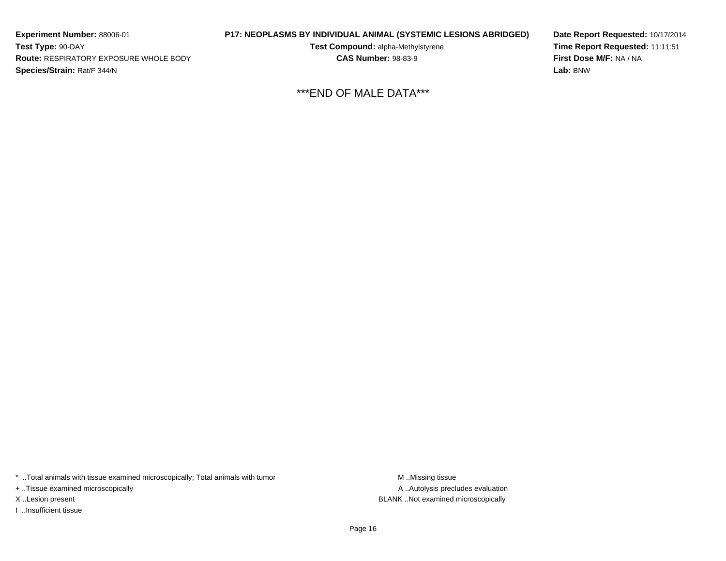**Experiment Number:** 88006-01**Test Type:** 90-DAY **Route:** RESPIRATORY EXPOSURE WHOLE BODY**Species/Strain:** Rat/F 344/N

**P17: NEOPLASMS BY INDIVIDUAL ANIMAL (SYSTEMIC LESIONS ABRIDGED)**

**Test Compound:** alpha-Methylstyrene**CAS Number:** 98-83-9

**Date Report Requested:** 10/17/2014**Time Report Requested:** 11:11:51**First Dose M/F:** NA / NA**Lab:** BNW

\*\*\*END OF MALE DATA\*\*\*

\* ..Total animals with tissue examined microscopically; Total animals with tumor **M** . Missing tissue M ..Missing tissue

+ ..Tissue examined microscopically

I ..Insufficient tissue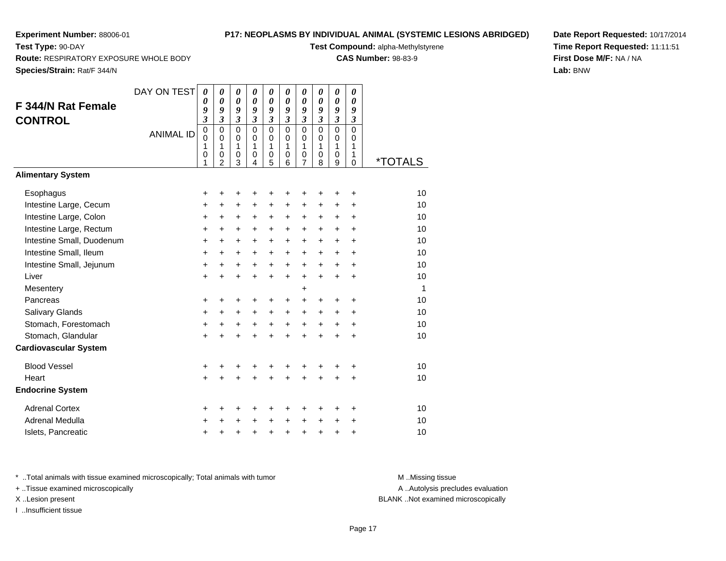**Test Type:** 90-DAY

## **P17: NEOPLASMS BY INDIVIDUAL ANIMAL (SYSTEMIC LESIONS ABRIDGED)**

**Test Compound:** alpha-Methylstyrene**CAS Number:** 98-83-9

**Route:** RESPIRATORY EXPOSURE WHOLE BODY

**Species/Strain:** Rat/F 344/N

**Date Report Requested:** 10/17/2014**Time Report Requested:** 11:11:51**First Dose M/F:** NA / NA**Lab:** BNW

| F 344/N Rat Female<br><b>CONTROL</b> | DAY ON TEST      | 0<br>0<br>9<br>$\overline{\mathbf{3}}$ | 0<br>$\boldsymbol{\theta}$<br>9<br>$\overline{\mathbf{3}}$ | $\boldsymbol{\theta}$<br>$\boldsymbol{\theta}$<br>9<br>$\mathfrak{z}$ | $\boldsymbol{\theta}$<br>$\boldsymbol{\theta}$<br>9<br>$\mathfrak{z}$ | 0<br>$\theta$<br>9<br>$\mathfrak{z}$       | 0<br>0<br>9<br>$\mathfrak{z}$        | 0<br>$\boldsymbol{\theta}$<br>9<br>$\mathfrak{z}$ | 0<br>$\boldsymbol{\theta}$<br>9<br>$\mathfrak{z}$ | 0<br>$\boldsymbol{\theta}$<br>9<br>3 | 0<br>$\boldsymbol{\theta}$<br>9<br>$\boldsymbol{\beta}$ |                       |
|--------------------------------------|------------------|----------------------------------------|------------------------------------------------------------|-----------------------------------------------------------------------|-----------------------------------------------------------------------|--------------------------------------------|--------------------------------------|---------------------------------------------------|---------------------------------------------------|--------------------------------------|---------------------------------------------------------|-----------------------|
|                                      | <b>ANIMAL ID</b> | $\mathbf 0$<br>$\Omega$<br>1           | $\mathbf 0$<br>$\mathbf{0}$<br>1                           | $\mathbf 0$<br>$\mathbf 0$<br>$\mathbf{1}$                            | $\mathbf{0}$<br>$\Omega$<br>$\mathbf{1}$                              | $\mathbf 0$<br>$\mathbf 0$<br>$\mathbf{1}$ | $\Omega$<br>$\Omega$<br>$\mathbf{1}$ | $\mathbf 0$<br>$\mathbf 0$<br>$\mathbf{1}$        | $\Omega$<br>$\Omega$<br>$\mathbf{1}$              | $\overline{0}$<br>0<br>$\mathbf{1}$  | $\overline{0}$<br>$\Omega$<br>1                         |                       |
|                                      |                  | 0<br>1                                 | 0<br>$\overline{2}$                                        | $\mathbf 0$<br>3                                                      | $\mathbf 0$<br>4                                                      | 0<br>5                                     | 0<br>6                               | 0<br>7                                            | 0<br>8                                            | 0<br>9                               | $\mathbf{1}$<br>$\Omega$                                | <i><b>*TOTALS</b></i> |
| <b>Alimentary System</b>             |                  |                                        |                                                            |                                                                       |                                                                       |                                            |                                      |                                                   |                                                   |                                      |                                                         |                       |
| Esophagus                            |                  | +                                      | $\ddot{}$                                                  | +                                                                     | +                                                                     | +                                          | +                                    | +                                                 | +                                                 | +                                    | +                                                       | 10                    |
| Intestine Large, Cecum               |                  | $\ddot{}$                              | $\ddot{}$                                                  | $\ddot{}$                                                             | $\ddot{}$                                                             | +                                          | $\ddot{}$                            | +                                                 | $\ddot{}$                                         | $\ddot{}$                            | $\ddot{}$                                               | 10                    |
| Intestine Large, Colon               |                  | +                                      | +                                                          | $\ddot{}$                                                             | +                                                                     | $\ddot{}$                                  | +                                    | +                                                 | +                                                 | +                                    | +                                                       | 10                    |
| Intestine Large, Rectum              |                  | +                                      | $\ddot{}$                                                  | $\ddot{}$                                                             | $\ddot{}$                                                             | +                                          | $\ddot{}$                            | $\ddot{}$                                         | $\ddot{}$                                         | $\ddot{}$                            | $\ddot{}$                                               | 10                    |
| Intestine Small, Duodenum            |                  | $\ddot{}$                              | $\ddot{}$                                                  | $\ddot{}$                                                             | $+$                                                                   | $\ddot{}$                                  | $+$                                  | $\ddot{}$                                         | $\ddot{}$                                         | $\ddot{}$                            | $+$                                                     | 10                    |
| Intestine Small, Ileum               |                  | $\pm$                                  | $\ddot{}$                                                  | $\ddot{}$                                                             | $+$                                                                   | $\ddot{}$                                  | $\ddot{}$                            | $\ddot{}$                                         | $\ddot{}$                                         | $\ddot{}$                            | $\ddot{}$                                               | 10                    |
| Intestine Small, Jejunum             |                  | +                                      | +                                                          | +                                                                     | $\ddot{}$                                                             | $\ddot{}$                                  | $\ddot{}$                            | $\ddot{}$                                         | $\ddot{}$                                         | $\ddot{}$                            | +                                                       | 10                    |
| Liver                                |                  | $\ddot{}$                              | $\ddot{}$                                                  | $\ddot{}$                                                             | $\ddot{}$                                                             | $\ddot{}$                                  | $\ddot{}$                            | $\ddot{}$                                         | $+$                                               | $\ddot{}$                            | $\ddot{}$                                               | 10                    |
| Mesentery                            |                  |                                        |                                                            |                                                                       |                                                                       |                                            |                                      | $\ddot{}$                                         |                                                   |                                      |                                                         | 1                     |
| Pancreas                             |                  | +                                      | +                                                          | +                                                                     | +                                                                     | +                                          | +                                    | +                                                 | ٠                                                 | +                                    | +                                                       | 10                    |
| <b>Salivary Glands</b>               |                  | $\ddot{}$                              | $\ddot{}$                                                  | $\ddot{}$                                                             | $\ddot{}$                                                             | $\ddot{}$                                  | $\ddot{}$                            | $+$                                               |                                                   | $\ddot{}$                            | ÷                                                       | 10                    |
| Stomach, Forestomach                 |                  | +                                      | $\ddot{}$                                                  | +                                                                     | $\ddot{}$                                                             | $\boldsymbol{+}$                           | $\ddot{}$                            | $\ddot{}$                                         | $\ddot{}$                                         | +                                    | +                                                       | 10                    |
| Stomach, Glandular                   |                  | $\ddot{}$                              | $\ddot{}$                                                  | $\ddot{}$                                                             |                                                                       | $\ddot{}$                                  | $\ddot{}$                            | $\ddot{}$                                         | $\ddot{}$                                         | $\ddot{}$                            | $\ddot{}$                                               | 10                    |
| <b>Cardiovascular System</b>         |                  |                                        |                                                            |                                                                       |                                                                       |                                            |                                      |                                                   |                                                   |                                      |                                                         |                       |
| <b>Blood Vessel</b>                  |                  | +                                      | +                                                          | +                                                                     |                                                                       | +                                          |                                      |                                                   |                                                   |                                      | +                                                       | 10                    |
| Heart                                |                  | $\ddot{}$                              | $\ddot{}$                                                  | $\ddot{}$                                                             | $\ddot{}$                                                             | $\ddot{}$                                  | $\ddot{}$                            | $\ddot{}$                                         | $\ddot{}$                                         | $\ddot{}$                            | $\ddot{}$                                               | 10                    |
| <b>Endocrine System</b>              |                  |                                        |                                                            |                                                                       |                                                                       |                                            |                                      |                                                   |                                                   |                                      |                                                         |                       |
| <b>Adrenal Cortex</b>                |                  | +                                      | +                                                          | +                                                                     | +                                                                     | +                                          | +                                    | +                                                 | ٠                                                 | +                                    | +                                                       | 10                    |
| Adrenal Medulla                      |                  | +                                      |                                                            | $\ddot{}$                                                             | $\ddot{}$                                                             | +                                          | $\ddot{}$                            | $\ddot{}$                                         | +                                                 | $\ddot{}$                            | +                                                       | 10                    |
| Islets, Pancreatic                   |                  | +                                      | +                                                          | +                                                                     | $\ddot{}$                                                             | +                                          | $\ddot{}$                            | $\ddot{}$                                         | $\ddot{}$                                         | +                                    | +                                                       | 10                    |

\* ..Total animals with tissue examined microscopically; Total animals with tumor **M** . Missing tissue M ..Missing tissue

+ ..Tissue examined microscopically

I ..Insufficient tissue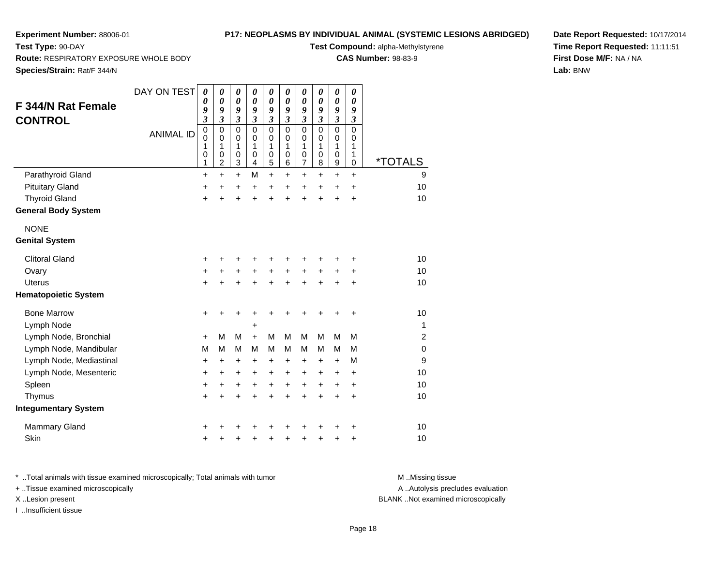**Route:** RESPIRATORY EXPOSURE WHOLE BODY

## **P17: NEOPLASMS BY INDIVIDUAL ANIMAL (SYSTEMIC LESIONS ABRIDGED)**

**Test Compound:** alpha-Methylstyrene

**CAS Number:** 98-83-9

**Species/Strain:** Rat/F 344/N

**Test Type:** 90-DAY

| F 344/N Rat Female<br><b>CONTROL</b> | DAY ON TEST<br><b>ANIMAL ID</b> | 0<br>0<br>9<br>$\mathfrak{z}$<br>$\pmb{0}$<br>$\mathbf 0$<br>1<br>0<br>1 | 0<br>0<br>9<br>$\overline{\mathbf{3}}$<br>0<br>$\mathbf 0$<br>1<br>0<br>$\overline{2}$ | 0<br>0<br>9<br>$\boldsymbol{\mathfrak{z}}$<br>0<br>$\Omega$<br>1<br>$\mathbf 0$<br>3 | 0<br>$\boldsymbol{\theta}$<br>9<br>$\boldsymbol{\mathfrak{z}}$<br>$\mathbf 0$<br>$\mathbf 0$<br>1<br>0<br>4 | 0<br>$\boldsymbol{\theta}$<br>9<br>$\mathfrak{z}$<br>$\mathbf 0$<br>$\mathbf 0$<br>1<br>$\mathbf 0$<br>5 | 0<br>$\boldsymbol{\theta}$<br>9<br>$\mathfrak{z}$<br>$\overline{0}$<br>$\mathbf 0$<br>1<br>$\mathbf 0$<br>$\,6$ | 0<br>0<br>9<br>$\mathfrak{z}$<br>$\mathbf 0$<br>0<br>$\mathbf 1$<br>0<br>7 | 0<br>$\boldsymbol{\theta}$<br>9<br>$\mathfrak{z}$<br>$\mathbf 0$<br>$\mathbf 0$<br>1<br>$\mathbf 0$<br>8 | 0<br>$\boldsymbol{\theta}$<br>9<br>$\boldsymbol{\mathfrak{z}}$<br>$\mathbf 0$<br>0<br>$\mathbf 1$<br>$\mathbf 0$<br>$\boldsymbol{9}$ | 0<br>0<br>9<br>$\boldsymbol{\beta}$<br>$\mathbf 0$<br>$\mathbf 0$<br>1<br>1<br>$\mathbf 0$ | <i><b>*TOTALS</b></i> |
|--------------------------------------|---------------------------------|--------------------------------------------------------------------------|----------------------------------------------------------------------------------------|--------------------------------------------------------------------------------------|-------------------------------------------------------------------------------------------------------------|----------------------------------------------------------------------------------------------------------|-----------------------------------------------------------------------------------------------------------------|----------------------------------------------------------------------------|----------------------------------------------------------------------------------------------------------|--------------------------------------------------------------------------------------------------------------------------------------|--------------------------------------------------------------------------------------------|-----------------------|
| Parathyroid Gland                    |                                 | $\ddot{}$                                                                | $\ddot{}$                                                                              | $\ddot{}$                                                                            | M                                                                                                           | $\ddot{}$                                                                                                | $\ddot{}$                                                                                                       | $\ddot{}$                                                                  | $\ddot{}$                                                                                                | $\ddot{}$                                                                                                                            | $\ddot{}$                                                                                  | 9                     |
| <b>Pituitary Gland</b>               |                                 | $\ddot{}$                                                                | $\ddot{}$                                                                              | $\ddot{}$                                                                            | $\ddot{}$                                                                                                   | $\ddot{}$                                                                                                | $\ddot{}$                                                                                                       | $\ddot{}$                                                                  | $\ddot{}$                                                                                                | $\ddot{}$                                                                                                                            | $\ddot{}$                                                                                  | 10                    |
| <b>Thyroid Gland</b>                 |                                 | $\ddot{}$                                                                | Ŧ.                                                                                     | $\ddot{}$                                                                            | $\ddot{}$                                                                                                   | $\ddot{}$                                                                                                | $\ddot{}$                                                                                                       | $\ddot{}$                                                                  | $\ddot{}$                                                                                                | $\ddot{}$                                                                                                                            | $\ddot{}$                                                                                  | 10                    |
| <b>General Body System</b>           |                                 |                                                                          |                                                                                        |                                                                                      |                                                                                                             |                                                                                                          |                                                                                                                 |                                                                            |                                                                                                          |                                                                                                                                      |                                                                                            |                       |
| <b>NONE</b>                          |                                 |                                                                          |                                                                                        |                                                                                      |                                                                                                             |                                                                                                          |                                                                                                                 |                                                                            |                                                                                                          |                                                                                                                                      |                                                                                            |                       |
| <b>Genital System</b>                |                                 |                                                                          |                                                                                        |                                                                                      |                                                                                                             |                                                                                                          |                                                                                                                 |                                                                            |                                                                                                          |                                                                                                                                      |                                                                                            |                       |
| <b>Clitoral Gland</b>                |                                 | +                                                                        |                                                                                        |                                                                                      |                                                                                                             |                                                                                                          |                                                                                                                 |                                                                            | +                                                                                                        |                                                                                                                                      | +                                                                                          | 10                    |
| Ovary                                |                                 | $\ddot{}$                                                                |                                                                                        | $\ddot{}$                                                                            |                                                                                                             |                                                                                                          | $\ddot{}$                                                                                                       | $\ddot{}$                                                                  | $\ddot{}$                                                                                                | +                                                                                                                                    | +                                                                                          | 10                    |
| Uterus                               |                                 | $\ddot{}$                                                                | $\ddot{}$                                                                              | $\ddot{}$                                                                            | $\ddot{}$                                                                                                   | $\ddot{}$                                                                                                | $\ddot{}$                                                                                                       | $\pm$                                                                      | $\ddot{}$                                                                                                | $\ddot{}$                                                                                                                            | +                                                                                          | 10                    |
| <b>Hematopoietic System</b>          |                                 |                                                                          |                                                                                        |                                                                                      |                                                                                                             |                                                                                                          |                                                                                                                 |                                                                            |                                                                                                          |                                                                                                                                      |                                                                                            |                       |
| <b>Bone Marrow</b>                   |                                 | $\ddot{}$                                                                |                                                                                        | +                                                                                    |                                                                                                             |                                                                                                          |                                                                                                                 |                                                                            | +                                                                                                        | +                                                                                                                                    | +                                                                                          | 10                    |
| Lymph Node                           |                                 |                                                                          |                                                                                        |                                                                                      | +                                                                                                           |                                                                                                          |                                                                                                                 |                                                                            |                                                                                                          |                                                                                                                                      |                                                                                            | 1                     |
| Lymph Node, Bronchial                |                                 | $+$                                                                      | м                                                                                      | М                                                                                    | $+$                                                                                                         | M                                                                                                        | M                                                                                                               | M                                                                          | M                                                                                                        | M                                                                                                                                    | M                                                                                          | $\overline{2}$        |
| Lymph Node, Mandibular               |                                 | М                                                                        | м                                                                                      | M                                                                                    | M                                                                                                           | M                                                                                                        | M                                                                                                               | м                                                                          | М                                                                                                        | M                                                                                                                                    | M                                                                                          | $\Omega$              |
| Lymph Node, Mediastinal              |                                 | +                                                                        | $\ddot{}$                                                                              | $\ddot{}$                                                                            | $\ddot{}$                                                                                                   | +                                                                                                        | $\ddot{}$                                                                                                       | +                                                                          | $\ddot{}$                                                                                                | $\ddot{}$                                                                                                                            | M                                                                                          | 9                     |
| Lymph Node, Mesenteric               |                                 | $\ddot{}$                                                                | $\ddot{}$                                                                              | $\ddot{}$                                                                            | $\ddot{}$                                                                                                   | $\ddot{}$                                                                                                | $\ddot{}$                                                                                                       | $\ddot{}$                                                                  | $\ddot{}$                                                                                                | +                                                                                                                                    | $\ddot{}$                                                                                  | 10                    |
| Spleen                               |                                 | +                                                                        | +                                                                                      | +                                                                                    | +                                                                                                           | $\ddot{}$                                                                                                | $\ddot{}$                                                                                                       | $\ddot{}$                                                                  | $\ddot{}$                                                                                                | $\ddot{}$                                                                                                                            | +                                                                                          | 10                    |
| Thymus                               |                                 | $\ddot{}$                                                                | $\ddot{}$                                                                              | $\ddot{}$                                                                            | $\ddot{}$                                                                                                   | $\ddot{}$                                                                                                | $\ddot{}$                                                                                                       | $\ddot{}$                                                                  | $\ddot{}$                                                                                                | $\ddot{}$                                                                                                                            | $\ddot{}$                                                                                  | 10                    |
| <b>Integumentary System</b>          |                                 |                                                                          |                                                                                        |                                                                                      |                                                                                                             |                                                                                                          |                                                                                                                 |                                                                            |                                                                                                          |                                                                                                                                      |                                                                                            |                       |
| <b>Mammary Gland</b>                 |                                 | +                                                                        |                                                                                        |                                                                                      |                                                                                                             |                                                                                                          |                                                                                                                 |                                                                            |                                                                                                          |                                                                                                                                      | +                                                                                          | 10                    |
| Skin                                 |                                 | +                                                                        |                                                                                        | +                                                                                    | +                                                                                                           | ٠                                                                                                        | ٠                                                                                                               | ٠                                                                          | +                                                                                                        | +                                                                                                                                    | +                                                                                          | 10                    |

**Date Report Requested:** 10/17/2014**Time Report Requested:** 11:11:51**First Dose M/F:** NA / NA**Lab:** BNW

\* ..Total animals with tissue examined microscopically; Total animals with tumor **M** . Missing tissue M ..Missing tissue + ..Tissue examined microscopically X ..Lesion present BLANK ..Not examined microscopically

I ..Insufficient tissue

A ..Autolysis precludes evaluation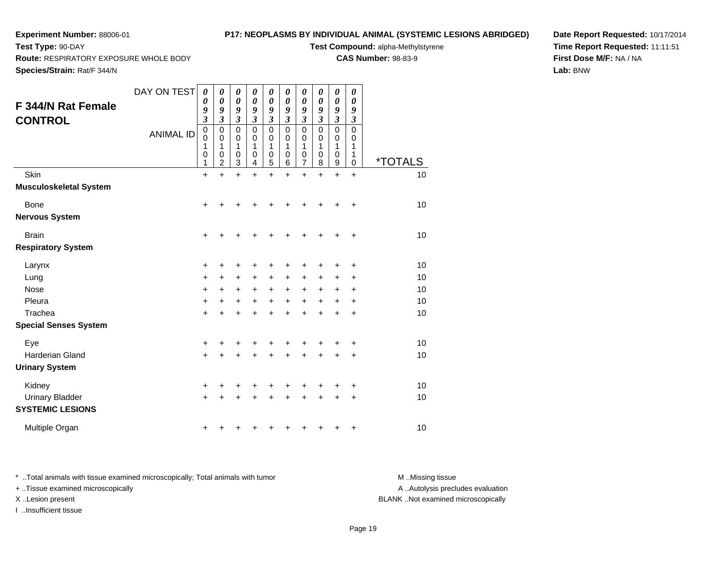## **P17: NEOPLASMS BY INDIVIDUAL ANIMAL (SYSTEMIC LESIONS ABRIDGED)**

**Test Compound:** alpha-Methylstyrene

**CAS Number:** 98-83-9

**Date Report Requested:** 10/17/2014**Time Report Requested:** 11:11:51**First Dose M/F:** NA / NA**Lab:** BNW

**Route:** RESPIRATORY EXPOSURE WHOLE BODY

**Species/Strain:** Rat/F 344/N

**Test Type:** 90-DAY

| F 344/N Rat Female<br><b>CONTROL</b>              | DAY ON TEST<br><b>ANIMAL ID</b> | 0<br>0<br>9<br>$\mathfrak{z}$<br>$\pmb{0}$<br>0<br>1<br>$\mathbf 0$<br>1 | 0<br>$\boldsymbol{\theta}$<br>9<br>3<br>$\mathbf 0$<br>0<br>1<br>$\mathbf 0$<br>2 | 0<br>0<br>9<br>$\boldsymbol{\beta}$<br>$\mathbf 0$<br>0<br>1<br>$\boldsymbol{0}$<br>3 | 0<br>0<br>9<br>$\mathfrak{z}$<br>$\mathbf 0$<br>0<br>1<br>$\mathbf 0$<br>4 | 0<br>0<br>9<br>$\boldsymbol{\beta}$<br>$\mathbf 0$<br>0<br>1<br>$\boldsymbol{0}$<br>5 | 0<br>0<br>9<br>$\mathfrak{z}$<br>$\mathbf 0$<br>0<br>1<br>$\mathbf 0$<br>6 | 0<br>0<br>9<br>$\overline{\mathbf{3}}$<br>$\mathbf 0$<br>0<br>1<br>0<br>7 | 0<br>0<br>9<br>$\mathfrak{z}$<br>$\mathbf 0$<br>0<br>1<br>$\mathbf 0$<br>8 | 0<br>0<br>9<br>$\overline{\mathbf{3}}$<br>$\mathbf 0$<br>0<br>1<br>$\mathbf 0$<br>9 | 0<br>0<br>9<br>$\boldsymbol{\beta}$<br>$\mathbf 0$<br>0<br>1<br>1<br>0 | <i><b>*TOTALS</b></i> |
|---------------------------------------------------|---------------------------------|--------------------------------------------------------------------------|-----------------------------------------------------------------------------------|---------------------------------------------------------------------------------------|----------------------------------------------------------------------------|---------------------------------------------------------------------------------------|----------------------------------------------------------------------------|---------------------------------------------------------------------------|----------------------------------------------------------------------------|-------------------------------------------------------------------------------------|------------------------------------------------------------------------|-----------------------|
| Skin<br><b>Musculoskeletal System</b>             |                                 | $\ddot{}$                                                                | $\ddot{}$                                                                         | $\ddot{}$                                                                             | +                                                                          | $\ddot{}$                                                                             | +                                                                          | $\ddot{}$                                                                 | $\ddot{}$                                                                  | $\ddot{}$                                                                           | $\ddot{}$                                                              | 10                    |
| <b>Bone</b><br><b>Nervous System</b>              |                                 | $\ddot{}$                                                                | +                                                                                 | +                                                                                     | ┿                                                                          | +                                                                                     | +                                                                          |                                                                           |                                                                            | ٠                                                                                   | +                                                                      | 10                    |
| <b>Brain</b>                                      |                                 | $\ddot{}$                                                                |                                                                                   |                                                                                       |                                                                            |                                                                                       |                                                                            |                                                                           |                                                                            |                                                                                     | ٠                                                                      | 10                    |
| <b>Respiratory System</b>                         |                                 |                                                                          |                                                                                   |                                                                                       |                                                                            |                                                                                       |                                                                            |                                                                           |                                                                            |                                                                                     |                                                                        |                       |
| Larynx                                            |                                 | +                                                                        | +                                                                                 | +                                                                                     |                                                                            | +                                                                                     |                                                                            |                                                                           |                                                                            |                                                                                     | ٠                                                                      | 10                    |
| Lung                                              |                                 | $\ddot{}$                                                                | +                                                                                 | $\pm$                                                                                 | +                                                                          | +                                                                                     | +                                                                          | +                                                                         |                                                                            |                                                                                     | ٠                                                                      | 10                    |
| <b>Nose</b>                                       |                                 | +                                                                        | +                                                                                 | $\ddot{}$                                                                             | $\ddot{}$                                                                  | $\ddot{}$                                                                             | $\ddot{}$                                                                  | +                                                                         | $\ddot{}$                                                                  | +                                                                                   | +                                                                      | 10                    |
| Pleura                                            |                                 | $\ddot{}$                                                                | $\ddot{}$                                                                         | $\ddot{}$                                                                             | $\ddot{}$                                                                  | $\ddot{}$                                                                             | $\ddot{}$                                                                  | $\ddot{}$                                                                 |                                                                            | +                                                                                   | +                                                                      | 10                    |
| Trachea                                           |                                 | $\ddot{}$                                                                | +                                                                                 | +                                                                                     | +                                                                          | +                                                                                     | +                                                                          | +                                                                         |                                                                            | +                                                                                   | ٠                                                                      | 10                    |
| <b>Special Senses System</b>                      |                                 |                                                                          |                                                                                   |                                                                                       |                                                                            |                                                                                       |                                                                            |                                                                           |                                                                            |                                                                                     |                                                                        |                       |
| Eye                                               |                                 | +                                                                        | +                                                                                 | +                                                                                     |                                                                            | +                                                                                     |                                                                            |                                                                           |                                                                            |                                                                                     | +                                                                      | 10                    |
| <b>Harderian Gland</b>                            |                                 | $\ddot{}$                                                                | +                                                                                 | +                                                                                     | +                                                                          | +                                                                                     | +                                                                          | +                                                                         |                                                                            |                                                                                     | +                                                                      | 10                    |
| <b>Urinary System</b>                             |                                 |                                                                          |                                                                                   |                                                                                       |                                                                            |                                                                                       |                                                                            |                                                                           |                                                                            |                                                                                     |                                                                        |                       |
| Kidney                                            |                                 | +                                                                        | +                                                                                 | +                                                                                     | +                                                                          | +                                                                                     | +                                                                          | +                                                                         |                                                                            | +                                                                                   | +                                                                      | 10                    |
| <b>Urinary Bladder</b><br><b>SYSTEMIC LESIONS</b> |                                 | $\ddot{}$                                                                |                                                                                   |                                                                                       |                                                                            |                                                                                       |                                                                            |                                                                           |                                                                            |                                                                                     | +                                                                      | 10                    |
| Multiple Organ                                    |                                 | +                                                                        |                                                                                   |                                                                                       |                                                                            |                                                                                       |                                                                            |                                                                           |                                                                            |                                                                                     | +                                                                      | 10                    |

\* ..Total animals with tissue examined microscopically; Total animals with tumor **M** . Missing tissue M ..Missing tissue + ..Tissue examined microscopically X ..Lesion present BLANK ..Not examined microscopically

I ..Insufficient tissue

A ..Autolysis precludes evaluation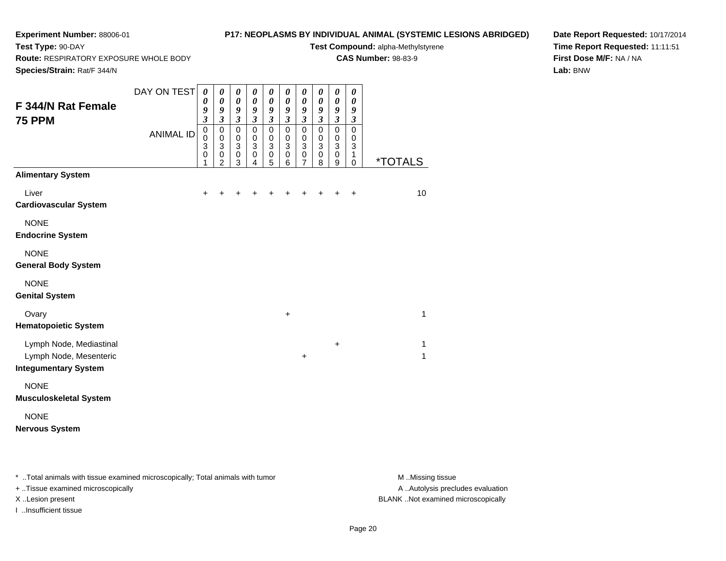# **P17: NEOPLASMS BY INDIVIDUAL ANIMAL (SYSTEMIC LESIONS ABRIDGED)**

**Test Compound:** alpha-Methylstyrene**CAS Number:** 98-83-9

**Route:** RESPIRATORY EXPOSURE WHOLE BODY

**Species/Strain:** Rat/F 344/N

**Test Type:** 90-DAY

**Date Report Requested:** 10/17/2014**Time Report Requested:** 11:11:51**First Dose M/F:** NA / NA**Lab:** BNW

| --- <i>--------</i> -----                                                        |                  |                                                            |                                                                       |                                                                        |                                                                       |                                                                       |                                                                       |                                                                             |                                            |                                                                       |                                                  |                   |
|----------------------------------------------------------------------------------|------------------|------------------------------------------------------------|-----------------------------------------------------------------------|------------------------------------------------------------------------|-----------------------------------------------------------------------|-----------------------------------------------------------------------|-----------------------------------------------------------------------|-----------------------------------------------------------------------------|--------------------------------------------|-----------------------------------------------------------------------|--------------------------------------------------|-------------------|
| F 344/N Rat Female<br><b>75 PPM</b>                                              | DAY ON TEST      | $\boldsymbol{\theta}$<br>0<br>9<br>$\overline{\mathbf{3}}$ | $\boldsymbol{\theta}$<br>$\boldsymbol{\theta}$<br>9<br>$\mathfrak{z}$ | $\pmb{\theta}$<br>$\pmb{\theta}$<br>$\boldsymbol{g}$<br>$\mathfrak{z}$ | $\boldsymbol{\theta}$<br>$\boldsymbol{\theta}$<br>9<br>$\mathfrak{z}$ | $\pmb{\theta}$<br>$\boldsymbol{\theta}$<br>9<br>$\mathfrak{z}$        | $\boldsymbol{\theta}$<br>$\boldsymbol{\theta}$<br>9<br>$\mathfrak{z}$ | $\pmb{\theta}$<br>$\boldsymbol{\theta}$<br>9<br>$\boldsymbol{\mathfrak{z}}$ | 0<br>$\pmb{\theta}$<br>9<br>$\mathfrak{z}$ | $\boldsymbol{\theta}$<br>$\boldsymbol{\theta}$<br>9<br>$\mathfrak{z}$ | $\pmb{\theta}$<br>0<br>9<br>$\boldsymbol{\beta}$ |                   |
|                                                                                  | <b>ANIMAL ID</b> | $\pmb{0}$<br>$\mathbf 0$<br>3<br>0<br>1                    | $\mathbf 0$<br>$\mathbf 0$<br>$\sqrt{3}$<br>0<br>$\overline{2}$       | $\pmb{0}$<br>$\pmb{0}$<br>$\ensuremath{\mathsf{3}}$<br>$\pmb{0}$<br>3  | $\pmb{0}$<br>$\pmb{0}$<br>$\ensuremath{\mathsf{3}}$<br>0<br>4         | $\pmb{0}$<br>$\mathbf 0$<br>$\ensuremath{\mathsf{3}}$<br>$\,0\,$<br>5 | $\pmb{0}$<br>$\mathbf 0$<br>$\ensuremath{\mathsf{3}}$<br>0<br>6       | $\mathbf 0$<br>$\,0\,$<br>$\overline{3}$<br>$\pmb{0}$<br>7                  | $\pmb{0}$<br>0<br>3<br>0<br>8              | $\mathbf 0$<br>$\mathbf 0$<br>$\ensuremath{\mathsf{3}}$<br>0<br>9     | $\pmb{0}$<br>0<br>3<br>1<br>0                    | *TOTALS           |
| <b>Alimentary System</b>                                                         |                  |                                                            |                                                                       |                                                                        |                                                                       |                                                                       |                                                                       |                                                                             |                                            |                                                                       |                                                  |                   |
| Liver<br><b>Cardiovascular System</b>                                            |                  | $\ddot{}$                                                  | +                                                                     | ٠                                                                      | +                                                                     |                                                                       | +                                                                     | +                                                                           |                                            |                                                                       | $\ddot{}$                                        | 10                |
| <b>NONE</b><br><b>Endocrine System</b>                                           |                  |                                                            |                                                                       |                                                                        |                                                                       |                                                                       |                                                                       |                                                                             |                                            |                                                                       |                                                  |                   |
| <b>NONE</b><br><b>General Body System</b>                                        |                  |                                                            |                                                                       |                                                                        |                                                                       |                                                                       |                                                                       |                                                                             |                                            |                                                                       |                                                  |                   |
| <b>NONE</b><br><b>Genital System</b>                                             |                  |                                                            |                                                                       |                                                                        |                                                                       |                                                                       |                                                                       |                                                                             |                                            |                                                                       |                                                  |                   |
| Ovary<br><b>Hematopoietic System</b>                                             |                  |                                                            |                                                                       |                                                                        |                                                                       |                                                                       | $\ddot{}$                                                             |                                                                             |                                            |                                                                       |                                                  | 1                 |
| Lymph Node, Mediastinal<br>Lymph Node, Mesenteric<br><b>Integumentary System</b> |                  |                                                            |                                                                       |                                                                        |                                                                       |                                                                       |                                                                       | $\ddot{}$                                                                   |                                            | +                                                                     |                                                  | 1<br>$\mathbf{1}$ |
| <b>NONE</b><br><b>Musculoskeletal System</b>                                     |                  |                                                            |                                                                       |                                                                        |                                                                       |                                                                       |                                                                       |                                                                             |                                            |                                                                       |                                                  |                   |
| <b>NONE</b><br><b>Nervous System</b>                                             |                  |                                                            |                                                                       |                                                                        |                                                                       |                                                                       |                                                                       |                                                                             |                                            |                                                                       |                                                  |                   |

\* ..Total animals with tissue examined microscopically; Total animals with tumor **M** . Missing tissue M ..Missing tissue

+ ..Tissue examined microscopically

I ..Insufficient tissue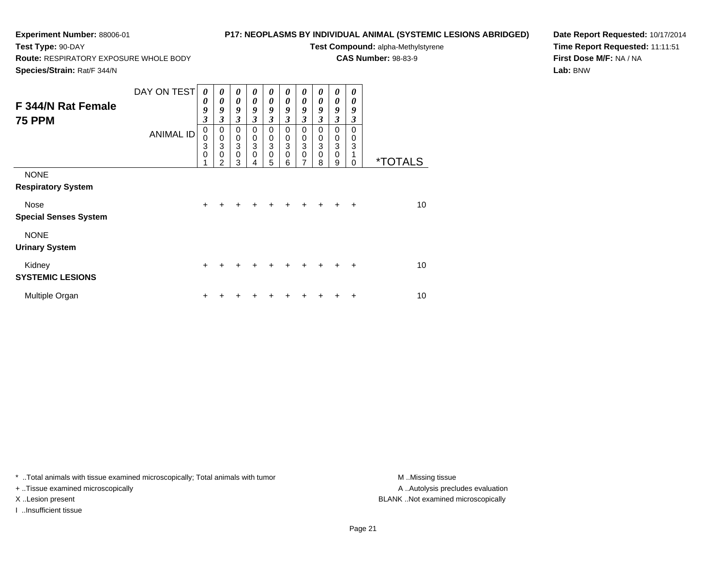**Route:** RESPIRATORY EXPOSURE WHOLE BODY

# **P17: NEOPLASMS BY INDIVIDUAL ANIMAL (SYSTEMIC LESIONS ABRIDGED)**

**Test Compound:** alpha-Methylstyrene

**CAS Number:** 98-83-9

**Species/Strain:** Rat/F 344/N

**Test Type:** 90-DAY

**Date Report Requested:** 10/17/2014**Time Report Requested:** 11:11:51**First Dose M/F:** NA / NA**Lab:** BNW

| <b>F 344/N Rat Female</b><br><b>75 PPM</b>                           | DAY ON TEST<br><b>ANIMAL ID</b> | 0<br>0<br>9<br>3<br>$\mathbf 0$<br>0<br>3<br>0<br>4 | $\boldsymbol{\theta}$<br>0<br>9<br>3<br>$\mathbf 0$<br>$\pmb{0}$<br>$\ensuremath{\mathsf{3}}$<br>$\mathbf 0$<br>$\overline{2}$ | 0<br>$\boldsymbol{\theta}$<br>$\boldsymbol{g}$<br>$\mathfrak{z}$<br>$\mathbf 0$<br>$\pmb{0}$<br>$\mathbf{3}$<br>$\mathbf 0$<br>3 | 0<br>$\boldsymbol{\theta}$<br>9<br>3<br>0<br>$\mathbf 0$<br>3<br>$\mathbf 0$<br>4 | $\boldsymbol{\theta}$<br>0<br>9<br>$\mathfrak{z}$<br>$\mathbf 0$<br>$\pmb{0}$<br>$\overline{3}$<br>$\pmb{0}$<br>5 | 0<br>0<br>9<br>3<br>$\mathbf 0$<br>0<br>3<br>$\Omega$<br>6 | 0<br>0<br>9<br>$\mathfrak{z}$<br>$\mathbf 0$<br>$\pmb{0}$<br>3<br>$\mathbf 0$<br>$\overline{7}$ | 0<br>0<br>9<br>3<br>0<br>$\mathbf 0$<br>3<br>0<br>8 | 0<br>0<br>9<br>3<br>0<br>$\mathbf 0$<br>$\overline{3}$<br>$\pmb{0}$<br>9 | 0<br>0<br>9<br>3<br>$\Omega$<br>0<br>3<br>$\Omega$ | <i><b>*TOTALS</b></i> |
|----------------------------------------------------------------------|---------------------------------|-----------------------------------------------------|--------------------------------------------------------------------------------------------------------------------------------|----------------------------------------------------------------------------------------------------------------------------------|-----------------------------------------------------------------------------------|-------------------------------------------------------------------------------------------------------------------|------------------------------------------------------------|-------------------------------------------------------------------------------------------------|-----------------------------------------------------|--------------------------------------------------------------------------|----------------------------------------------------|-----------------------|
| <b>NONE</b><br><b>Respiratory System</b><br>Nose                     |                                 | $\ddot{}$                                           |                                                                                                                                |                                                                                                                                  |                                                                                   |                                                                                                                   |                                                            |                                                                                                 |                                                     |                                                                          | $\ddot{}$                                          | 10                    |
| <b>Special Senses System</b><br><b>NONE</b><br><b>Urinary System</b> |                                 |                                                     |                                                                                                                                |                                                                                                                                  |                                                                                   |                                                                                                                   |                                                            |                                                                                                 |                                                     |                                                                          |                                                    |                       |
| Kidney<br><b>SYSTEMIC LESIONS</b>                                    |                                 | $\ddot{}$                                           |                                                                                                                                |                                                                                                                                  |                                                                                   |                                                                                                                   | +                                                          |                                                                                                 |                                                     |                                                                          | $\ddot{}$                                          | 10                    |
| Multiple Organ                                                       |                                 | ٠                                                   |                                                                                                                                |                                                                                                                                  |                                                                                   |                                                                                                                   |                                                            |                                                                                                 |                                                     |                                                                          | +                                                  | 10                    |

\* ..Total animals with tissue examined microscopically; Total animals with tumor **M** . Missing tissue M ..Missing tissue

+ ..Tissue examined microscopically

I ..Insufficient tissue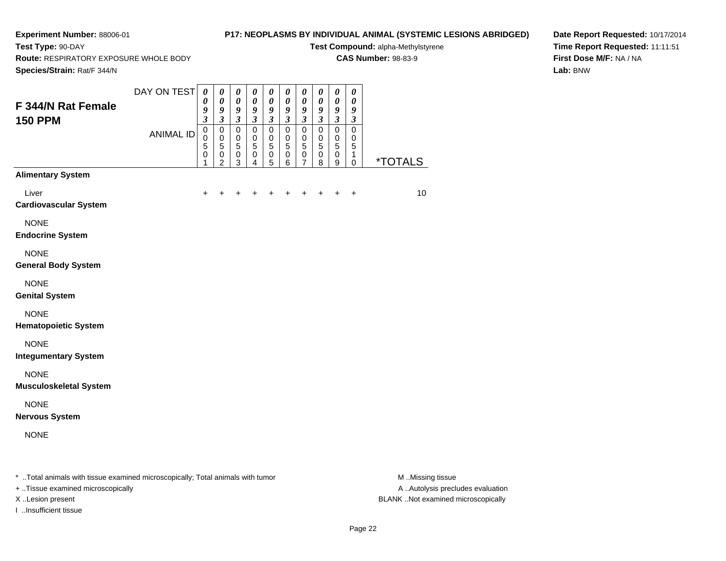**Test Type:** 90-DAY

# **P17: NEOPLASMS BY INDIVIDUAL ANIMAL (SYSTEMIC LESIONS ABRIDGED)**

**Test Compound:** alpha-Methylstyrene**CAS Number:** 98-83-9

**Route:** RESPIRATORY EXPOSURE WHOLE BODY

**Date Report Requested:** 10/17/2014**Time Report Requested:** 11:11:51**First Dose M/F:** NA / NA**Lab:** BNW

| Species/Strain: Rat/F 344/N                                                    |                  |                                                   |                                                                         |                                                                               |                                                                  |                                                                         |                                                                         |                                                                  |                                                                  |                                                                         |                                                                |                       |
|--------------------------------------------------------------------------------|------------------|---------------------------------------------------|-------------------------------------------------------------------------|-------------------------------------------------------------------------------|------------------------------------------------------------------|-------------------------------------------------------------------------|-------------------------------------------------------------------------|------------------------------------------------------------------|------------------------------------------------------------------|-------------------------------------------------------------------------|----------------------------------------------------------------|-----------------------|
| F 344/N Rat Female<br><b>150 PPM</b>                                           | DAY ON TEST      | $\boldsymbol{\theta}$<br>0<br>9<br>$\mathfrak{z}$ | $\pmb{\theta}$<br>$\boldsymbol{\theta}$<br>9<br>$\mathfrak{z}$          | $\pmb{\theta}$<br>$\boldsymbol{\theta}$<br>$\boldsymbol{g}$<br>$\mathfrak{z}$ | $\pmb{\theta}$<br>$\pmb{\theta}$<br>9<br>$\overline{\mathbf{3}}$ | $\pmb{\theta}$<br>$\boldsymbol{\theta}$<br>9<br>$\overline{\mathbf{3}}$ | $\pmb{\theta}$<br>$\boldsymbol{\theta}$<br>9<br>$\overline{\mathbf{3}}$ | $\pmb{\theta}$<br>$\pmb{\theta}$<br>9<br>$\overline{\mathbf{3}}$ | $\pmb{\theta}$<br>$\pmb{\theta}$<br>9<br>$\overline{\mathbf{3}}$ | $\pmb{\theta}$<br>$\boldsymbol{\theta}$<br>9<br>$\overline{\mathbf{3}}$ | $\pmb{\theta}$<br>$\boldsymbol{\theta}$<br>9<br>$\mathfrak{z}$ |                       |
|                                                                                | <b>ANIMAL ID</b> | $\mathbf 0$<br>0<br>5<br>0<br>1                   | $\mathbf 0$<br>$\mathbf 0$<br>$\sqrt{5}$<br>$\pmb{0}$<br>$\overline{2}$ | $\mathbf 0$<br>$\mathbf 0$<br>5<br>0<br>3                                     | $\mathbf 0$<br>$\Omega$<br>5<br>0<br>4                           | $\mathbf 0$<br>$\mathbf 0$<br>5<br>$\mathbf 0$<br>5                     | $\mathbf 0$<br>$\mathbf 0$<br>$\sqrt{5}$<br>$\pmb{0}$<br>6              | $\Omega$<br>$\mathbf 0$<br>5<br>$\pmb{0}$<br>7                   | $\mathbf 0$<br>0<br>5<br>0<br>8                                  | $\mathbf 0$<br>$\mathbf 0$<br>$\overline{5}$<br>0<br>9                  | $\mathbf 0$<br>0<br>5<br>1<br>0                                | <i><b>*TOTALS</b></i> |
| <b>Alimentary System</b>                                                       |                  |                                                   |                                                                         |                                                                               |                                                                  |                                                                         |                                                                         |                                                                  |                                                                  |                                                                         |                                                                |                       |
| Liver<br><b>Cardiovascular System</b>                                          |                  |                                                   |                                                                         |                                                                               |                                                                  |                                                                         |                                                                         |                                                                  | +                                                                |                                                                         | $\ddot{}$                                                      | 10                    |
| <b>NONE</b><br><b>Endocrine System</b>                                         |                  |                                                   |                                                                         |                                                                               |                                                                  |                                                                         |                                                                         |                                                                  |                                                                  |                                                                         |                                                                |                       |
| <b>NONE</b><br><b>General Body System</b>                                      |                  |                                                   |                                                                         |                                                                               |                                                                  |                                                                         |                                                                         |                                                                  |                                                                  |                                                                         |                                                                |                       |
| <b>NONE</b><br><b>Genital System</b>                                           |                  |                                                   |                                                                         |                                                                               |                                                                  |                                                                         |                                                                         |                                                                  |                                                                  |                                                                         |                                                                |                       |
| <b>NONE</b><br><b>Hematopoietic System</b>                                     |                  |                                                   |                                                                         |                                                                               |                                                                  |                                                                         |                                                                         |                                                                  |                                                                  |                                                                         |                                                                |                       |
| <b>NONE</b><br><b>Integumentary System</b>                                     |                  |                                                   |                                                                         |                                                                               |                                                                  |                                                                         |                                                                         |                                                                  |                                                                  |                                                                         |                                                                |                       |
| <b>NONE</b><br><b>Musculoskeletal System</b>                                   |                  |                                                   |                                                                         |                                                                               |                                                                  |                                                                         |                                                                         |                                                                  |                                                                  |                                                                         |                                                                |                       |
| <b>NONE</b><br><b>Nervous System</b>                                           |                  |                                                   |                                                                         |                                                                               |                                                                  |                                                                         |                                                                         |                                                                  |                                                                  |                                                                         |                                                                |                       |
| <b>NONE</b>                                                                    |                  |                                                   |                                                                         |                                                                               |                                                                  |                                                                         |                                                                         |                                                                  |                                                                  |                                                                         |                                                                |                       |
| * Total animals with tissue examined microscopically; Total animals with tumor |                  |                                                   |                                                                         |                                                                               |                                                                  |                                                                         |                                                                         |                                                                  |                                                                  |                                                                         |                                                                | M Missing tissue      |

+ ..Tissue examined microscopically

I ..Insufficient tissue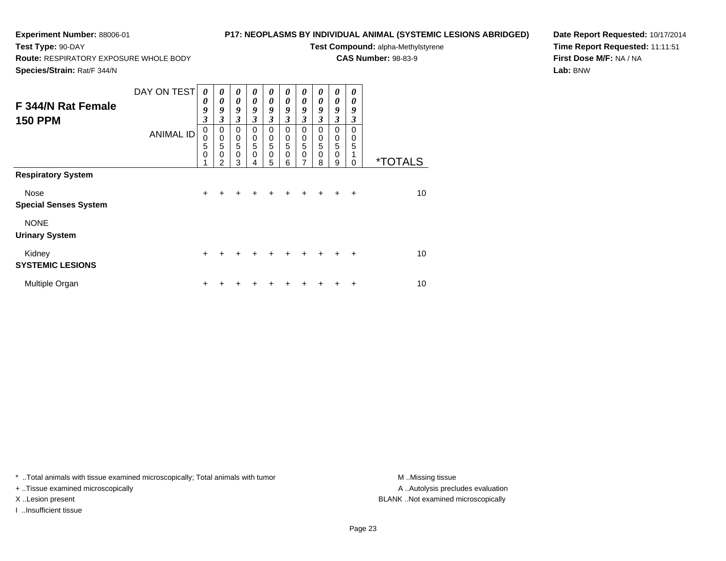## **P17: NEOPLASMS BY INDIVIDUAL ANIMAL (SYSTEMIC LESIONS ABRIDGED)**

**Test Compound:** alpha-Methylstyrene**CAS Number:** 98-83-9

**Route:** RESPIRATORY EXPOSURE WHOLE BODY

**Species/Strain:** Rat/F 344/N

**Test Type:** 90-DAY

**Date Report Requested:** 10/17/2014**Time Report Requested:** 11:11:51**First Dose M/F:** NA / NA**Lab:** BNW

| F 344/N Rat Female<br><b>150 PPM</b> | DAY ON TEST<br><b>ANIMAL ID</b> | $\boldsymbol{\theta}$<br>$\boldsymbol{\theta}$<br>9<br>$\mathfrak{z}$<br>0<br>$\pmb{0}$<br>5<br>$\mathbf 0$<br>1 | 0<br>0<br>9<br>$\mathfrak{z}$<br>0<br>$\pmb{0}$<br>5<br>$\mathbf 0$<br>$\mathfrak{p}$ | 0<br>0<br>9<br>$\overline{\mathbf{3}}$<br>0<br>0<br>5<br>$\pmb{0}$<br>3 | 0<br>$\boldsymbol{\theta}$<br>9<br>3<br>0<br>0<br>5<br>0<br>4 | 0<br>0<br>9<br>3<br>0<br>$\begin{array}{c} 0 \\ 5 \end{array}$<br>$\pmb{0}$<br>5 | 0<br>0<br>9<br>3<br>0<br>0<br>$\overline{5}$<br>0<br>6 | 0<br>$\boldsymbol{\theta}$<br>9<br>3<br>0<br>$\pmb{0}$<br>5<br>$\mathbf 0$<br>7 | 0<br>$\boldsymbol{\theta}$<br>9<br>$\overline{\mathbf{3}}$<br>$\Omega$<br>0<br>$\sqrt{5}$<br>$\mathbf 0$<br>8 | 0<br>0<br>9<br>$\overline{\mathbf{3}}$<br>0<br>$\mathbf 0$<br>$\overline{5}$<br>$\mathbf 0$<br>9 | 0<br>0<br>9<br>3<br>$\Omega$<br>0<br>5<br>0 | <i><b>*TOTALS</b></i> |
|--------------------------------------|---------------------------------|------------------------------------------------------------------------------------------------------------------|---------------------------------------------------------------------------------------|-------------------------------------------------------------------------|---------------------------------------------------------------|----------------------------------------------------------------------------------|--------------------------------------------------------|---------------------------------------------------------------------------------|---------------------------------------------------------------------------------------------------------------|--------------------------------------------------------------------------------------------------|---------------------------------------------|-----------------------|
| <b>Respiratory System</b>            |                                 |                                                                                                                  |                                                                                       |                                                                         |                                                               |                                                                                  |                                                        |                                                                                 |                                                                                                               |                                                                                                  |                                             |                       |
| Nose<br><b>Special Senses System</b> |                                 | $\ddot{}$                                                                                                        |                                                                                       | +                                                                       | +                                                             |                                                                                  |                                                        |                                                                                 | $\ddot{}$                                                                                                     | $\ddot{}$                                                                                        | $\ddot{}$                                   | 10                    |
| <b>NONE</b><br><b>Urinary System</b> |                                 |                                                                                                                  |                                                                                       |                                                                         |                                                               |                                                                                  |                                                        |                                                                                 |                                                                                                               |                                                                                                  |                                             |                       |
| Kidney<br><b>SYSTEMIC LESIONS</b>    |                                 | $\ddot{}$                                                                                                        |                                                                                       |                                                                         |                                                               |                                                                                  |                                                        | $\div$                                                                          | $+$                                                                                                           | $\ddot{}$                                                                                        | $\ddot{}$                                   | 10                    |
| Multiple Organ                       |                                 | ٠                                                                                                                |                                                                                       |                                                                         |                                                               |                                                                                  |                                                        |                                                                                 |                                                                                                               |                                                                                                  | ÷                                           | 10                    |

\* ..Total animals with tissue examined microscopically; Total animals with tumor **M** . Missing tissue M ..Missing tissue

+ ..Tissue examined microscopically

I ..Insufficient tissue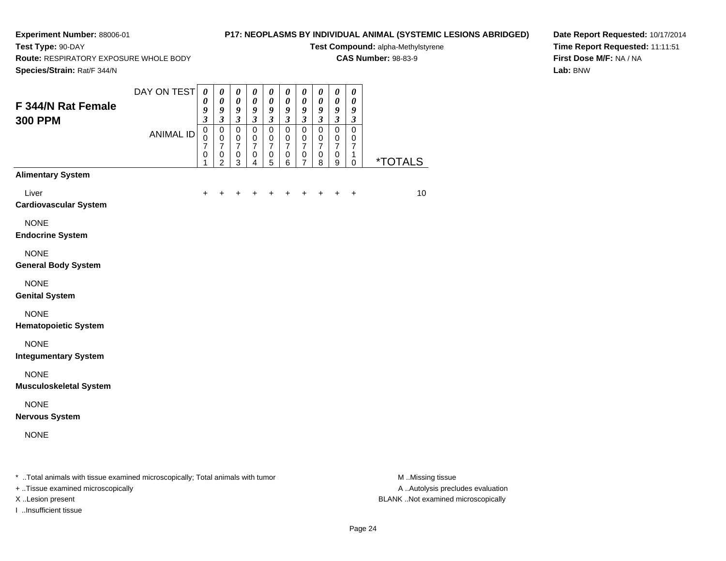# **P17: NEOPLASMS BY INDIVIDUAL ANIMAL (SYSTEMIC LESIONS ABRIDGED)**

**Test Compound:** alpha-Methylstyrene**CAS Number:** 98-83-9

**Route:** RESPIRATORY EXPOSURE WHOLE BODY

**Species/Strain:** Rat/F 344/N

**Test Type:** 90-DAY

**Date Report Requested:** 10/17/2014**Time Report Requested:** 11:11:51**First Dose M/F:** NA / NA**Lab:** BNW

| Species/Strain: Rat/F 344/N                                                    |                  |                                                                       |                                                                             |                                                                      |                                                                               |                                                                             |                                                                |                                                                  |                                                         |                                                               |                                                                       |                       |
|--------------------------------------------------------------------------------|------------------|-----------------------------------------------------------------------|-----------------------------------------------------------------------------|----------------------------------------------------------------------|-------------------------------------------------------------------------------|-----------------------------------------------------------------------------|----------------------------------------------------------------|------------------------------------------------------------------|---------------------------------------------------------|---------------------------------------------------------------|-----------------------------------------------------------------------|-----------------------|
| F 344/N Rat Female<br><b>300 PPM</b>                                           | DAY ON TEST      | $\boldsymbol{\theta}$<br>$\boldsymbol{\theta}$<br>9<br>$\mathfrak{z}$ | $\boldsymbol{\theta}$<br>$\boldsymbol{\theta}$<br>9<br>$\boldsymbol{\beta}$ | $\boldsymbol{\theta}$<br>$\pmb{\theta}$<br>9<br>$\boldsymbol{\beta}$ | $\pmb{\theta}$<br>$\boldsymbol{\theta}$<br>$\boldsymbol{9}$<br>$\mathfrak{z}$ | $\boldsymbol{\theta}$<br>$\boldsymbol{\theta}$<br>9<br>$\boldsymbol{\beta}$ | $\boldsymbol{\theta}$<br>$\pmb{\theta}$<br>9<br>$\mathfrak{z}$ | $\pmb{\theta}$<br>$\pmb{\theta}$<br>9<br>$\mathfrak{z}$          | 0<br>$\pmb{\theta}$<br>9<br>$\boldsymbol{\mathfrak{z}}$ | $\pmb{\theta}$<br>$\pmb{\theta}$<br>9<br>$\boldsymbol{\beta}$ | $\boldsymbol{\theta}$<br>$\boldsymbol{\theta}$<br>9<br>$\mathfrak{z}$ |                       |
|                                                                                | <b>ANIMAL ID</b> | $\mathbf 0$<br>$\mathbf 0$<br>7<br>0<br>1                             | $\pmb{0}$<br>$\pmb{0}$<br>7<br>$\,0\,$<br>$\overline{2}$                    | $\pmb{0}$<br>$\pmb{0}$<br>$\overline{7}$<br>$\pmb{0}$<br>3           | $\pmb{0}$<br>$\mathbf 0$<br>$\overline{7}$<br>$\mathbf 0$<br>4                | $\pmb{0}$<br>$\mathbf 0$<br>7<br>$\pmb{0}$<br>5                             | $\pmb{0}$<br>$\mathbf 0$<br>$\overline{7}$<br>$\pmb{0}$<br>6   | $\mathbf 0$<br>$\mathbf 0$<br>$\overline{7}$<br>$\mathbf 0$<br>7 | $\mathsf 0$<br>0<br>7<br>$\pmb{0}$<br>8                 | $\pmb{0}$<br>$\mathbf 0$<br>$\overline{7}$<br>$\pmb{0}$<br>9  | 0<br>0<br>7<br>1<br>0                                                 | <i><b>*TOTALS</b></i> |
| <b>Alimentary System</b>                                                       |                  |                                                                       |                                                                             |                                                                      |                                                                               |                                                                             |                                                                |                                                                  |                                                         |                                                               |                                                                       |                       |
| Liver<br><b>Cardiovascular System</b>                                          |                  | ٠                                                                     |                                                                             |                                                                      |                                                                               |                                                                             |                                                                |                                                                  |                                                         |                                                               | $\ddot{}$                                                             | 10                    |
| <b>NONE</b><br><b>Endocrine System</b>                                         |                  |                                                                       |                                                                             |                                                                      |                                                                               |                                                                             |                                                                |                                                                  |                                                         |                                                               |                                                                       |                       |
| <b>NONE</b><br><b>General Body System</b>                                      |                  |                                                                       |                                                                             |                                                                      |                                                                               |                                                                             |                                                                |                                                                  |                                                         |                                                               |                                                                       |                       |
| <b>NONE</b><br><b>Genital System</b>                                           |                  |                                                                       |                                                                             |                                                                      |                                                                               |                                                                             |                                                                |                                                                  |                                                         |                                                               |                                                                       |                       |
| <b>NONE</b><br><b>Hematopoietic System</b>                                     |                  |                                                                       |                                                                             |                                                                      |                                                                               |                                                                             |                                                                |                                                                  |                                                         |                                                               |                                                                       |                       |
| <b>NONE</b><br><b>Integumentary System</b>                                     |                  |                                                                       |                                                                             |                                                                      |                                                                               |                                                                             |                                                                |                                                                  |                                                         |                                                               |                                                                       |                       |
| <b>NONE</b><br><b>Musculoskeletal System</b>                                   |                  |                                                                       |                                                                             |                                                                      |                                                                               |                                                                             |                                                                |                                                                  |                                                         |                                                               |                                                                       |                       |
| <b>NONE</b><br><b>Nervous System</b>                                           |                  |                                                                       |                                                                             |                                                                      |                                                                               |                                                                             |                                                                |                                                                  |                                                         |                                                               |                                                                       |                       |
| <b>NONE</b>                                                                    |                  |                                                                       |                                                                             |                                                                      |                                                                               |                                                                             |                                                                |                                                                  |                                                         |                                                               |                                                                       |                       |
| * Total animals with tissue examined microscopically; Total animals with tumor |                  |                                                                       |                                                                             |                                                                      |                                                                               |                                                                             |                                                                |                                                                  |                                                         |                                                               |                                                                       | M Missing tissue      |

+ ..Tissue examined microscopically

I ..Insufficient tissue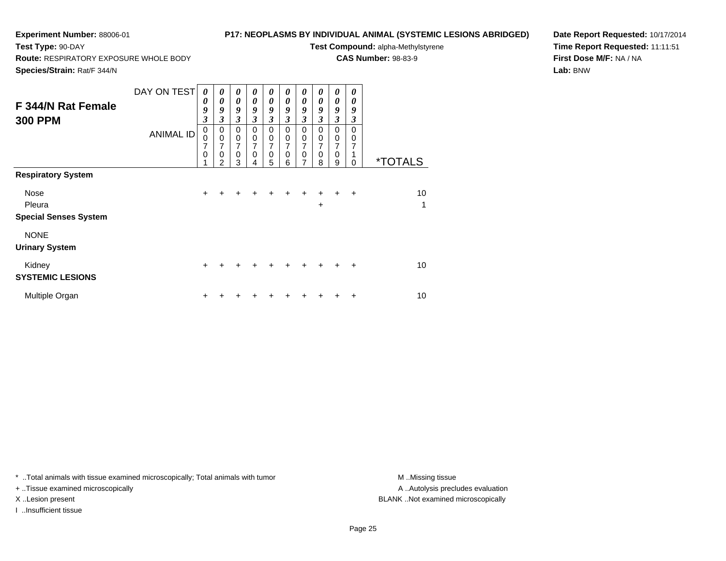## **P17: NEOPLASMS BY INDIVIDUAL ANIMAL (SYSTEMIC LESIONS ABRIDGED)**

**Test Compound:** alpha-Methylstyrene**CAS Number:** 98-83-9

**Route:** RESPIRATORY EXPOSURE WHOLE BODY

**Species/Strain:** Rat/F 344/N

**Test Type:** 90-DAY

**Date Report Requested:** 10/17/2014**Time Report Requested:** 11:11:51**First Dose M/F:** NA / NA**Lab:** BNW

| F 344/N Rat Female<br><b>300 PPM</b>                                               | DAY ON TEST<br><b>ANIMAL ID</b> | 0<br>0<br>9<br>3<br>0<br>$\mathbf 0$<br>7<br>0 | 0<br>0<br>9<br>3<br>0<br>$\mathbf 0$<br>7<br>0<br>2 | 0<br>$\boldsymbol{\theta}$<br>9<br>$\mathfrak{z}$<br>$\mathbf 0$<br>$\pmb{0}$<br>7<br>$\mathbf 0$<br>3 | 0<br>$\boldsymbol{\theta}$<br>9<br>3<br>$\Omega$<br>$\pmb{0}$<br>7<br>$\Omega$<br>4 | $\boldsymbol{\theta}$<br>0<br>9<br>$\mathfrak{z}$<br>$\Omega$<br>$\mathbf 0$<br>7<br>$\mathbf 0$<br>5 | 0<br>0<br>9<br>$\boldsymbol{\beta}$<br>$\Omega$<br>0<br>0<br>6 | 0<br>$\boldsymbol{\theta}$<br>9<br>3<br>$\Omega$<br>0<br>7<br>0<br>7 | 0<br>0<br>9<br>3<br>$\Omega$<br>0<br>7<br>0<br>8 | 0<br>0<br>9<br>3<br>0<br>0<br>7<br>0<br>9 | 0<br>0<br>9<br>3<br>$\Omega$<br>0<br>7<br>0 | <i><b>*TOTALS</b></i> |
|------------------------------------------------------------------------------------|---------------------------------|------------------------------------------------|-----------------------------------------------------|--------------------------------------------------------------------------------------------------------|-------------------------------------------------------------------------------------|-------------------------------------------------------------------------------------------------------|----------------------------------------------------------------|----------------------------------------------------------------------|--------------------------------------------------|-------------------------------------------|---------------------------------------------|-----------------------|
| <b>Respiratory System</b><br><b>Nose</b><br>Pleura<br><b>Special Senses System</b> |                                 | $+$                                            | $\div$                                              | $\pm$                                                                                                  | $\ddot{}$                                                                           | $\pm$                                                                                                 | $\ddot{}$                                                      | $\ddot{}$                                                            | $+$<br>$\ddot{}$                                 | $+$                                       | $+$                                         | 10<br>1               |
| <b>NONE</b><br><b>Urinary System</b>                                               |                                 |                                                |                                                     |                                                                                                        |                                                                                     |                                                                                                       |                                                                |                                                                      |                                                  |                                           |                                             |                       |
| Kidney<br><b>SYSTEMIC LESIONS</b>                                                  |                                 | $\ddot{}$                                      |                                                     | +                                                                                                      |                                                                                     | +                                                                                                     | $\ddot{}$                                                      | $\ddot{}$                                                            | ÷.                                               | ÷                                         | $\ddot{}$                                   | 10                    |
| Multiple Organ                                                                     |                                 | ٠                                              |                                                     |                                                                                                        |                                                                                     |                                                                                                       |                                                                |                                                                      |                                                  |                                           | +                                           | 10                    |

\* ..Total animals with tissue examined microscopically; Total animals with tumor **M** . Missing tissue M ..Missing tissue

+ ..Tissue examined microscopically

I ..Insufficient tissue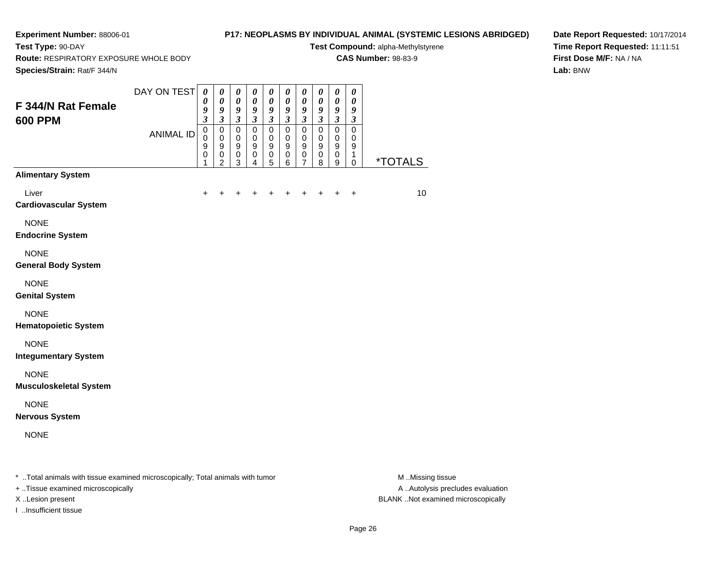# **P17: NEOPLASMS BY INDIVIDUAL ANIMAL (SYSTEMIC LESIONS ABRIDGED)**

**Test Compound:** alpha-Methylstyrene**CAS Number:** 98-83-9

**Route:** RESPIRATORY EXPOSURE WHOLE BODY

**Test Type:** 90-DAY

**Date Report Requested:** 10/17/2014**Time Report Requested:** 11:11:51**First Dose M/F:** NA / NA**Lab:** BNW

| Species/Strain: Rat/F 344/N                                                    |                  |                                                   |                                                                             |                                                                              |                                                         |                                                                      |                                                                      |                                                         |                                                           |                                                                      |                                                   |                       |
|--------------------------------------------------------------------------------|------------------|---------------------------------------------------|-----------------------------------------------------------------------------|------------------------------------------------------------------------------|---------------------------------------------------------|----------------------------------------------------------------------|----------------------------------------------------------------------|---------------------------------------------------------|-----------------------------------------------------------|----------------------------------------------------------------------|---------------------------------------------------|-----------------------|
| F 344/N Rat Female<br><b>600 PPM</b>                                           | DAY ON TEST      | $\boldsymbol{\theta}$<br>0<br>9<br>$\mathfrak{z}$ | $\boldsymbol{\theta}$<br>$\boldsymbol{\theta}$<br>9<br>$\boldsymbol{\beta}$ | $\pmb{\theta}$<br>$\pmb{\theta}$<br>$\boldsymbol{g}$<br>$\boldsymbol{\beta}$ | $\pmb{\theta}$<br>$\pmb{\theta}$<br>9<br>$\mathfrak{z}$ | $\boldsymbol{\theta}$<br>$\pmb{\theta}$<br>9<br>$\boldsymbol{\beta}$ | $\boldsymbol{\theta}$<br>$\pmb{\theta}$<br>9<br>$\boldsymbol{\beta}$ | $\pmb{\theta}$<br>$\pmb{\theta}$<br>9<br>$\mathfrak{z}$ | 0<br>0<br>9<br>$\boldsymbol{\beta}$                       | $\boldsymbol{\theta}$<br>$\pmb{\theta}$<br>9<br>$\boldsymbol{\beta}$ | $\boldsymbol{\theta}$<br>0<br>9<br>$\mathfrak{z}$ |                       |
|                                                                                | <b>ANIMAL ID</b> | $\mathbf 0$<br>0<br>9<br>0<br>1                   | $\pmb{0}$<br>$\mathbf 0$<br>9<br>$\,0\,$<br>2                               | $\pmb{0}$<br>$\pmb{0}$<br>9<br>$\pmb{0}$<br>3                                | $\pmb{0}$<br>$\mathbf 0$<br>9<br>$\pmb{0}$<br>4         | $\pmb{0}$<br>$\mathbf 0$<br>9<br>$\mathbf 0$<br>5                    | $\pmb{0}$<br>$\mathbf 0$<br>9<br>$\pmb{0}$<br>6                      | $\pmb{0}$<br>$\mathbf 0$<br>9<br>$\pmb{0}$<br>7         | $\mathbf 0$<br>$\pmb{0}$<br>9<br>$\ddot{\mathbf{0}}$<br>8 | $\pmb{0}$<br>$\mathbf 0$<br>9<br>$\,0\,$<br>9                        | $\mathbf 0$<br>0<br>9<br>1<br>0                   | <i><b>*TOTALS</b></i> |
| <b>Alimentary System</b>                                                       |                  |                                                   |                                                                             |                                                                              |                                                         |                                                                      |                                                                      |                                                         |                                                           |                                                                      |                                                   |                       |
| Liver<br><b>Cardiovascular System</b>                                          |                  | ٠                                                 |                                                                             |                                                                              |                                                         |                                                                      |                                                                      |                                                         |                                                           |                                                                      | $\ddot{}$                                         | 10                    |
| <b>NONE</b><br><b>Endocrine System</b>                                         |                  |                                                   |                                                                             |                                                                              |                                                         |                                                                      |                                                                      |                                                         |                                                           |                                                                      |                                                   |                       |
| <b>NONE</b><br><b>General Body System</b>                                      |                  |                                                   |                                                                             |                                                                              |                                                         |                                                                      |                                                                      |                                                         |                                                           |                                                                      |                                                   |                       |
| <b>NONE</b><br><b>Genital System</b>                                           |                  |                                                   |                                                                             |                                                                              |                                                         |                                                                      |                                                                      |                                                         |                                                           |                                                                      |                                                   |                       |
| <b>NONE</b><br><b>Hematopoietic System</b>                                     |                  |                                                   |                                                                             |                                                                              |                                                         |                                                                      |                                                                      |                                                         |                                                           |                                                                      |                                                   |                       |
| <b>NONE</b><br><b>Integumentary System</b>                                     |                  |                                                   |                                                                             |                                                                              |                                                         |                                                                      |                                                                      |                                                         |                                                           |                                                                      |                                                   |                       |
| <b>NONE</b><br><b>Musculoskeletal System</b>                                   |                  |                                                   |                                                                             |                                                                              |                                                         |                                                                      |                                                                      |                                                         |                                                           |                                                                      |                                                   |                       |
| <b>NONE</b><br><b>Nervous System</b>                                           |                  |                                                   |                                                                             |                                                                              |                                                         |                                                                      |                                                                      |                                                         |                                                           |                                                                      |                                                   |                       |
| <b>NONE</b>                                                                    |                  |                                                   |                                                                             |                                                                              |                                                         |                                                                      |                                                                      |                                                         |                                                           |                                                                      |                                                   |                       |
| * Total animals with tissue examined microscopically; Total animals with tumor |                  |                                                   |                                                                             |                                                                              |                                                         |                                                                      |                                                                      |                                                         |                                                           |                                                                      |                                                   | M.Missing tissue      |

+ ..Tissue examined microscopically

I ..Insufficient tissue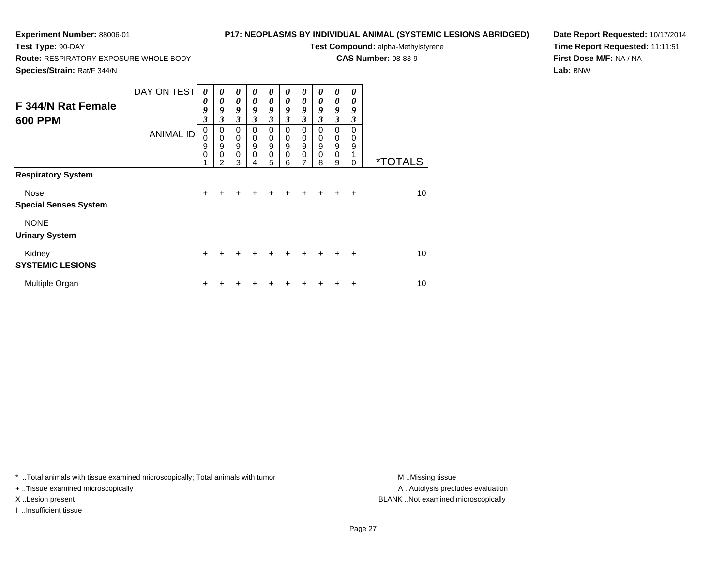## **P17: NEOPLASMS BY INDIVIDUAL ANIMAL (SYSTEMIC LESIONS ABRIDGED)**

**Test Compound:** alpha-Methylstyrene**CAS Number:** 98-83-9

**Route:** RESPIRATORY EXPOSURE WHOLE BODY

**Species/Strain:** Rat/F 344/N

**Test Type:** 90-DAY

**Date Report Requested:** 10/17/2014**Time Report Requested:** 11:11:51**First Dose M/F:** NA / NA**Lab:** BNW

| F 344/N Rat Female<br><b>600 PPM</b> | DAY ON TEST<br><b>ANIMAL ID</b> | 0<br>0<br>9<br>3<br>0<br>0<br>9<br>$\mathbf 0$ | $\boldsymbol{\theta}$<br>$\boldsymbol{\theta}$<br>9<br>3<br>0<br>$\mathbf 0$<br>9<br>0<br>$\overline{2}$ | $\boldsymbol{\theta}$<br>$\boldsymbol{\theta}$<br>9<br>$\mathfrak{z}$<br>0<br>$\mathbf 0$<br>9<br>$\mathbf 0$<br>3 | 0<br>$\theta$<br>9<br>3<br>0<br>0<br>9<br>$\mathbf 0$<br>4 | 0<br>$\boldsymbol{\theta}$<br>9<br>$\mathfrak{z}$<br>0<br>$\pmb{0}$<br>$\boldsymbol{9}$<br>0<br>5 | 0<br>0<br>9<br>3<br>0<br>0<br>9<br>0<br>6 | 0<br>0<br>9<br>3<br>0<br>0<br>$\boldsymbol{9}$<br>0<br>7 | 0<br>$\boldsymbol{\theta}$<br>9<br>3<br>$\Omega$<br>0<br>$\mathsf g$<br>$\mathbf 0$<br>8 | 0<br>0<br>9<br>3<br>0<br>0<br>9<br>$\mathbf 0$<br>9 | 0<br>0<br>9<br>3<br>0<br>$\mathbf 0$<br>9<br>0 | <i><b>*TOTALS</b></i> |
|--------------------------------------|---------------------------------|------------------------------------------------|----------------------------------------------------------------------------------------------------------|--------------------------------------------------------------------------------------------------------------------|------------------------------------------------------------|---------------------------------------------------------------------------------------------------|-------------------------------------------|----------------------------------------------------------|------------------------------------------------------------------------------------------|-----------------------------------------------------|------------------------------------------------|-----------------------|
| <b>Respiratory System</b>            |                                 |                                                |                                                                                                          |                                                                                                                    |                                                            |                                                                                                   |                                           |                                                          |                                                                                          |                                                     |                                                |                       |
| Nose<br><b>Special Senses System</b> |                                 | $\ddot{}$                                      | +                                                                                                        | +                                                                                                                  | $\div$                                                     | ÷                                                                                                 | $+$                                       | $\ddot{}$                                                | $\ddot{}$                                                                                | $+$                                                 | $\ddot{}$                                      | 10                    |
| <b>NONE</b><br><b>Urinary System</b> |                                 |                                                |                                                                                                          |                                                                                                                    |                                                            |                                                                                                   |                                           |                                                          |                                                                                          |                                                     |                                                |                       |
| Kidney<br><b>SYSTEMIC LESIONS</b>    |                                 | $\ddot{}$                                      |                                                                                                          |                                                                                                                    | ÷                                                          |                                                                                                   | ÷                                         | $\ddot{}$                                                | $+$                                                                                      | $+$                                                 | $\ddot{}$                                      | 10                    |
| Multiple Organ                       |                                 | +                                              |                                                                                                          |                                                                                                                    |                                                            |                                                                                                   |                                           |                                                          |                                                                                          |                                                     | ÷                                              | 10                    |

\* ..Total animals with tissue examined microscopically; Total animals with tumor **M** . Missing tissue M ..Missing tissue

+ ..Tissue examined microscopically

I ..Insufficient tissue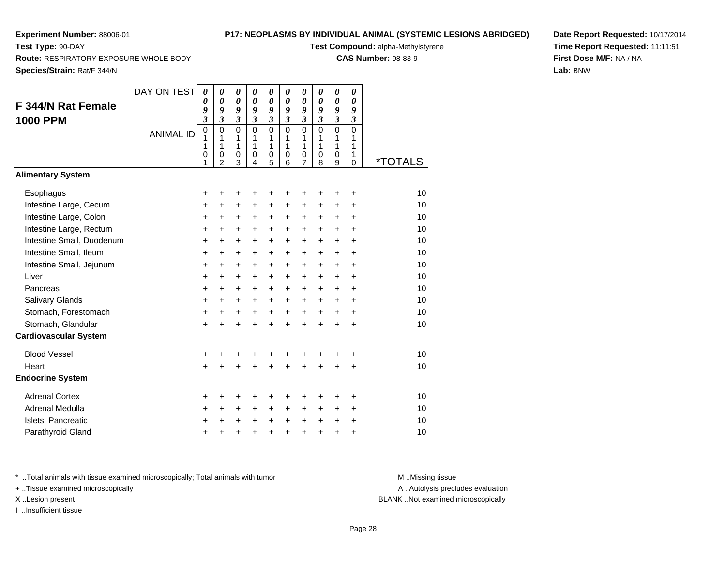## **P17: NEOPLASMS BY INDIVIDUAL ANIMAL (SYSTEMIC LESIONS ABRIDGED)**

**Test Compound:** alpha-Methylstyrene**CAS Number:** 98-83-9

**Route:** RESPIRATORY EXPOSURE WHOLE BODY

**Species/Strain:** Rat/F 344/N

**Test Type:** 90-DAY

**Date Report Requested:** 10/17/2014**Time Report Requested:** 11:11:51**First Dose M/F:** NA / NA**Lab:** BNW

| F 344/N Rat Female<br><b>1000 PPM</b> | DAY ON TEST      | $\boldsymbol{\theta}$<br>$\boldsymbol{\theta}$<br>9<br>$\mathfrak{z}$ | $\boldsymbol{\theta}$<br>$\boldsymbol{\theta}$<br>9<br>$\mathfrak{z}$ | $\boldsymbol{\theta}$<br>$\boldsymbol{\theta}$<br>9<br>$\mathfrak{z}$ | 0<br>$\boldsymbol{\theta}$<br>9<br>$\mathfrak{z}$ | 0<br>$\boldsymbol{\theta}$<br>9<br>$\mathfrak{z}$ | 0<br>0<br>9<br>$\mathfrak{z}$ | 0<br>0<br>9<br>$\overline{\mathbf{3}}$ | 0<br>$\boldsymbol{\theta}$<br>9<br>$\mathfrak{z}$ | 0<br>$\boldsymbol{\theta}$<br>9<br>$\mathfrak{z}$ | 0<br>0<br>9<br>$\boldsymbol{\mathfrak{z}}$ |                       |
|---------------------------------------|------------------|-----------------------------------------------------------------------|-----------------------------------------------------------------------|-----------------------------------------------------------------------|---------------------------------------------------|---------------------------------------------------|-------------------------------|----------------------------------------|---------------------------------------------------|---------------------------------------------------|--------------------------------------------|-----------------------|
|                                       | <b>ANIMAL ID</b> | $\mathbf 0$<br>1<br>1                                                 | $\Omega$<br>1<br>1                                                    | $\overline{0}$<br>1<br>1                                              | $\Omega$<br>1<br>$\mathbf{1}$                     | $\Omega$<br>1<br>1                                | $\Omega$<br>1<br>$\mathbf{1}$ | $\Omega$<br>1<br>1                     | $\Omega$<br>1<br>1                                | $\mathbf 0$<br>1<br>1                             | $\Omega$<br>1<br>1                         |                       |
|                                       |                  | 0<br>1                                                                | 0<br>$\overline{2}$                                                   | $\mathbf 0$<br>3                                                      | 0<br>4                                            | 0<br>$\overline{5}$                               | 0<br>6                        | 0<br>7                                 | 0<br>8                                            | 0<br>9                                            | 1<br>$\mathbf 0$                           | <i><b>*TOTALS</b></i> |
| <b>Alimentary System</b>              |                  |                                                                       |                                                                       |                                                                       |                                                   |                                                   |                               |                                        |                                                   |                                                   |                                            |                       |
| Esophagus                             |                  | +                                                                     | +                                                                     | +                                                                     | +                                                 | +                                                 | +                             | +                                      | +                                                 | +                                                 | +                                          | 10                    |
| Intestine Large, Cecum                |                  | +                                                                     | +                                                                     | +                                                                     | +                                                 | +                                                 | +                             | +                                      | $\ddot{}$                                         | $\ddot{}$                                         | +                                          | 10                    |
| Intestine Large, Colon                |                  | +                                                                     | +                                                                     | +                                                                     | +                                                 | $\ddot{}$                                         | $\ddot{}$                     | +                                      | $\ddot{}$                                         | $\ddot{}$                                         | +                                          | 10                    |
| Intestine Large, Rectum               |                  | $\ddot{}$                                                             | $+$                                                                   | $\ddot{}$                                                             | $\ddot{}$                                         | $\ddot{}$                                         | $+$                           | $\ddot{}$                              | $\ddot{}$                                         | $+$                                               | $\ddot{}$                                  | 10                    |
| Intestine Small, Duodenum             |                  | $\ddot{}$                                                             | $+$                                                                   | $\ddot{}$                                                             | $\ddot{}$                                         | $\ddot{}$                                         | $+$                           | $+$                                    | $+$                                               | $+$                                               | $\ddot{}$                                  | 10                    |
| Intestine Small, Ileum                |                  | $\ddot{}$                                                             | $\ddot{}$                                                             | $\ddot{}$                                                             | $\ddot{}$                                         | $\ddot{}$                                         | $\ddot{}$                     | $\ddot{}$                              | $\ddot{}$                                         | $\ddot{}$                                         | $\ddot{}$                                  | 10                    |
| Intestine Small, Jejunum              |                  | +                                                                     | +                                                                     | $\ddot{}$                                                             | $\ddot{}$                                         | $\ddot{}$                                         | $\ddot{}$                     | +                                      | +                                                 | $\ddot{}$                                         | +                                          | 10                    |
| Liver                                 |                  | +                                                                     | +                                                                     | $\ddot{}$                                                             | +                                                 | +                                                 | $\ddot{}$                     | $\ddot{}$                              | +                                                 | $\ddot{}$                                         | +                                          | 10                    |
| Pancreas                              |                  | +                                                                     | $\ddot{}$                                                             | $\ddot{}$                                                             | $\ddot{}$                                         | $\ddot{}$                                         | $\ddot{}$                     | $\ddot{}$                              | $\ddot{}$                                         | $\ddot{}$                                         | $\ddot{}$                                  | 10                    |
| Salivary Glands                       |                  | +                                                                     | $\ddot{}$                                                             | $\ddot{}$                                                             | $\ddot{}$                                         | $\ddot{}$                                         | $+$                           | $\ddot{}$                              | $\ddot{}$                                         | $+$                                               | +                                          | 10                    |
| Stomach, Forestomach                  |                  | $\ddot{}$                                                             | $\ddot{}$                                                             | $\ddot{}$                                                             | $\ddot{}$                                         | $\ddot{}$                                         | $\ddot{}$                     | $+$                                    | $\ddot{}$                                         | $+$                                               | $\ddot{}$                                  | 10                    |
| Stomach, Glandular                    |                  | $\ddot{}$                                                             |                                                                       | $\ddot{}$                                                             | $\ddot{}$                                         | $\ddot{}$                                         | $\ddot{}$                     | $\ddot{}$                              | $\ddot{}$                                         | $\ddot{}$                                         | $\ddot{}$                                  | 10                    |
| <b>Cardiovascular System</b>          |                  |                                                                       |                                                                       |                                                                       |                                                   |                                                   |                               |                                        |                                                   |                                                   |                                            |                       |
| <b>Blood Vessel</b>                   |                  | +                                                                     | +                                                                     | +                                                                     | +                                                 | +                                                 | +                             | +                                      | +                                                 |                                                   | +                                          | 10                    |
| Heart                                 |                  | $\ddot{}$                                                             |                                                                       | $\ddot{}$                                                             | ÷                                                 | $\ddot{}$                                         | ÷                             | ÷                                      | $\ddot{}$                                         | ÷                                                 | $\ddot{}$                                  | 10                    |
| <b>Endocrine System</b>               |                  |                                                                       |                                                                       |                                                                       |                                                   |                                                   |                               |                                        |                                                   |                                                   |                                            |                       |
| <b>Adrenal Cortex</b>                 |                  | +                                                                     | +                                                                     | +                                                                     | +                                                 | +                                                 | +                             | +                                      | +                                                 | +                                                 | +                                          | 10                    |
| <b>Adrenal Medulla</b>                |                  | +                                                                     | +                                                                     | +                                                                     | $\ddot{}$                                         | $\ddot{}$                                         | $\ddot{}$                     | $\ddot{}$                              | $\ddot{}$                                         | +                                                 | +                                          | 10                    |
| Islets, Pancreatic                    |                  | $\ddot{}$                                                             |                                                                       | $\ddot{}$                                                             | $\ddot{}$                                         | $\ddot{}$                                         | $+$                           | $\ddot{}$                              | $\ddot{}$                                         | $\ddot{}$                                         | +                                          | 10                    |
| Parathyroid Gland                     |                  | +                                                                     | +                                                                     | +                                                                     | +                                                 | $\ddot{}$                                         | $\ddot{}$                     | +                                      | $\ddot{}$                                         | $\ddot{}$                                         | +                                          | 10                    |

\* ..Total animals with tissue examined microscopically; Total animals with tumor **M** . Missing tissue M ..Missing tissue

+ ..Tissue examined microscopically

I ..Insufficient tissue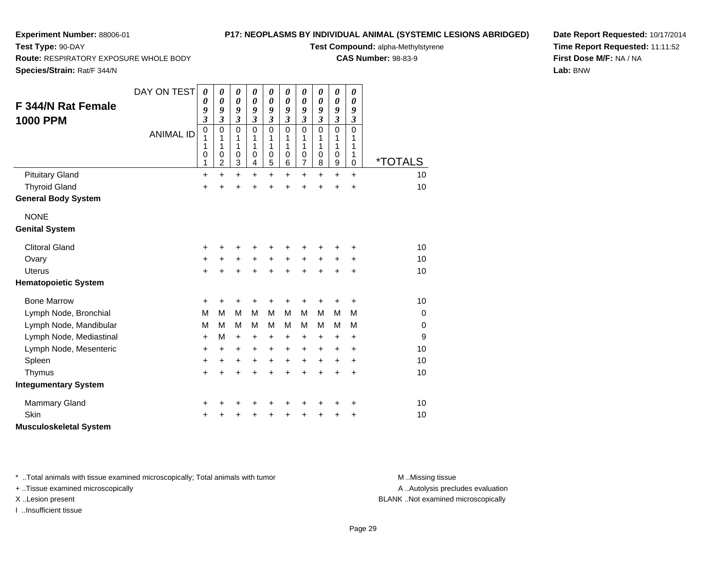## **P17: NEOPLASMS BY INDIVIDUAL ANIMAL (SYSTEMIC LESIONS ABRIDGED)**

**Test Compound:** alpha-Methylstyrene

**CAS Number:** 98-83-9

**Date Report Requested:** 10/17/2014**Time Report Requested:** 11:11:52**First Dose M/F:** NA / NA**Lab:** BNW

**Route:** RESPIRATORY EXPOSURE WHOLE BODY

**Species/Strain:** Rat/F 344/N

**Test Type:** 90-DAY

| <b>F 344/N Rat Female</b>     | DAY ON TEST      | $\boldsymbol{\theta}$<br>0<br>9 | 0<br>$\boldsymbol{\theta}$<br>9 | 0<br>$\boldsymbol{\theta}$<br>9 | 0<br>$\boldsymbol{\theta}$<br>9 | 0<br>$\boldsymbol{\theta}$<br>9 | 0<br>$\boldsymbol{\theta}$<br>$\boldsymbol{g}$ | 0<br>$\boldsymbol{\theta}$<br>9      | 0<br>0<br>9                | 0<br>$\boldsymbol{\theta}$<br>9 | 0<br>0<br>9                |                       |
|-------------------------------|------------------|---------------------------------|---------------------------------|---------------------------------|---------------------------------|---------------------------------|------------------------------------------------|--------------------------------------|----------------------------|---------------------------------|----------------------------|-----------------------|
| <b>1000 PPM</b>               |                  | $\overline{\mathbf{3}}$         | $\overline{\mathbf{3}}$         | $\overline{\mathbf{3}}$         | $\overline{\mathbf{3}}$         | $\overline{\mathbf{3}}$         | $\overline{\mathbf{3}}$                        | $\overline{\mathbf{3}}$              | $\overline{\mathbf{3}}$    | $\mathfrak{z}$                  | $\mathfrak{z}$             |                       |
|                               | <b>ANIMAL ID</b> | $\mathbf 0$<br>1<br>1<br>0      | $\mathbf 0$<br>1<br>1<br>0      | $\mathbf 0$<br>1<br>1<br>0      | $\mathbf 0$<br>1<br>1<br>0      | $\mathbf 0$<br>1<br>1<br>0      | $\mathbf 0$<br>1<br>1<br>0                     | $\mathbf 0$<br>1<br>1<br>$\mathbf 0$ | $\mathbf 0$<br>1<br>1<br>0 | $\mathbf 0$<br>1<br>1<br>0      | $\mathbf 0$<br>1<br>1<br>1 |                       |
|                               |                  | 1                               | $\overline{2}$                  | 3                               | 4                               | 5                               | $\,6$                                          | $\overline{7}$                       | 8                          | $\boldsymbol{9}$                | 0                          | <i><b>*TOTALS</b></i> |
| <b>Pituitary Gland</b>        |                  | $\ddot{}$                       | $\ddot{}$                       | $\ddot{}$                       | $\ddot{}$                       | $\ddot{}$                       | $\ddot{}$                                      | $\ddot{}$                            | $\ddot{}$                  | $\ddot{}$                       | $\ddot{}$                  | 10                    |
| <b>Thyroid Gland</b>          |                  | +                               | $\ddot{}$                       | +                               | $\ddot{}$                       | $\ddot{}$                       | $\ddot{}$                                      | $\ddot{}$                            | Ŧ.                         | $\ddot{}$                       | $\ddot{}$                  | 10                    |
| <b>General Body System</b>    |                  |                                 |                                 |                                 |                                 |                                 |                                                |                                      |                            |                                 |                            |                       |
| <b>NONE</b>                   |                  |                                 |                                 |                                 |                                 |                                 |                                                |                                      |                            |                                 |                            |                       |
| <b>Genital System</b>         |                  |                                 |                                 |                                 |                                 |                                 |                                                |                                      |                            |                                 |                            |                       |
| <b>Clitoral Gland</b>         |                  | +                               | +                               | +                               |                                 | +                               |                                                |                                      |                            |                                 | +                          | 10                    |
| Ovary                         |                  | +                               | $\pm$                           | +                               | +                               | $\ddot{}$                       | $+$                                            | $\ddot{}$                            | $\ddot{}$                  | $\ddot{}$                       | +                          | 10                    |
| <b>Uterus</b>                 |                  | $\ddot{}$                       | +                               | $\ddot{}$                       | +                               | $\ddot{}$                       |                                                | $\ddot{}$                            |                            | $\ddot{}$                       | $\ddot{}$                  | 10                    |
| <b>Hematopoietic System</b>   |                  |                                 |                                 |                                 |                                 |                                 |                                                |                                      |                            |                                 |                            |                       |
| <b>Bone Marrow</b>            |                  | +                               | +                               | +                               | +                               | +                               | +                                              | +                                    | +                          | +                               | +                          | 10                    |
| Lymph Node, Bronchial         |                  | M                               | M                               | M                               | M                               | M                               | м                                              | M                                    | м                          | M                               | M                          | $\mathbf 0$           |
| Lymph Node, Mandibular        |                  | M                               | М                               | M                               | м                               | M                               | м                                              | М                                    | м                          | м                               | M                          | $\mathbf 0$           |
| Lymph Node, Mediastinal       |                  | +                               | М                               | $\ddot{}$                       | +                               | +                               | $\ddot{}$                                      | $\ddot{}$                            | +                          | +                               | +                          | 9                     |
| Lymph Node, Mesenteric        |                  | +                               | $\ddot{}$                       | $\ddot{}$                       | +                               | +                               | $\ddot{}$                                      | $\ddot{}$                            | +                          | $\ddot{}$                       | +                          | 10                    |
| Spleen                        |                  | +                               | $\ddot{}$                       | +                               | +                               | +                               | $\ddot{}$                                      | $\ddot{}$                            | $\pm$                      | $\ddot{}$                       | +                          | 10                    |
| Thymus                        |                  | $\ddot{}$                       | +                               | $\ddot{}$                       | $\ddot{}$                       | $\ddot{}$                       | $\ddot{}$                                      | $\ddot{}$                            | $\ddot{}$                  | $\ddot{}$                       | +                          | 10                    |
| <b>Integumentary System</b>   |                  |                                 |                                 |                                 |                                 |                                 |                                                |                                      |                            |                                 |                            |                       |
| <b>Mammary Gland</b>          |                  | +                               |                                 | +                               | +                               | +                               |                                                |                                      |                            | +                               | +                          | 10                    |
| Skin                          |                  | +                               |                                 |                                 |                                 |                                 |                                                |                                      |                            | +                               | +                          | 10                    |
| <b>Musculoskeletal System</b> |                  |                                 |                                 |                                 |                                 |                                 |                                                |                                      |                            |                                 |                            |                       |

\* ..Total animals with tissue examined microscopically; Total animals with tumor **M** . Missing tissue M ..Missing tissue

+ ..Tissue examined microscopically

I ..Insufficient tissue

A ..Autolysis precludes evaluation

X ..Lesion present BLANK ..Not examined microscopically